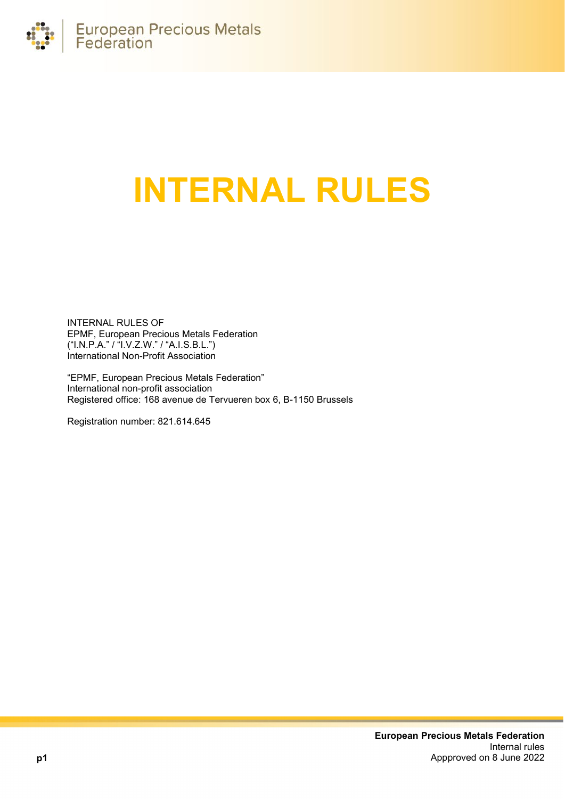

# **INTERNAL RULES**

INTERNAL RULES OF EPMF, European Precious Metals Federation ("I.N.P.A." / "I.V.Z.W." / "A.I.S.B.L.") International Non-Profit Association

"EPMF, European Precious Metals Federation" International non-profit association Registered office: 168 avenue de Tervueren box 6, B-1150 Brussels

Registration number: 821.614.645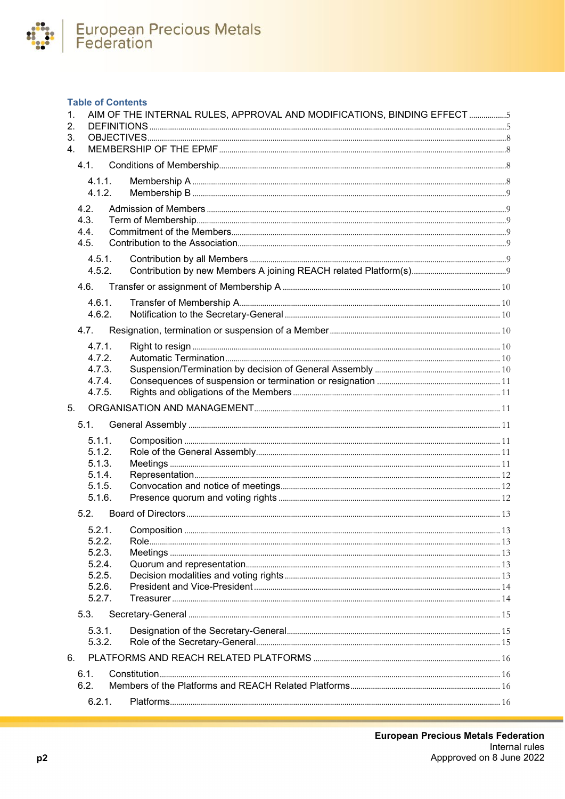

# **Table of Contents**

| 1.               | AIM OF THE INTERNAL RULES, APPROVAL AND MODIFICATIONS, BINDING EFFECT 5 |  |
|------------------|-------------------------------------------------------------------------|--|
| 2.               |                                                                         |  |
| 3.<br>$4_{-}$    |                                                                         |  |
| 4.1              |                                                                         |  |
|                  |                                                                         |  |
| 4.1.1.<br>4.1.2. |                                                                         |  |
|                  |                                                                         |  |
| 4.2.<br>4.3.     |                                                                         |  |
| 4.4.             |                                                                         |  |
| 4.5.             |                                                                         |  |
| 4.5.1.           |                                                                         |  |
| 4.5.2.           |                                                                         |  |
| 4.6.             |                                                                         |  |
| 4.6.1.           |                                                                         |  |
| 4.6.2.           |                                                                         |  |
| 4.7.             |                                                                         |  |
| 4.7.1.           |                                                                         |  |
| 4.7.2.           |                                                                         |  |
| 4.7.3.           |                                                                         |  |
| 4.7.4.<br>4.7.5. |                                                                         |  |
|                  |                                                                         |  |
| 5.               |                                                                         |  |
| 5.1.             |                                                                         |  |
| 5.1.1.           |                                                                         |  |
| 5.1.2.<br>5.1.3. |                                                                         |  |
| 5.1.4.           |                                                                         |  |
| 5.1.5.           |                                                                         |  |
| 5.1.6.           |                                                                         |  |
| 5.2.             |                                                                         |  |
| 5.2.1.           |                                                                         |  |
| 5.2.2.           |                                                                         |  |
| 5.2.3.           |                                                                         |  |
| 5.2.4.<br>5.2.5. |                                                                         |  |
| 5.2.6.           |                                                                         |  |
| 5.2.7.           |                                                                         |  |
| 5.3.             |                                                                         |  |
| 5.3.1.           |                                                                         |  |
| 5.3.2.           |                                                                         |  |
| 6.               |                                                                         |  |
| 6.1.             |                                                                         |  |
| 6.2.             |                                                                         |  |
| 6.2.1.           |                                                                         |  |
|                  |                                                                         |  |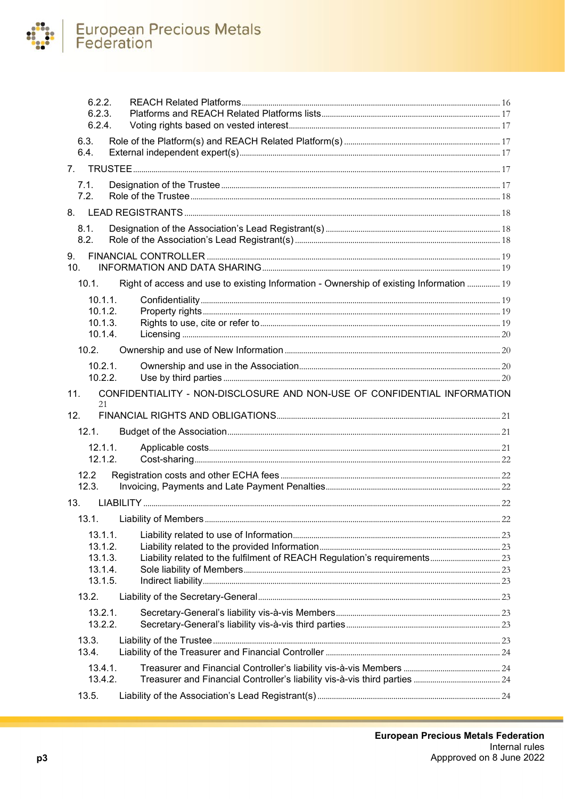# European Precious Metals<br>Federation  $\bullet$

| 6.2.2.<br>6.2.3.<br>6.2.4. |         |                                                                                         |    |
|----------------------------|---------|-----------------------------------------------------------------------------------------|----|
| 6.3.<br>6.4.               |         |                                                                                         |    |
| 7.                         |         |                                                                                         |    |
| 7.1.                       |         |                                                                                         |    |
| 7.2.                       |         |                                                                                         |    |
|                            |         |                                                                                         |    |
| 8.1.<br>8.2.               |         |                                                                                         |    |
| 9.<br>10 <sub>1</sub>      |         |                                                                                         |    |
| 10.1                       |         | Right of access and use to existing Information - Ownership of existing Information  19 |    |
| 10.1.1.                    |         |                                                                                         |    |
| 10.1.2.                    |         |                                                                                         |    |
| 10.1.3.<br>10.1.4.         |         |                                                                                         |    |
| 10.2.                      |         |                                                                                         |    |
| 10.2.1.                    |         |                                                                                         |    |
| 10.2.2.                    |         |                                                                                         |    |
| 11.                        |         | CONFIDENTIALITY - NON-DISCLOSURE AND NON-USE OF CONFIDENTIAL INFORMATION                |    |
| 21<br>12.                  |         |                                                                                         |    |
| 12.1.                      |         |                                                                                         |    |
| $12.1.1$ .                 |         |                                                                                         |    |
| 12.1.2.                    |         |                                                                                         |    |
| 12.2                       |         |                                                                                         |    |
| 12.3.                      |         |                                                                                         |    |
| 13.                        |         |                                                                                         |    |
|                            |         |                                                                                         |    |
| 13.1.1.                    |         |                                                                                         | 22 |
| 13.1.2.                    |         |                                                                                         |    |
|                            |         |                                                                                         |    |
|                            | 13.1.3. |                                                                                         |    |
| 13.1.4.<br>13.1.5.         |         |                                                                                         |    |
| 13.2.                      |         |                                                                                         |    |
| 13.2.1.                    |         |                                                                                         |    |
| 13.2.2.                    |         |                                                                                         |    |
| 13.3.                      |         |                                                                                         |    |
| 13.4.                      |         |                                                                                         |    |
| 13.4.1.                    |         |                                                                                         |    |
| 13.4.2.<br>13.5.           |         |                                                                                         |    |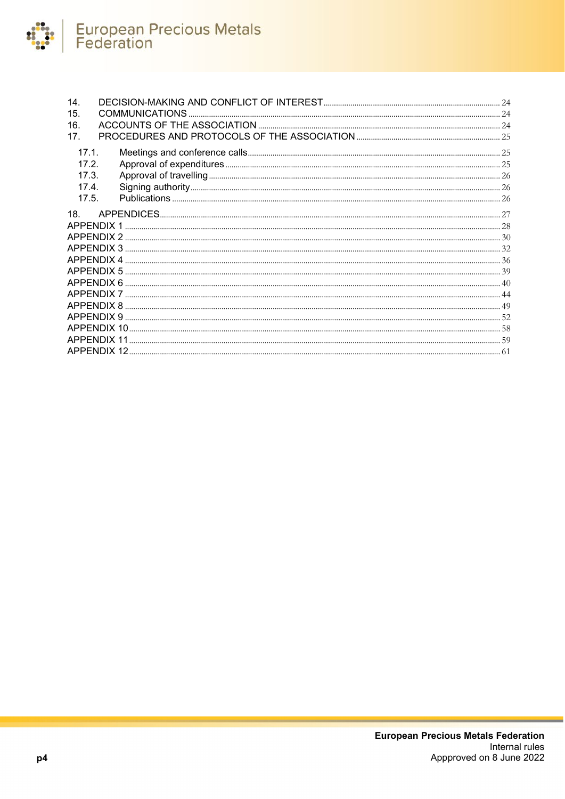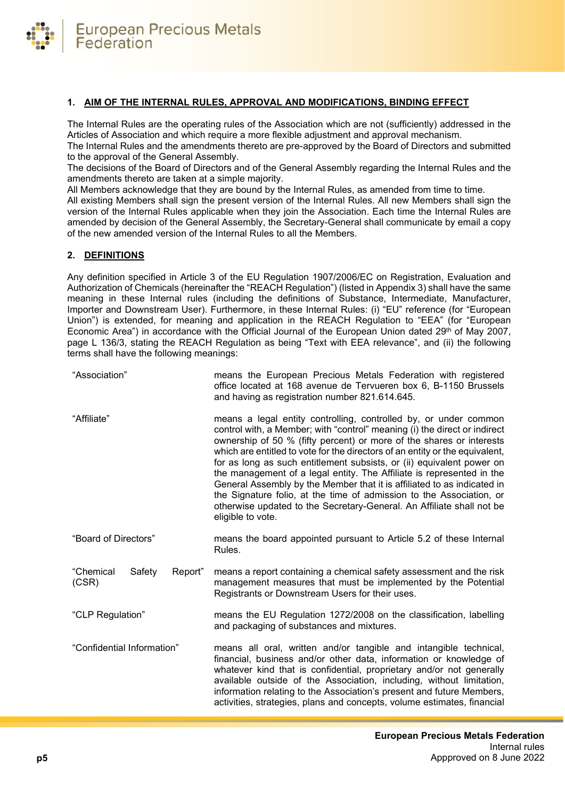

# <span id="page-4-0"></span>**1. AIM OF THE INTERNAL RULES, APPROVAL AND MODIFICATIONS, BINDING EFFECT**

The Internal Rules are the operating rules of the Association which are not (sufficiently) addressed in the Articles of Association and which require a more flexible adjustment and approval mechanism.

The Internal Rules and the amendments thereto are pre-approved by the Board of Directors and submitted to the approval of the General Assembly.

The decisions of the Board of Directors and of the General Assembly regarding the Internal Rules and the amendments thereto are taken at a simple majority.

All Members acknowledge that they are bound by the Internal Rules, as amended from time to time. All existing Members shall sign the present version of the Internal Rules. All new Members shall sign the version of the Internal Rules applicable when they join the Association. Each time the Internal Rules are amended by decision of the General Assembly, the Secretary-General shall communicate by email a copy of the new amended version of the Internal Rules to all the Members.

# <span id="page-4-1"></span>**2. DEFINITIONS**

Any definition specified in Article 3 of the EU Regulation 1907/2006/EC on Registration, Evaluation and Authorization of Chemicals (hereinafter the "REACH Regulation") (listed in Appendix 3) shall have the same meaning in these Internal rules (including the definitions of Substance, Intermediate, Manufacturer, Importer and Downstream User). Furthermore, in these Internal Rules: (i) "EU" reference (for "European Union") is extended, for meaning and application in the REACH Regulation to "EEA" (for "European Economic Area") in accordance with the Official Journal of the European Union dated 29th of May 2007, page L 136/3, stating the REACH Regulation as being "Text with EEA relevance", and (ii) the following terms shall have the following meanings:

| "Association"                           | means the European Precious Metals Federation with registered<br>office located at 168 avenue de Tervueren box 6, B-1150 Brussels<br>and having as registration number 821.614.645.                                                                                                                                                                                                                                                                                                                                                                                                                                                                                                                      |
|-----------------------------------------|----------------------------------------------------------------------------------------------------------------------------------------------------------------------------------------------------------------------------------------------------------------------------------------------------------------------------------------------------------------------------------------------------------------------------------------------------------------------------------------------------------------------------------------------------------------------------------------------------------------------------------------------------------------------------------------------------------|
| "Affiliate"                             | means a legal entity controlling, controlled by, or under common<br>control with, a Member; with "control" meaning (i) the direct or indirect<br>ownership of 50 % (fifty percent) or more of the shares or interests<br>which are entitled to vote for the directors of an entity or the equivalent,<br>for as long as such entitlement subsists, or (ii) equivalent power on<br>the management of a legal entity. The Affiliate is represented in the<br>General Assembly by the Member that it is affiliated to as indicated in<br>the Signature folio, at the time of admission to the Association, or<br>otherwise updated to the Secretary-General. An Affiliate shall not be<br>eligible to vote. |
| "Board of Directors"                    | means the board appointed pursuant to Article 5.2 of these Internal<br>Rules.                                                                                                                                                                                                                                                                                                                                                                                                                                                                                                                                                                                                                            |
| "Chemical<br>Report"<br>Safety<br>(CSR) | means a report containing a chemical safety assessment and the risk<br>management measures that must be implemented by the Potential<br>Registrants or Downstream Users for their uses.                                                                                                                                                                                                                                                                                                                                                                                                                                                                                                                  |
| "CLP Regulation"                        | means the EU Regulation 1272/2008 on the classification, labelling<br>and packaging of substances and mixtures.                                                                                                                                                                                                                                                                                                                                                                                                                                                                                                                                                                                          |
| "Confidential Information"              | means all oral, written and/or tangible and intangible technical,<br>financial, business and/or other data, information or knowledge of<br>whatever kind that is confidential, proprietary and/or not generally<br>available outside of the Association, including, without limitation,<br>information relating to the Association's present and future Members,<br>activities, strategies, plans and concepts, volume estimates, financial                                                                                                                                                                                                                                                              |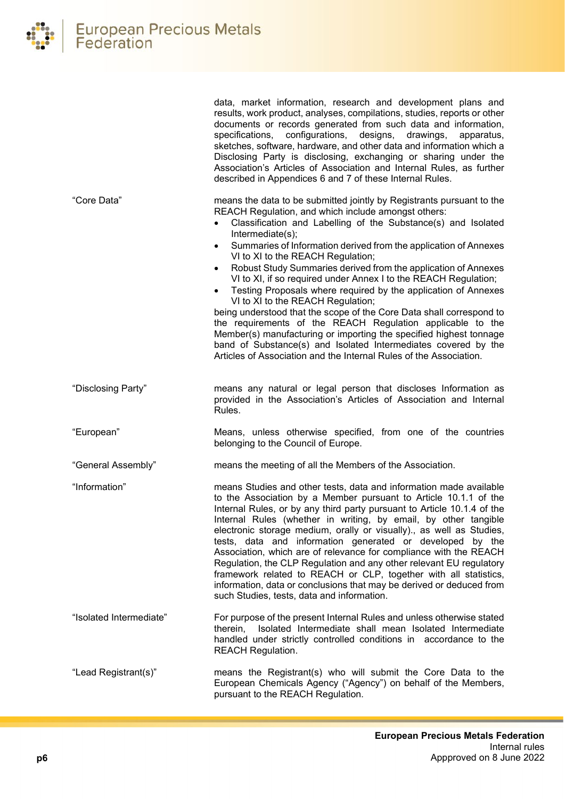|                         | results, work product, analyses, compilations, studies, reports or other<br>documents or records generated from such data and information,<br>configurations,<br>specifications,<br>designs,<br>drawings,<br>apparatus,<br>sketches, software, hardware, and other data and information which a<br>Disclosing Party is disclosing, exchanging or sharing under the<br>Association's Articles of Association and Internal Rules, as further<br>described in Appendices 6 and 7 of these Internal Rules.                                                                                                                                                                                                                                                                                                                                                                                                                                                                         |
|-------------------------|--------------------------------------------------------------------------------------------------------------------------------------------------------------------------------------------------------------------------------------------------------------------------------------------------------------------------------------------------------------------------------------------------------------------------------------------------------------------------------------------------------------------------------------------------------------------------------------------------------------------------------------------------------------------------------------------------------------------------------------------------------------------------------------------------------------------------------------------------------------------------------------------------------------------------------------------------------------------------------|
| "Core Data"             | means the data to be submitted jointly by Registrants pursuant to the<br>REACH Regulation, and which include amongst others:<br>Classification and Labelling of the Substance(s) and Isolated<br>$\bullet$<br>Intermediate(s);<br>Summaries of Information derived from the application of Annexes<br>$\bullet$<br>VI to XI to the REACH Regulation;<br>Robust Study Summaries derived from the application of Annexes<br>$\bullet$<br>VI to XI, if so required under Annex I to the REACH Regulation;<br>Testing Proposals where required by the application of Annexes<br>$\bullet$<br>VI to XI to the REACH Regulation;<br>being understood that the scope of the Core Data shall correspond to<br>the requirements of the REACH Regulation applicable to the<br>Member(s) manufacturing or importing the specified highest tonnage<br>band of Substance(s) and Isolated Intermediates covered by the<br>Articles of Association and the Internal Rules of the Association. |
| "Disclosing Party"      | means any natural or legal person that discloses Information as<br>provided in the Association's Articles of Association and Internal<br>Rules.                                                                                                                                                                                                                                                                                                                                                                                                                                                                                                                                                                                                                                                                                                                                                                                                                                |
| "European"              | Means, unless otherwise specified, from one of the countries<br>belonging to the Council of Europe.                                                                                                                                                                                                                                                                                                                                                                                                                                                                                                                                                                                                                                                                                                                                                                                                                                                                            |
| "General Assembly"      | means the meeting of all the Members of the Association.                                                                                                                                                                                                                                                                                                                                                                                                                                                                                                                                                                                                                                                                                                                                                                                                                                                                                                                       |
| "Information"           | means Studies and other tests, data and information made available<br>to the Association by a Member pursuant to Article 10.1.1 of the<br>Internal Rules, or by any third party pursuant to Article 10.1.4 of the<br>Internal Rules (whether in writing, by email, by other tangible<br>electronic storage medium, orally or visually)., as well as Studies,<br>tests, data and information generated or developed by the<br>Association, which are of relevance for compliance with the REACH<br>Regulation, the CLP Regulation and any other relevant EU regulatory<br>framework related to REACH or CLP, together with all statistics,<br>information, data or conclusions that may be derived or deduced from<br>such Studies, tests, data and information.                                                                                                                                                                                                                |
| "Isolated Intermediate" | For purpose of the present Internal Rules and unless otherwise stated<br>Isolated Intermediate shall mean Isolated Intermediate<br>therein,<br>handled under strictly controlled conditions in accordance to the<br><b>REACH Regulation.</b>                                                                                                                                                                                                                                                                                                                                                                                                                                                                                                                                                                                                                                                                                                                                   |
| "Lead Registrant(s)"    | means the Registrant(s) who will submit the Core Data to the<br>European Chemicals Agency ("Agency") on behalf of the Members,<br>pursuant to the REACH Regulation.                                                                                                                                                                                                                                                                                                                                                                                                                                                                                                                                                                                                                                                                                                                                                                                                            |

data, market information, research and development plans and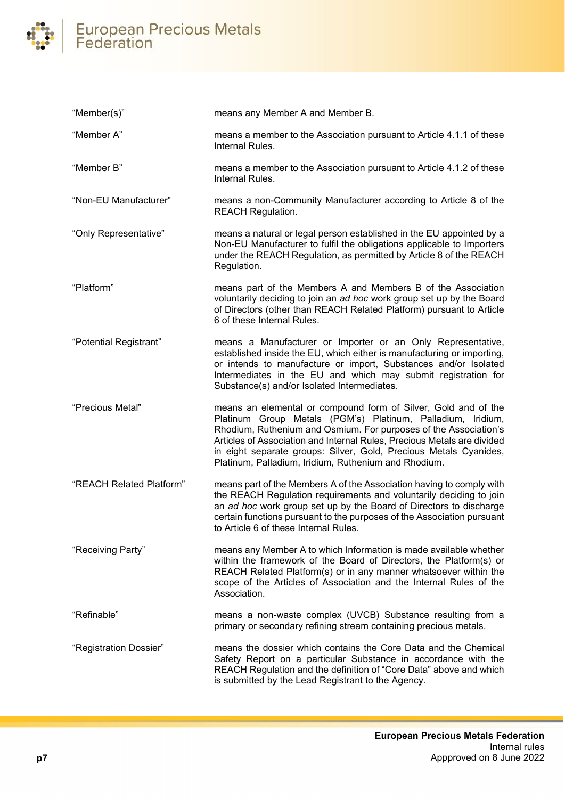# European Precious Metals<br>Federation  $\overline{\phantom{a}}$

| "Member(s)"              | means any Member A and Member B.                                                                                                                                                                                                                                                                                                                                                                          |
|--------------------------|-----------------------------------------------------------------------------------------------------------------------------------------------------------------------------------------------------------------------------------------------------------------------------------------------------------------------------------------------------------------------------------------------------------|
| "Member A"               | means a member to the Association pursuant to Article 4.1.1 of these<br>Internal Rules.                                                                                                                                                                                                                                                                                                                   |
| "Member B"               | means a member to the Association pursuant to Article 4.1.2 of these<br>Internal Rules.                                                                                                                                                                                                                                                                                                                   |
| "Non-EU Manufacturer"    | means a non-Community Manufacturer according to Article 8 of the<br><b>REACH Regulation.</b>                                                                                                                                                                                                                                                                                                              |
| "Only Representative"    | means a natural or legal person established in the EU appointed by a<br>Non-EU Manufacturer to fulfil the obligations applicable to Importers<br>under the REACH Regulation, as permitted by Article 8 of the REACH<br>Regulation.                                                                                                                                                                        |
| "Platform"               | means part of the Members A and Members B of the Association<br>voluntarily deciding to join an ad hoc work group set up by the Board<br>of Directors (other than REACH Related Platform) pursuant to Article<br>6 of these Internal Rules.                                                                                                                                                               |
| "Potential Registrant"   | means a Manufacturer or Importer or an Only Representative,<br>established inside the EU, which either is manufacturing or importing,<br>or intends to manufacture or import, Substances and/or Isolated<br>Intermediates in the EU and which may submit registration for<br>Substance(s) and/or Isolated Intermediates.                                                                                  |
| "Precious Metal"         | means an elemental or compound form of Silver, Gold and of the<br>Platinum Group Metals (PGM's) Platinum, Palladium, Iridium,<br>Rhodium, Ruthenium and Osmium. For purposes of the Association's<br>Articles of Association and Internal Rules, Precious Metals are divided<br>in eight separate groups: Silver, Gold, Precious Metals Cyanides,<br>Platinum, Palladium, Iridium, Ruthenium and Rhodium. |
| "REACH Related Platform" | means part of the Members A of the Association having to comply with<br>the REACH Regulation requirements and voluntarily deciding to join<br>an ad hoc work group set up by the Board of Directors to discharge<br>certain functions pursuant to the purposes of the Association pursuant<br>to Article 6 of these Internal Rules.                                                                       |
| "Receiving Party"        | means any Member A to which Information is made available whether<br>within the framework of the Board of Directors, the Platform(s) or<br>REACH Related Platform(s) or in any manner whatsoever within the<br>scope of the Articles of Association and the Internal Rules of the<br>Association.                                                                                                         |
| "Refinable"              | means a non-waste complex (UVCB) Substance resulting from a<br>primary or secondary refining stream containing precious metals.                                                                                                                                                                                                                                                                           |
| "Registration Dossier"   | means the dossier which contains the Core Data and the Chemical<br>Safety Report on a particular Substance in accordance with the<br>REACH Regulation and the definition of "Core Data" above and which<br>is submitted by the Lead Registrant to the Agency.                                                                                                                                             |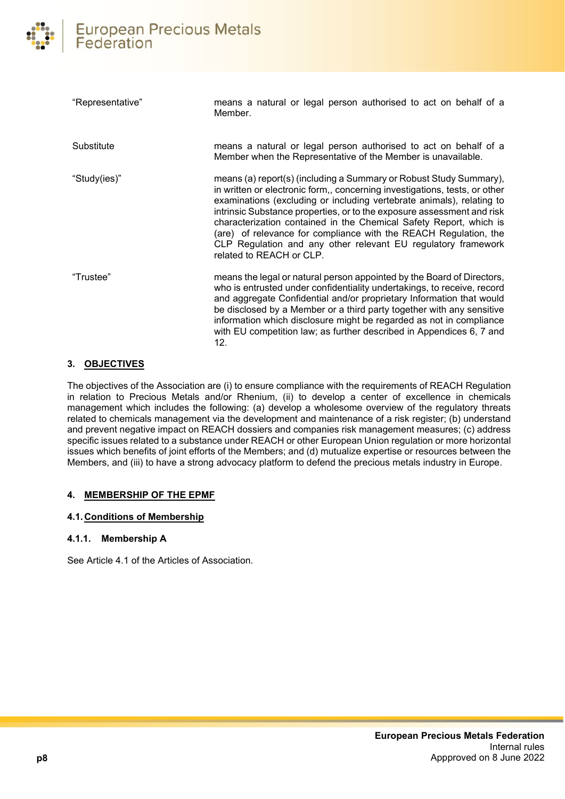| "Representative" | means a natural or legal person authorised to act on behalf of a<br>Member.                                                                                                                                                                                                                                                                                                                                                                                                                                                                |
|------------------|--------------------------------------------------------------------------------------------------------------------------------------------------------------------------------------------------------------------------------------------------------------------------------------------------------------------------------------------------------------------------------------------------------------------------------------------------------------------------------------------------------------------------------------------|
| Substitute       | means a natural or legal person authorised to act on behalf of a<br>Member when the Representative of the Member is unavailable.                                                                                                                                                                                                                                                                                                                                                                                                           |
| "Study(ies)"     | means (a) report(s) (including a Summary or Robust Study Summary),<br>in written or electronic form,, concerning investigations, tests, or other<br>examinations (excluding or including vertebrate animals), relating to<br>intrinsic Substance properties, or to the exposure assessment and risk<br>characterization contained in the Chemical Safety Report, which is<br>(are) of relevance for compliance with the REACH Regulation, the<br>CLP Regulation and any other relevant EU regulatory framework<br>related to REACH or CLP. |
| "Trustee"        | means the legal or natural person appointed by the Board of Directors,<br>who is entrusted under confidentiality undertakings, to receive, record<br>and aggregate Confidential and/or proprietary Information that would<br>be disclosed by a Member or a third party together with any sensitive<br>information which disclosure might be regarded as not in compliance<br>with EU competition law; as further described in Appendices 6, 7 and<br>12.                                                                                   |

# <span id="page-7-0"></span>**3. OBJECTIVES**

The objectives of the Association are (i) to ensure compliance with the requirements of REACH Regulation in relation to Precious Metals and/or Rhenium, (ii) to develop a center of excellence in chemicals management which includes the following: (a) develop a wholesome overview of the regulatory threats related to chemicals management via the development and maintenance of a risk register; (b) understand and prevent negative impact on REACH dossiers and companies risk management measures; (c) address specific issues related to a substance under REACH or other European Union regulation or more horizontal issues which benefits of joint efforts of the Members; and (d) mutualize expertise or resources between the Members, and (iii) to have a strong advocacy platform to defend the precious metals industry in Europe.

# <span id="page-7-1"></span>**4. MEMBERSHIP OF THE EPMF**

# <span id="page-7-2"></span>**4.1. Conditions of Membership**

# <span id="page-7-3"></span>**4.1.1. Membership A**

See Article 4.1 of the Articles of Association.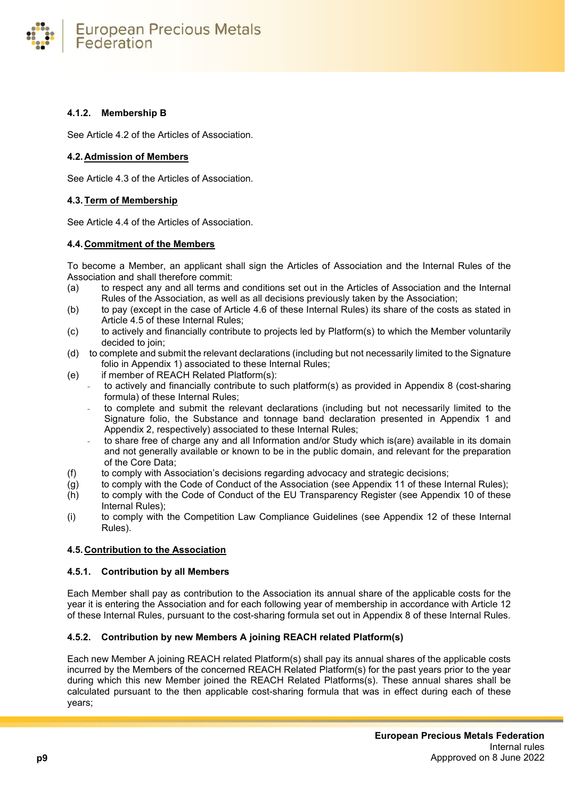

# <span id="page-8-0"></span>**4.1.2. Membership B**

See Article 4.2 of the Articles of Association.

# <span id="page-8-1"></span>**4.2. Admission of Members**

See Article 4.3 of the Articles of Association.

# <span id="page-8-2"></span>**4.3.Term of Membership**

See Article 4.4 of the Articles of Association.

# <span id="page-8-3"></span>**4.4. Commitment of the Members**

To become a Member, an applicant shall sign the Articles of Association and the Internal Rules of the Association and shall therefore commit:

- (a) to respect any and all terms and conditions set out in the Articles of Association and the Internal Rules of the Association, as well as all decisions previously taken by the Association;
- (b) to pay (except in the case of Article 4.6 of these Internal Rules) its share of the costs as stated in Article 4.5 of these Internal Rules;
- (c) to actively and financially contribute to projects led by Platform(s) to which the Member voluntarily decided to join;
- (d) to complete and submit the relevant declarations (including but not necessarily limited to the Signature folio in Appendix 1) associated to these Internal Rules;
- (e) if member of REACH Related Platform(s):
	- to actively and financially contribute to such platform(s) as provided in Appendix 8 (cost-sharing formula) of these Internal Rules;
		- to complete and submit the relevant declarations (including but not necessarily limited to the Signature folio, the Substance and tonnage band declaration presented in Appendix 1 and Appendix 2, respectively) associated to these Internal Rules;
	- to share free of charge any and all Information and/or Study which is(are) available in its domain and not generally available or known to be in the public domain, and relevant for the preparation of the Core Data;
- (f) to comply with Association's decisions regarding advocacy and strategic decisions;
- (g) to comply with the Code of Conduct of the Association (see Appendix 11 of these Internal Rules);
- (h) to comply with the Code of Conduct of the EU Transparency Register (see Appendix 10 of these Internal Rules);
- (i) to comply with the Competition Law Compliance Guidelines (see Appendix 12 of these Internal Rules).

# <span id="page-8-4"></span>**4.5. Contribution to the Association**

# <span id="page-8-5"></span>**4.5.1. Contribution by all Members**

Each Member shall pay as contribution to the Association its annual share of the applicable costs for the year it is entering the Association and for each following year of membership in accordance with Article 12 of these Internal Rules, pursuant to the cost-sharing formula set out in Appendix 8 of these Internal Rules.

# <span id="page-8-6"></span>**4.5.2. Contribution by new Members A joining REACH related Platform(s)**

Each new Member A joining REACH related Platform(s) shall pay its annual shares of the applicable costs incurred by the Members of the concerned REACH Related Platform(s) for the past years prior to the year during which this new Member joined the REACH Related Platforms(s). These annual shares shall be calculated pursuant to the then applicable cost-sharing formula that was in effect during each of these years;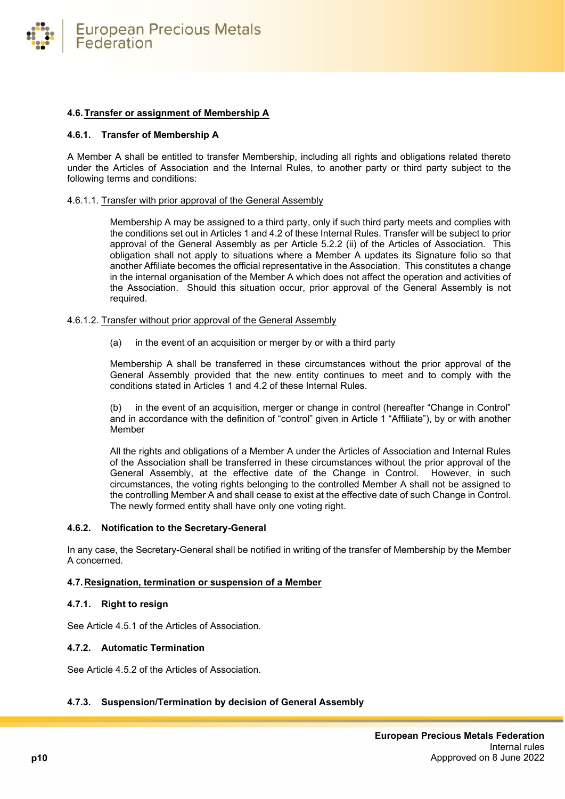**European Precious Metals** Federation

#### <span id="page-9-0"></span>**4.6.Transfer or assignment of Membership A**

#### <span id="page-9-1"></span>**4.6.1. Transfer of Membership A**

A Member A shall be entitled to transfer Membership, including all rights and obligations related thereto under the Articles of Association and the Internal Rules, to another party or third party subject to the following terms and conditions:

#### 4.6.1.1. Transfer with prior approval of the General Assembly

Membership A may be assigned to a third party, only if such third party meets and complies with the conditions set out in Articles 1 and 4.2 of these Internal Rules. Transfer will be subject to prior approval of the General Assembly as per Article 5.2.2 (ii) of the Articles of Association. This obligation shall not apply to situations where a Member A updates its Signature folio so that another Affiliate becomes the official representative in the Association. This constitutes a change in the internal organisation of the Member A which does not affect the operation and activities of the Association. Should this situation occur, prior approval of the General Assembly is not required.

#### 4.6.1.2. Transfer without prior approval of the General Assembly

(a) in the event of an acquisition or merger by or with a third party

Membership A shall be transferred in these circumstances without the prior approval of the General Assembly provided that the new entity continues to meet and to comply with the conditions stated in Articles 1 and 4.2 of these Internal Rules.

(b) in the event of an acquisition, merger or change in control (hereafter "Change in Control" and in accordance with the definition of "control" given in Article 1 "Affiliate"), by or with another Member

All the rights and obligations of a Member A under the Articles of Association and Internal Rules of the Association shall be transferred in these circumstances without the prior approval of the General Assembly, at the effective date of the Change in Control. However, in such circumstances, the voting rights belonging to the controlled Member A shall not be assigned to the controlling Member A and shall cease to exist at the effective date of such Change in Control. The newly formed entity shall have only one voting right.

#### <span id="page-9-2"></span>**4.6.2. Notification to the Secretary-General**

In any case, the Secretary-General shall be notified in writing of the transfer of Membership by the Member A concerned.

#### <span id="page-9-3"></span>**4.7. Resignation, termination or suspension of a Member**

#### <span id="page-9-4"></span>**4.7.1. Right to resign**

See Article 4.5.1 of the Articles of Association.

#### <span id="page-9-5"></span>**4.7.2. Automatic Termination**

See Article 4.5.2 of the Articles of Association.

# <span id="page-9-6"></span>**4.7.3. Suspension/Termination by decision of General Assembly**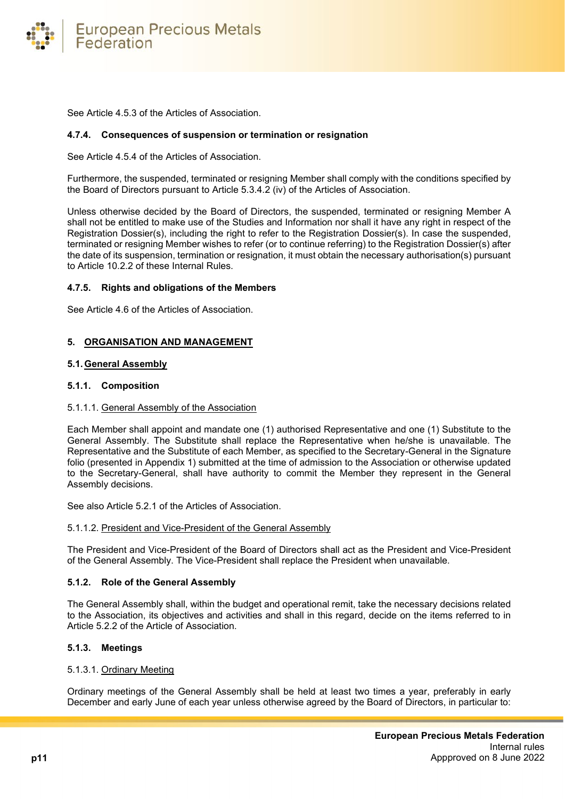

See Article 4.5.3 of the Articles of Association.

#### <span id="page-10-0"></span>**4.7.4. Consequences of suspension or termination or resignation**

See Article 4.5.4 of the Articles of Association.

Furthermore, the suspended, terminated or resigning Member shall comply with the conditions specified by the Board of Directors pursuant to Article 5.3.4.2 (iv) of the Articles of Association.

Unless otherwise decided by the Board of Directors, the suspended, terminated or resigning Member A shall not be entitled to make use of the Studies and Information nor shall it have any right in respect of the Registration Dossier(s), including the right to refer to the Registration Dossier(s). In case the suspended, terminated or resigning Member wishes to refer (or to continue referring) to the Registration Dossier(s) after the date of its suspension, termination or resignation, it must obtain the necessary authorisation(s) pursuant to Article 10.2.2 of these Internal Rules.

#### <span id="page-10-1"></span>**4.7.5. Rights and obligations of the Members**

See Article 4.6 of the Articles of Association.

#### <span id="page-10-2"></span>**5. ORGANISATION AND MANAGEMENT**

#### <span id="page-10-3"></span>**5.1.General Assembly**

#### <span id="page-10-4"></span>**5.1.1. Composition**

#### 5.1.1.1. General Assembly of the Association

Each Member shall appoint and mandate one (1) authorised Representative and one (1) Substitute to the General Assembly. The Substitute shall replace the Representative when he/she is unavailable. The Representative and the Substitute of each Member, as specified to the Secretary-General in the Signature folio (presented in Appendix 1) submitted at the time of admission to the Association or otherwise updated to the Secretary-General, shall have authority to commit the Member they represent in the General Assembly decisions.

See also Article 5.2.1 of the Articles of Association.

#### 5.1.1.2. President and Vice-President of the General Assembly

The President and Vice-President of the Board of Directors shall act as the President and Vice-President of the General Assembly. The Vice-President shall replace the President when unavailable.

#### <span id="page-10-5"></span>**5.1.2. Role of the General Assembly**

The General Assembly shall, within the budget and operational remit, take the necessary decisions related to the Association, its objectives and activities and shall in this regard, decide on the items referred to in Article 5.2.2 of the Article of Association.

#### <span id="page-10-6"></span>**5.1.3. Meetings**

#### 5.1.3.1. Ordinary Meeting

Ordinary meetings of the General Assembly shall be held at least two times a year, preferably in early December and early June of each year unless otherwise agreed by the Board of Directors, in particular to: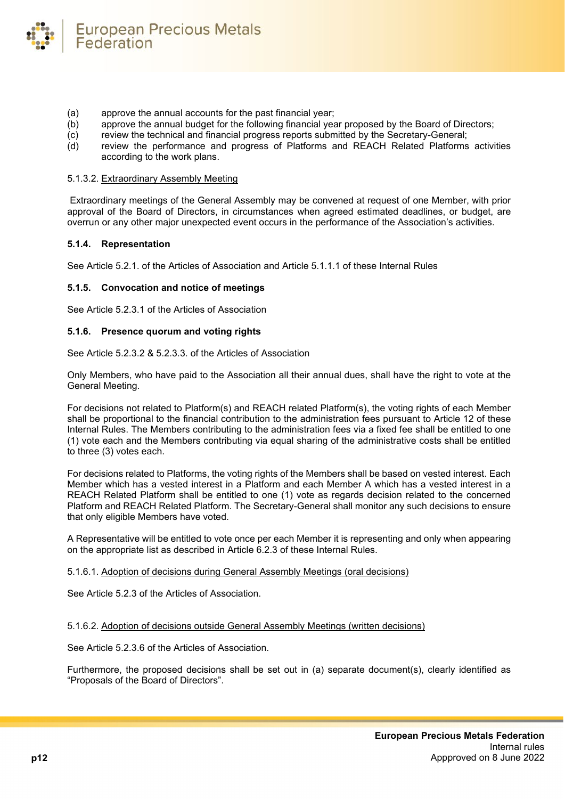- (a) approve the annual accounts for the past financial year;
- (b) approve the annual budget for the following financial year proposed by the Board of Directors;<br>(c) review the technical and financial progress reports submitted by the Secretary-General;
- review the technical and financial progress reports submitted by the Secretary-General;
- (d) review the performance and progress of Platforms and REACH Related Platforms activities according to the work plans.

#### 5.1.3.2. Extraordinary Assembly Meeting

**European Precious Metals** 

Extraordinary meetings of the General Assembly may be convened at request of one Member, with prior approval of the Board of Directors, in circumstances when agreed estimated deadlines, or budget, are overrun or any other major unexpected event occurs in the performance of the Association's activities.

#### <span id="page-11-0"></span>**5.1.4. Representation**

Federation

See Article 5.2.1. of the Articles of Association and Article 5.1.1.1 of these Internal Rules

#### <span id="page-11-1"></span>**5.1.5. Convocation and notice of meetings**

See Article 5.2.3.1 of the Articles of Association

#### <span id="page-11-2"></span>**5.1.6. Presence quorum and voting rights**

See Article 5.2.3.2 & 5.2.3.3. of the Articles of Association

Only Members, who have paid to the Association all their annual dues, shall have the right to vote at the General Meeting.

For decisions not related to Platform(s) and REACH related Platform(s), the voting rights of each Member shall be proportional to the financial contribution to the administration fees pursuant to Article 12 of these Internal Rules. The Members contributing to the administration fees via a fixed fee shall be entitled to one (1) vote each and the Members contributing via equal sharing of the administrative costs shall be entitled to three (3) votes each.

For decisions related to Platforms, the voting rights of the Members shall be based on vested interest. Each Member which has a vested interest in a Platform and each Member A which has a vested interest in a REACH Related Platform shall be entitled to one (1) vote as regards decision related to the concerned Platform and REACH Related Platform. The Secretary-General shall monitor any such decisions to ensure that only eligible Members have voted.

A Representative will be entitled to vote once per each Member it is representing and only when appearing on the appropriate list as described in Article 6.2.3 of these Internal Rules.

#### 5.1.6.1. Adoption of decisions during General Assembly Meetings (oral decisions)

See Article 5.2.3 of the Articles of Association.

#### 5.1.6.2. Adoption of decisions outside General Assembly Meetings (written decisions)

See Article 5.2.3.6 of the Articles of Association.

Furthermore, the proposed decisions shall be set out in (a) separate document(s), clearly identified as "Proposals of the Board of Directors".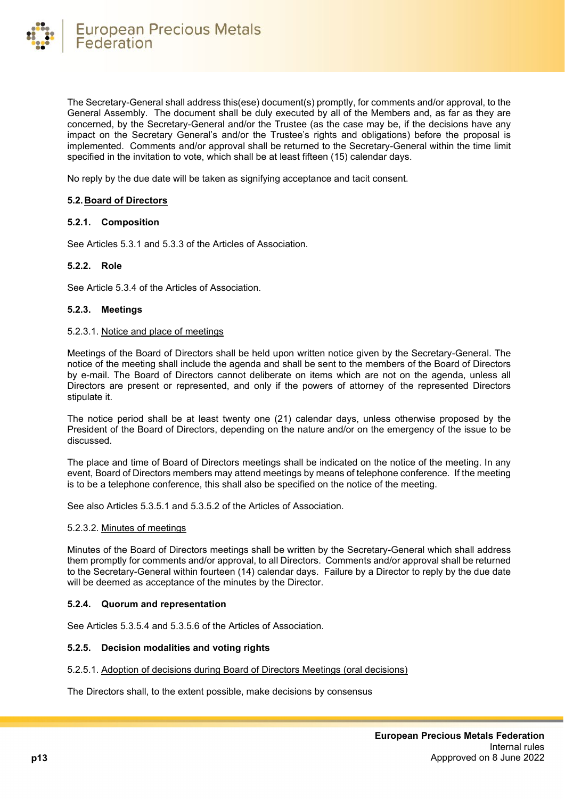

The Secretary-General shall address this(ese) document(s) promptly, for comments and/or approval, to the General Assembly. The document shall be duly executed by all of the Members and, as far as they are concerned, by the Secretary-General and/or the Trustee (as the case may be, if the decisions have any impact on the Secretary General's and/or the Trustee's rights and obligations) before the proposal is implemented. Comments and/or approval shall be returned to the Secretary-General within the time limit specified in the invitation to vote, which shall be at least fifteen (15) calendar days.

No reply by the due date will be taken as signifying acceptance and tacit consent.

#### <span id="page-12-0"></span>**5.2. Board of Directors**

#### <span id="page-12-1"></span>**5.2.1. Composition**

See Articles 5.3.1 and 5.3.3 of the Articles of Association.

#### <span id="page-12-2"></span>**5.2.2. Role**

See Article 5.3.4 of the Articles of Association.

#### <span id="page-12-3"></span>**5.2.3. Meetings**

#### 5.2.3.1. Notice and place of meetings

Meetings of the Board of Directors shall be held upon written notice given by the Secretary-General. The notice of the meeting shall include the agenda and shall be sent to the members of the Board of Directors by e-mail. The Board of Directors cannot deliberate on items which are not on the agenda, unless all Directors are present or represented, and only if the powers of attorney of the represented Directors stipulate it.

The notice period shall be at least twenty one (21) calendar days, unless otherwise proposed by the President of the Board of Directors, depending on the nature and/or on the emergency of the issue to be discussed.

The place and time of Board of Directors meetings shall be indicated on the notice of the meeting. In any event, Board of Directors members may attend meetings by means of telephone conference. If the meeting is to be a telephone conference, this shall also be specified on the notice of the meeting.

See also Articles 5.3.5.1 and 5.3.5.2 of the Articles of Association.

#### 5.2.3.2. Minutes of meetings

Minutes of the Board of Directors meetings shall be written by the Secretary-General which shall address them promptly for comments and/or approval, to all Directors. Comments and/or approval shall be returned to the Secretary-General within fourteen (14) calendar days. Failure by a Director to reply by the due date will be deemed as acceptance of the minutes by the Director.

#### <span id="page-12-4"></span>**5.2.4. Quorum and representation**

See Articles 5.3.5.4 and 5.3.5.6 of the Articles of Association.

#### <span id="page-12-5"></span>**5.2.5. Decision modalities and voting rights**

5.2.5.1. Adoption of decisions during Board of Directors Meetings (oral decisions)

The Directors shall, to the extent possible, make decisions by consensus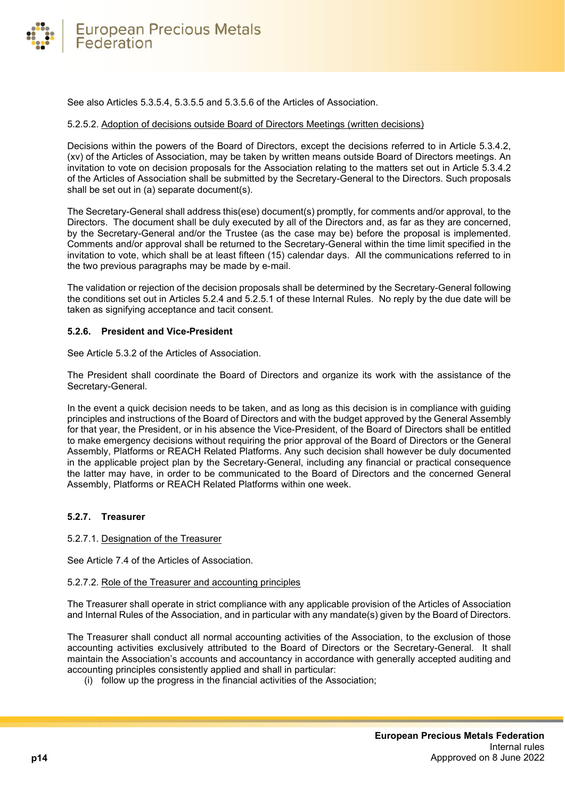

See also Articles 5.3.5.4, 5.3.5.5 and 5.3.5.6 of the Articles of Association.

#### 5.2.5.2. Adoption of decisions outside Board of Directors Meetings (written decisions)

Decisions within the powers of the Board of Directors, except the decisions referred to in Article 5.3.4.2, (xv) of the Articles of Association, may be taken by written means outside Board of Directors meetings. An invitation to vote on decision proposals for the Association relating to the matters set out in Article 5.3.4.2 of the Articles of Association shall be submitted by the Secretary-General to the Directors. Such proposals shall be set out in (a) separate document(s).

The Secretary-General shall address this(ese) document(s) promptly, for comments and/or approval, to the Directors. The document shall be duly executed by all of the Directors and, as far as they are concerned, by the Secretary-General and/or the Trustee (as the case may be) before the proposal is implemented. Comments and/or approval shall be returned to the Secretary-General within the time limit specified in the invitation to vote, which shall be at least fifteen (15) calendar days. All the communications referred to in the two previous paragraphs may be made by e-mail.

The validation or rejection of the decision proposals shall be determined by the Secretary-General following the conditions set out in Articles 5.2.4 and 5.2.5.1 of these Internal Rules. No reply by the due date will be taken as signifying acceptance and tacit consent.

#### <span id="page-13-0"></span>**5.2.6. President and Vice-President**

See Article 5.3.2 of the Articles of Association.

The President shall coordinate the Board of Directors and organize its work with the assistance of the Secretary-General.

In the event a quick decision needs to be taken, and as long as this decision is in compliance with guiding principles and instructions of the Board of Directors and with the budget approved by the General Assembly for that year, the President, or in his absence the Vice-President, of the Board of Directors shall be entitled to make emergency decisions without requiring the prior approval of the Board of Directors or the General Assembly, Platforms or REACH Related Platforms. Any such decision shall however be duly documented in the applicable project plan by the Secretary-General, including any financial or practical consequence the latter may have, in order to be communicated to the Board of Directors and the concerned General Assembly, Platforms or REACH Related Platforms within one week.

#### <span id="page-13-1"></span>**5.2.7. Treasurer**

#### 5.2.7.1. Designation of the Treasurer

See Article 7.4 of the Articles of Association.

#### 5.2.7.2. Role of the Treasurer and accounting principles

The Treasurer shall operate in strict compliance with any applicable provision of the Articles of Association and Internal Rules of the Association, and in particular with any mandate(s) given by the Board of Directors.

The Treasurer shall conduct all normal accounting activities of the Association, to the exclusion of those accounting activities exclusively attributed to the Board of Directors or the Secretary-General. It shall maintain the Association's accounts and accountancy in accordance with generally accepted auditing and accounting principles consistently applied and shall in particular:

(i) follow up the progress in the financial activities of the Association;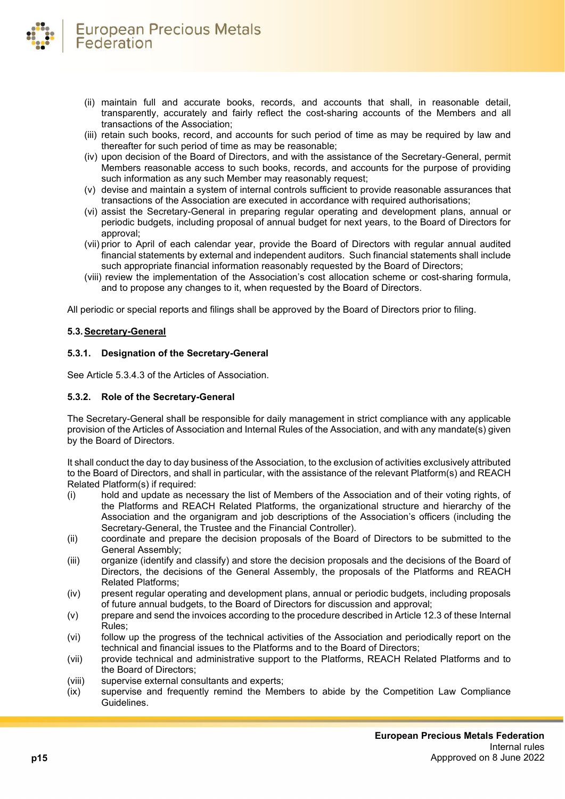- (ii) maintain full and accurate books, records, and accounts that shall, in reasonable detail, transparently, accurately and fairly reflect the cost-sharing accounts of the Members and all transactions of the Association;
- (iii) retain such books, record, and accounts for such period of time as may be required by law and thereafter for such period of time as may be reasonable;
- (iv) upon decision of the Board of Directors, and with the assistance of the Secretary-General, permit Members reasonable access to such books, records, and accounts for the purpose of providing such information as any such Member may reasonably request;
- (v) devise and maintain a system of internal controls sufficient to provide reasonable assurances that transactions of the Association are executed in accordance with required authorisations;
- (vi) assist the Secretary-General in preparing regular operating and development plans, annual or periodic budgets, including proposal of annual budget for next years, to the Board of Directors for approval;
- (vii) prior to April of each calendar year, provide the Board of Directors with regular annual audited financial statements by external and independent auditors. Such financial statements shall include such appropriate financial information reasonably requested by the Board of Directors;
- (viii) review the implementation of the Association's cost allocation scheme or cost-sharing formula, and to propose any changes to it, when requested by the Board of Directors.

All periodic or special reports and filings shall be approved by the Board of Directors prior to filing.

# <span id="page-14-0"></span>**5.3.Secretary-General**

# <span id="page-14-1"></span>**5.3.1. Designation of the Secretary-General**

See Article 5.3.4.3 of the Articles of Association.

# <span id="page-14-2"></span>**5.3.2. Role of the Secretary-General**

The Secretary-General shall be responsible for daily management in strict compliance with any applicable provision of the Articles of Association and Internal Rules of the Association, and with any mandate(s) given by the Board of Directors.

It shall conduct the day to day business of the Association, to the exclusion of activities exclusively attributed to the Board of Directors, and shall in particular, with the assistance of the relevant Platform(s) and REACH Related Platform(s) if required:

- (i) hold and update as necessary the list of Members of the Association and of their voting rights, of the Platforms and REACH Related Platforms, the organizational structure and hierarchy of the Association and the organigram and job descriptions of the Association's officers (including the Secretary-General, the Trustee and the Financial Controller).
- (ii) coordinate and prepare the decision proposals of the Board of Directors to be submitted to the General Assembly;
- (iii) organize (identify and classify) and store the decision proposals and the decisions of the Board of Directors, the decisions of the General Assembly, the proposals of the Platforms and REACH Related Platforms;
- (iv) present regular operating and development plans, annual or periodic budgets, including proposals of future annual budgets, to the Board of Directors for discussion and approval;
- (v) prepare and send the invoices according to the procedure described in Article 12.3 of these Internal Rules;
- (vi) follow up the progress of the technical activities of the Association and periodically report on the technical and financial issues to the Platforms and to the Board of Directors;
- (vii) provide technical and administrative support to the Platforms, REACH Related Platforms and to the Board of Directors;
- (viii) supervise external consultants and experts;
- (ix) supervise and frequently remind the Members to abide by the Competition Law Compliance Guidelines.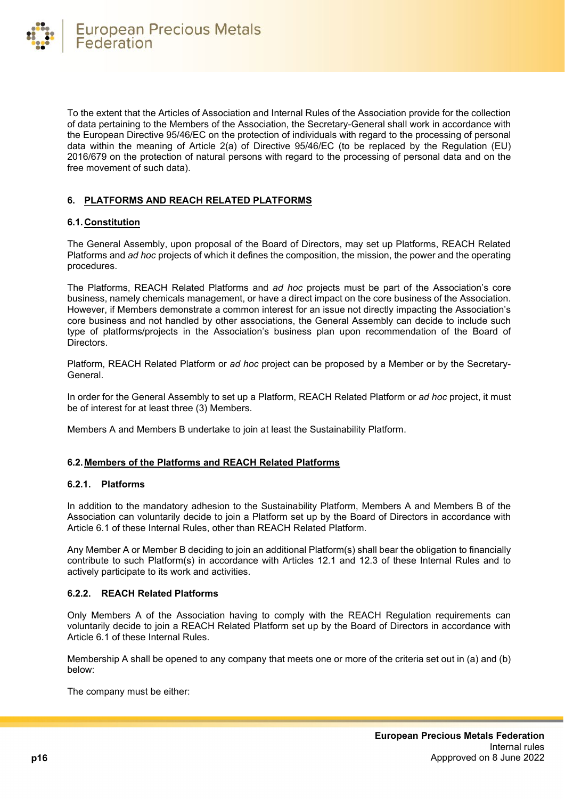To the extent that the Articles of Association and Internal Rules of the Association provide for the collection of data pertaining to the Members of the Association, the Secretary-General shall work in accordance with the European Directive 95/46/EC on the protection of individuals with regard to the processing of personal data within the meaning of Article 2(a) of Directive 95/46/EC (to be replaced by the Regulation (EU) 2016/679 on the protection of natural persons with regard to the processing of personal data and on the free movement of such data).

# <span id="page-15-0"></span>**6. PLATFORMS AND REACH RELATED PLATFORMS**

# <span id="page-15-1"></span>**6.1. Constitution**

The General Assembly, upon proposal of the Board of Directors, may set up Platforms, REACH Related Platforms and *ad hoc* projects of which it defines the composition, the mission, the power and the operating procedures.

The Platforms, REACH Related Platforms and *ad hoc* projects must be part of the Association's core business, namely chemicals management, or have a direct impact on the core business of the Association. However, if Members demonstrate a common interest for an issue not directly impacting the Association's core business and not handled by other associations, the General Assembly can decide to include such type of platforms/projects in the Association's business plan upon recommendation of the Board of Directors.

Platform, REACH Related Platform or *ad hoc* project can be proposed by a Member or by the Secretary-General.

In order for the General Assembly to set up a Platform, REACH Related Platform or *ad hoc* project, it must be of interest for at least three (3) Members.

Members A and Members B undertake to join at least the Sustainability Platform.

# <span id="page-15-2"></span>**6.2. Members of the Platforms and REACH Related Platforms**

# <span id="page-15-3"></span>**6.2.1. Platforms**

In addition to the mandatory adhesion to the Sustainability Platform, Members A and Members B of the Association can voluntarily decide to join a Platform set up by the Board of Directors in accordance with Article 6.1 of these Internal Rules, other than REACH Related Platform.

Any Member A or Member B deciding to join an additional Platform(s) shall bear the obligation to financially contribute to such Platform(s) in accordance with Articles 12.1 and 12.3 of these Internal Rules and to actively participate to its work and activities.

# <span id="page-15-4"></span>**6.2.2. REACH Related Platforms**

Only Members A of the Association having to comply with the REACH Regulation requirements can voluntarily decide to join a REACH Related Platform set up by the Board of Directors in accordance with Article 6.1 of these Internal Rules.

Membership A shall be opened to any company that meets one or more of the criteria set out in (a) and (b) below:

The company must be either: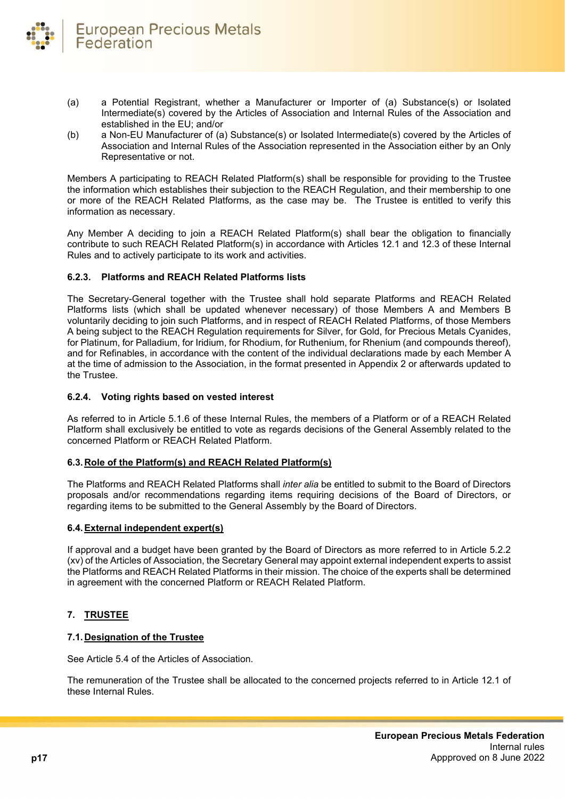

- (a) a Potential Registrant, whether a Manufacturer or Importer of (a) Substance(s) or Isolated Intermediate(s) covered by the Articles of Association and Internal Rules of the Association and established in the EU; and/or
- (b) a Non-EU Manufacturer of (a) Substance(s) or Isolated Intermediate(s) covered by the Articles of Association and Internal Rules of the Association represented in the Association either by an Only Representative or not.

Members A participating to REACH Related Platform(s) shall be responsible for providing to the Trustee the information which establishes their subjection to the REACH Regulation, and their membership to one or more of the REACH Related Platforms, as the case may be. The Trustee is entitled to verify this information as necessary.

Any Member A deciding to join a REACH Related Platform(s) shall bear the obligation to financially contribute to such REACH Related Platform(s) in accordance with Articles 12.1 and 12.3 of these Internal Rules and to actively participate to its work and activities.

# <span id="page-16-0"></span>**6.2.3. Platforms and REACH Related Platforms lists**

The Secretary-General together with the Trustee shall hold separate Platforms and REACH Related Platforms lists (which shall be updated whenever necessary) of those Members A and Members B voluntarily deciding to join such Platforms, and in respect of REACH Related Platforms, of those Members A being subject to the REACH Regulation requirements for Silver, for Gold, for Precious Metals Cyanides, for Platinum, for Palladium, for Iridium, for Rhodium, for Ruthenium, for Rhenium (and compounds thereof), and for Refinables, in accordance with the content of the individual declarations made by each Member A at the time of admission to the Association, in the format presented in Appendix 2 or afterwards updated to the Trustee.

# <span id="page-16-1"></span>**6.2.4. Voting rights based on vested interest**

As referred to in Article 5.1.6 of these Internal Rules, the members of a Platform or of a REACH Related Platform shall exclusively be entitled to vote as regards decisions of the General Assembly related to the concerned Platform or REACH Related Platform.

# <span id="page-16-2"></span>**6.3. Role of the Platform(s) and REACH Related Platform(s)**

The Platforms and REACH Related Platforms shall *inter alia* be entitled to submit to the Board of Directors proposals and/or recommendations regarding items requiring decisions of the Board of Directors, or regarding items to be submitted to the General Assembly by the Board of Directors.

# <span id="page-16-3"></span>**6.4.External independent expert(s)**

If approval and a budget have been granted by the Board of Directors as more referred to in Article 5.2.2 (xv) of the Articles of Association, the Secretary General may appoint external independent experts to assist the Platforms and REACH Related Platforms in their mission. The choice of the experts shall be determined in agreement with the concerned Platform or REACH Related Platform.

# <span id="page-16-4"></span>**7. TRUSTEE**

#### <span id="page-16-5"></span>**7.1. Designation of the Trustee**

See Article 5.4 of the Articles of Association.

The remuneration of the Trustee shall be allocated to the concerned projects referred to in Article 12.1 of these Internal Rules.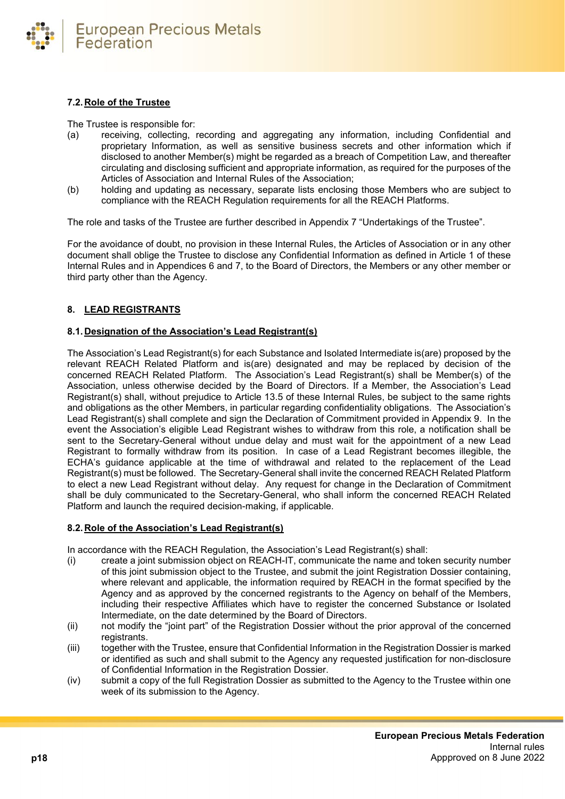

# <span id="page-17-0"></span>**7.2. Role of the Trustee**

The Trustee is responsible for:

- (a) receiving, collecting, recording and aggregating any information, including Confidential and proprietary Information, as well as sensitive business secrets and other information which if disclosed to another Member(s) might be regarded as a breach of Competition Law, and thereafter circulating and disclosing sufficient and appropriate information, as required for the purposes of the Articles of Association and Internal Rules of the Association;
- (b) holding and updating as necessary, separate lists enclosing those Members who are subject to compliance with the REACH Regulation requirements for all the REACH Platforms.

The role and tasks of the Trustee are further described in Appendix 7 "Undertakings of the Trustee".

For the avoidance of doubt, no provision in these Internal Rules, the Articles of Association or in any other document shall oblige the Trustee to disclose any Confidential Information as defined in Article 1 of these Internal Rules and in Appendices 6 and 7, to the Board of Directors, the Members or any other member or third party other than the Agency.

# <span id="page-17-1"></span>**8. LEAD REGISTRANTS**

#### <span id="page-17-2"></span>**8.1. Designation of the Association's Lead Registrant(s)**

The Association's Lead Registrant(s) for each Substance and Isolated Intermediate is(are) proposed by the relevant REACH Related Platform and is(are) designated and may be replaced by decision of the concerned REACH Related Platform. The Association's Lead Registrant(s) shall be Member(s) of the Association, unless otherwise decided by the Board of Directors. If a Member, the Association's Lead Registrant(s) shall, without prejudice to Article 13.5 of these Internal Rules, be subject to the same rights and obligations as the other Members, in particular regarding confidentiality obligations. The Association's Lead Registrant(s) shall complete and sign the Declaration of Commitment provided in Appendix 9. In the event the Association's eligible Lead Registrant wishes to withdraw from this role, a notification shall be sent to the Secretary-General without undue delay and must wait for the appointment of a new Lead Registrant to formally withdraw from its position. In case of a Lead Registrant becomes illegible, the ECHA's guidance applicable at the time of withdrawal and related to the replacement of the Lead Registrant(s) must be followed. The Secretary-General shall invite the concerned REACH Related Platform to elect a new Lead Registrant without delay. Any request for change in the Declaration of Commitment shall be duly communicated to the Secretary-General, who shall inform the concerned REACH Related Platform and launch the required decision-making, if applicable.

# <span id="page-17-3"></span>**8.2. Role of the Association's Lead Registrant(s)**

In accordance with the REACH Regulation, the Association's Lead Registrant(s) shall:

- (i) create a joint submission object on REACH-IT, communicate the name and token security number of this joint submission object to the Trustee, and submit the joint Registration Dossier containing, where relevant and applicable, the information required by REACH in the format specified by the Agency and as approved by the concerned registrants to the Agency on behalf of the Members, including their respective Affiliates which have to register the concerned Substance or Isolated Intermediate, on the date determined by the Board of Directors.
- (ii) not modify the "joint part" of the Registration Dossier without the prior approval of the concerned registrants.
- (iii) together with the Trustee, ensure that Confidential Information in the Registration Dossier is marked or identified as such and shall submit to the Agency any requested justification for non-disclosure of Confidential Information in the Registration Dossier.
- (iv) submit a copy of the full Registration Dossier as submitted to the Agency to the Trustee within one week of its submission to the Agency.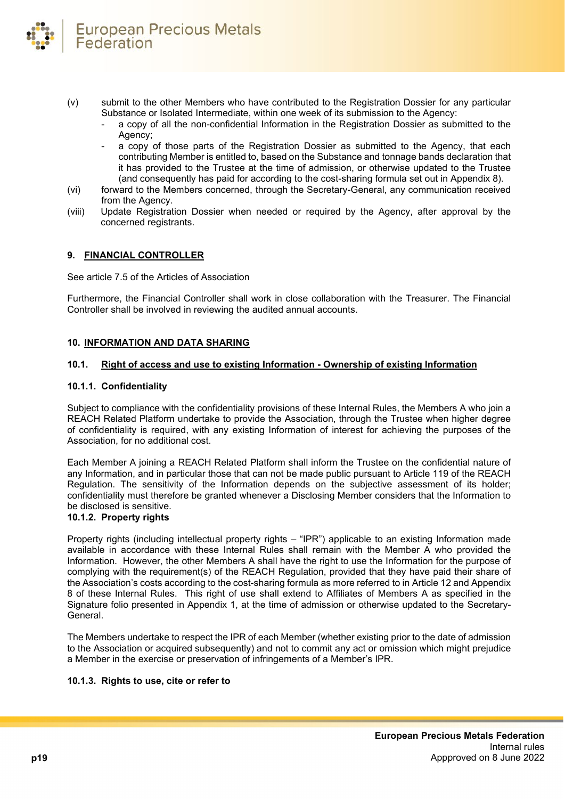

- (v) submit to the other Members who have contributed to the Registration Dossier for any particular Substance or Isolated Intermediate, within one week of its submission to the Agency:
	- a copy of all the non-confidential Information in the Registration Dossier as submitted to the Agency;
	- a copy of those parts of the Registration Dossier as submitted to the Agency, that each contributing Member is entitled to, based on the Substance and tonnage bands declaration that it has provided to the Trustee at the time of admission, or otherwise updated to the Trustee (and consequently has paid for according to the cost-sharing formula set out in Appendix 8).
- (vi) forward to the Members concerned, through the Secretary-General, any communication received from the Agency.
- (viii) Update Registration Dossier when needed or required by the Agency, after approval by the concerned registrants.

#### <span id="page-18-0"></span>**9. FINANCIAL CONTROLLER**

See article 7.5 of the Articles of Association

Furthermore, the Financial Controller shall work in close collaboration with the Treasurer. The Financial Controller shall be involved in reviewing the audited annual accounts.

#### <span id="page-18-1"></span>**10. INFORMATION AND DATA SHARING**

#### <span id="page-18-2"></span>**10.1. Right of access and use to existing Information - Ownership of existing Information**

#### <span id="page-18-3"></span>**10.1.1. Confidentiality**

Subject to compliance with the confidentiality provisions of these Internal Rules, the Members A who join a REACH Related Platform undertake to provide the Association, through the Trustee when higher degree of confidentiality is required, with any existing Information of interest for achieving the purposes of the Association, for no additional cost.

Each Member A joining a REACH Related Platform shall inform the Trustee on the confidential nature of any Information, and in particular those that can not be made public pursuant to Article 119 of the REACH Regulation. The sensitivity of the Information depends on the subjective assessment of its holder; confidentiality must therefore be granted whenever a Disclosing Member considers that the Information to be disclosed is sensitive.

# <span id="page-18-4"></span>**10.1.2. Property rights**

Property rights (including intellectual property rights – "IPR") applicable to an existing Information made available in accordance with these Internal Rules shall remain with the Member A who provided the Information. However, the other Members A shall have the right to use the Information for the purpose of complying with the requirement(s) of the REACH Regulation, provided that they have paid their share of the Association's costs according to the cost-sharing formula as more referred to in Article 12 and Appendix 8 of these Internal Rules. This right of use shall extend to Affiliates of Members A as specified in the Signature folio presented in Appendix 1, at the time of admission or otherwise updated to the Secretary-General.

The Members undertake to respect the IPR of each Member (whether existing prior to the date of admission to the Association or acquired subsequently) and not to commit any act or omission which might prejudice a Member in the exercise or preservation of infringements of a Member's IPR.

#### <span id="page-18-5"></span>**10.1.3. Rights to use, cite or refer to**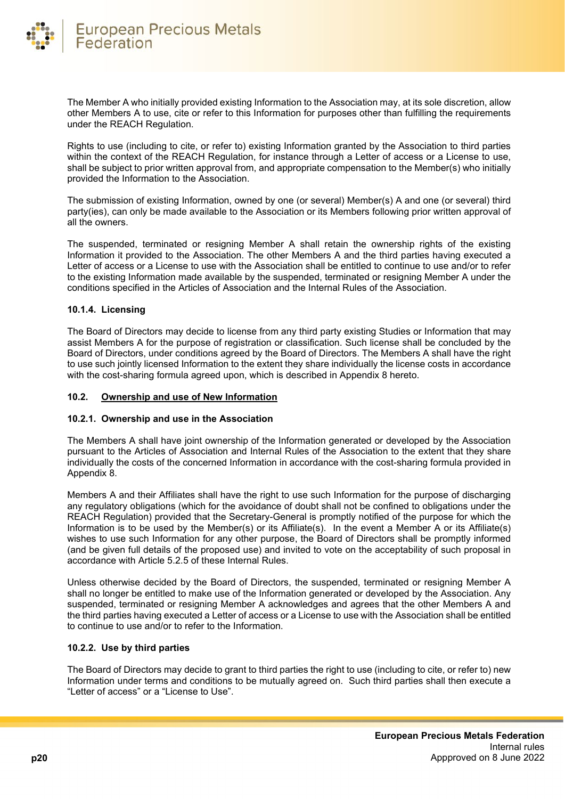

The Member A who initially provided existing Information to the Association may, at its sole discretion, allow other Members A to use, cite or refer to this Information for purposes other than fulfilling the requirements under the REACH Regulation.

Rights to use (including to cite, or refer to) existing Information granted by the Association to third parties within the context of the REACH Regulation, for instance through a Letter of access or a License to use, shall be subject to prior written approval from, and appropriate compensation to the Member(s) who initially provided the Information to the Association.

The submission of existing Information, owned by one (or several) Member(s) A and one (or several) third party(ies), can only be made available to the Association or its Members following prior written approval of all the owners.

The suspended, terminated or resigning Member A shall retain the ownership rights of the existing Information it provided to the Association. The other Members A and the third parties having executed a Letter of access or a License to use with the Association shall be entitled to continue to use and/or to refer to the existing Information made available by the suspended, terminated or resigning Member A under the conditions specified in the Articles of Association and the Internal Rules of the Association.

# <span id="page-19-0"></span>**10.1.4. Licensing**

The Board of Directors may decide to license from any third party existing Studies or Information that may assist Members A for the purpose of registration or classification. Such license shall be concluded by the Board of Directors, under conditions agreed by the Board of Directors. The Members A shall have the right to use such jointly licensed Information to the extent they share individually the license costs in accordance with the cost-sharing formula agreed upon, which is described in Appendix 8 hereto.

#### <span id="page-19-1"></span>**10.2. Ownership and use of New Information**

# <span id="page-19-2"></span>**10.2.1. Ownership and use in the Association**

The Members A shall have joint ownership of the Information generated or developed by the Association pursuant to the Articles of Association and Internal Rules of the Association to the extent that they share individually the costs of the concerned Information in accordance with the cost-sharing formula provided in Appendix 8.

Members A and their Affiliates shall have the right to use such Information for the purpose of discharging any regulatory obligations (which for the avoidance of doubt shall not be confined to obligations under the REACH Regulation) provided that the Secretary-General is promptly notified of the purpose for which the Information is to be used by the Member(s) or its Affiliate(s). In the event a Member A or its Affiliate(s) wishes to use such Information for any other purpose, the Board of Directors shall be promptly informed (and be given full details of the proposed use) and invited to vote on the acceptability of such proposal in accordance with Article 5.2.5 of these Internal Rules.

Unless otherwise decided by the Board of Directors, the suspended, terminated or resigning Member A shall no longer be entitled to make use of the Information generated or developed by the Association. Any suspended, terminated or resigning Member A acknowledges and agrees that the other Members A and the third parties having executed a Letter of access or a License to use with the Association shall be entitled to continue to use and/or to refer to the Information.

# <span id="page-19-3"></span>**10.2.2. Use by third parties**

The Board of Directors may decide to grant to third parties the right to use (including to cite, or refer to) new Information under terms and conditions to be mutually agreed on. Such third parties shall then execute a "Letter of access" or a "License to Use".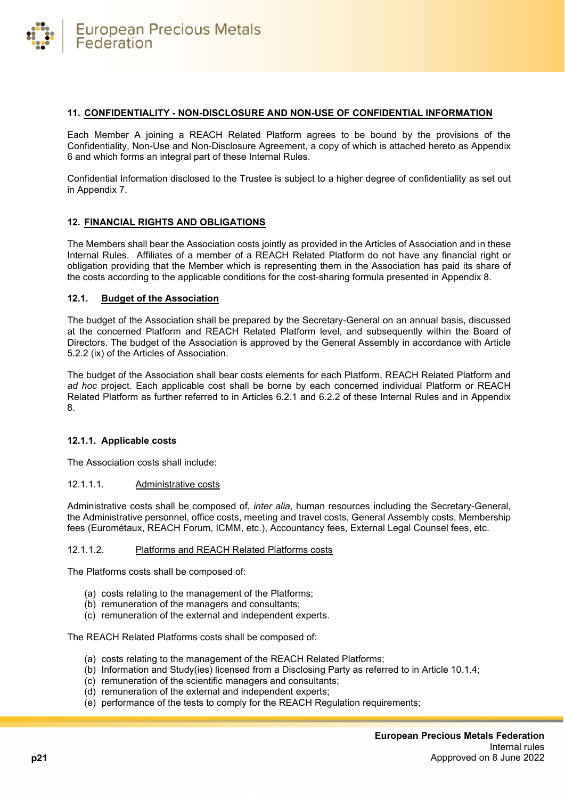#### <span id="page-20-0"></span>**11. CONFIDENTIALITY - NON-DISCLOSURE AND NON-USE OF CONFIDENTIAL INFORMATION**

Each Member A joining a REACH Related Platform agrees to be bound by the provisions of the Confidentiality, Non-Use and Non-Disclosure Agreement, a copy of which is attached hereto as Appendix 6 and which forms an integral part of these Internal Rules.

Confidential Information disclosed to the Trustee is subject to a higher degree of confidentiality as set out in Appendix 7.

# <span id="page-20-1"></span>**12. FINANCIAL RIGHTS AND OBLIGATIONS**

The Members shall bear the Association costs jointly as provided in the Articles of Association and in these Internal Rules. Affiliates of a member of a REACH Related Platform do not have any financial right or obligation providing that the Member which is representing them in the Association has paid its share of the costs according to the applicable conditions for the cost-sharing formula presented in Appendix 8.

#### <span id="page-20-2"></span>**12.1. Budget of the Association**

The budget of the Association shall be prepared by the Secretary-General on an annual basis, discussed at the concerned Platform and REACH Related Platform level, and subsequently within the Board of Directors. The budget of the Association is approved by the General Assembly in accordance with Article 5.2.2 (ix) of the Articles of Association.

The budget of the Association shall bear costs elements for each Platform, REACH Related Platform and *ad hoc* project. Each applicable cost shall be borne by each concerned individual Platform or REACH Related Platform as further referred to in Articles 6.2.1 and 6.2.2 of these Internal Rules and in Appendix 8.

# <span id="page-20-3"></span>**12.1.1. Applicable costs**

The Association costs shall include:

# 12.1.1.1. Administrative costs

Administrative costs shall be composed of, *inter alia*, human resources including the Secretary-General, the Administrative personnel, office costs, meeting and travel costs, General Assembly costs, Membership fees (Eurométaux, REACH Forum, ICMM, etc.), Accountancy fees, External Legal Counsel fees, etc.

#### 12.1.1.2. Platforms and REACH Related Platforms costs

The Platforms costs shall be composed of:

- (a) costs relating to the management of the Platforms;
- (b) remuneration of the managers and consultants;
- (c) remuneration of the external and independent experts.

The REACH Related Platforms costs shall be composed of:

- (a) costs relating to the management of the REACH Related Platforms;
- (b) Information and Study(ies) licensed from a Disclosing Party as referred to in Article 10.1.4;
- (c) remuneration of the scientific managers and consultants;
- (d) remuneration of the external and independent experts;
- (e) performance of the tests to comply for the REACH Regulation requirements;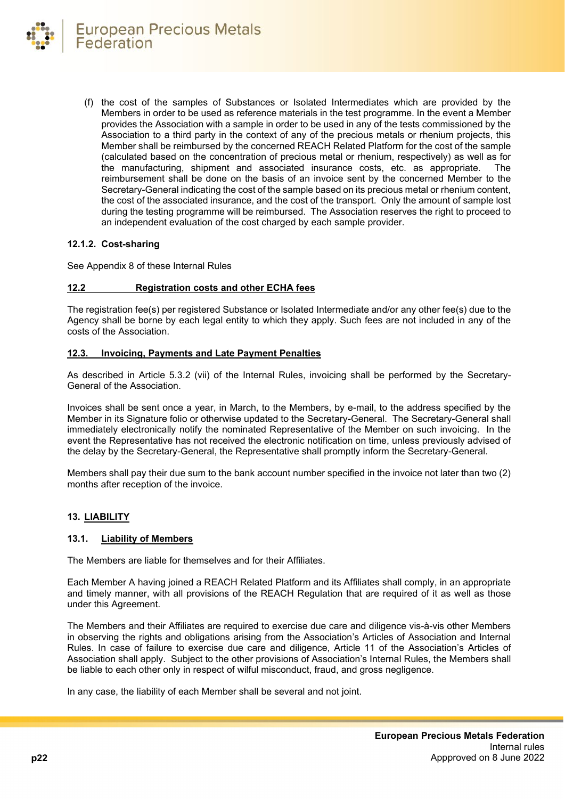

(f) the cost of the samples of Substances or Isolated Intermediates which are provided by the Members in order to be used as reference materials in the test programme. In the event a Member provides the Association with a sample in order to be used in any of the tests commissioned by the Association to a third party in the context of any of the precious metals or rhenium projects, this Member shall be reimbursed by the concerned REACH Related Platform for the cost of the sample (calculated based on the concentration of precious metal or rhenium, respectively) as well as for the manufacturing, shipment and associated insurance costs, etc. as appropriate. The reimbursement shall be done on the basis of an invoice sent by the concerned Member to the Secretary-General indicating the cost of the sample based on its precious metal or rhenium content, the cost of the associated insurance, and the cost of the transport. Only the amount of sample lost during the testing programme will be reimbursed. The Association reserves the right to proceed to an independent evaluation of the cost charged by each sample provider.

#### <span id="page-21-0"></span>**12.1.2. Cost-sharing**

See Appendix 8 of these Internal Rules

#### <span id="page-21-1"></span>**12.2 Registration costs and other ECHA fees**

The registration fee(s) per registered Substance or Isolated Intermediate and/or any other fee(s) due to the Agency shall be borne by each legal entity to which they apply. Such fees are not included in any of the costs of the Association.

# <span id="page-21-2"></span>**12.3. Invoicing, Payments and Late Payment Penalties**

As described in Article 5.3.2 (vii) of the Internal Rules, invoicing shall be performed by the Secretary-General of the Association.

Invoices shall be sent once a year, in March, to the Members, by e-mail, to the address specified by the Member in its Signature folio or otherwise updated to the Secretary-General. The Secretary-General shall immediately electronically notify the nominated Representative of the Member on such invoicing. In the event the Representative has not received the electronic notification on time, unless previously advised of the delay by the Secretary-General, the Representative shall promptly inform the Secretary-General.

Members shall pay their due sum to the bank account number specified in the invoice not later than two (2) months after reception of the invoice.

# <span id="page-21-3"></span>**13. LIABILITY**

#### <span id="page-21-4"></span>**13.1. Liability of Members**

The Members are liable for themselves and for their Affiliates.

Each Member A having joined a REACH Related Platform and its Affiliates shall comply, in an appropriate and timely manner, with all provisions of the REACH Regulation that are required of it as well as those under this Agreement.

The Members and their Affiliates are required to exercise due care and diligence vis-à-vis other Members in observing the rights and obligations arising from the Association's Articles of Association and Internal Rules. In case of failure to exercise due care and diligence, Article 11 of the Association's Articles of Association shall apply. Subject to the other provisions of Association's Internal Rules, the Members shall be liable to each other only in respect of wilful misconduct, fraud, and gross negligence.

In any case, the liability of each Member shall be several and not joint.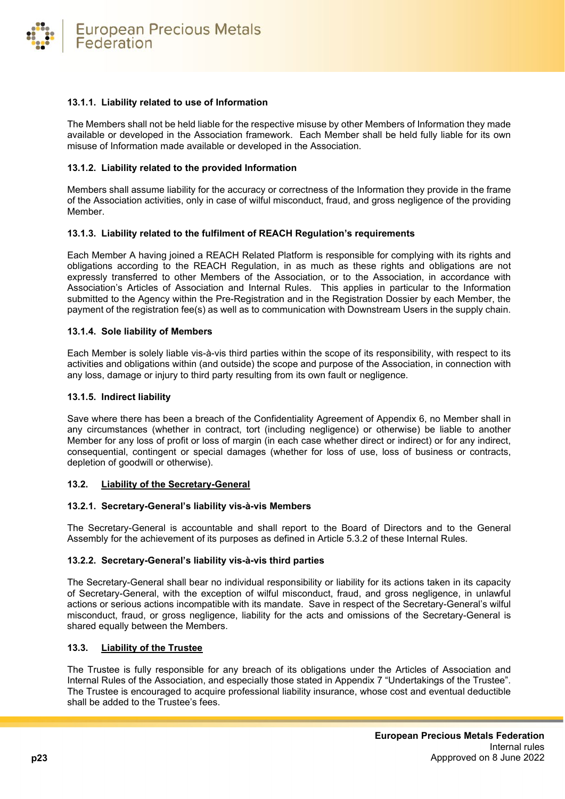

#### <span id="page-22-0"></span>**13.1.1. Liability related to use of Information**

The Members shall not be held liable for the respective misuse by other Members of Information they made available or developed in the Association framework. Each Member shall be held fully liable for its own misuse of Information made available or developed in the Association.

#### <span id="page-22-1"></span>**13.1.2. Liability related to the provided Information**

Members shall assume liability for the accuracy or correctness of the Information they provide in the frame of the Association activities, only in case of wilful misconduct, fraud, and gross negligence of the providing Member.

#### <span id="page-22-2"></span>**13.1.3. Liability related to the fulfilment of REACH Regulation's requirements**

Each Member A having joined a REACH Related Platform is responsible for complying with its rights and obligations according to the REACH Regulation, in as much as these rights and obligations are not expressly transferred to other Members of the Association, or to the Association, in accordance with Association's Articles of Association and Internal Rules. This applies in particular to the Information submitted to the Agency within the Pre-Registration and in the Registration Dossier by each Member, the payment of the registration fee(s) as well as to communication with Downstream Users in the supply chain.

#### <span id="page-22-3"></span>**13.1.4. Sole liability of Members**

Each Member is solely liable vis-à-vis third parties within the scope of its responsibility, with respect to its activities and obligations within (and outside) the scope and purpose of the Association, in connection with any loss, damage or injury to third party resulting from its own fault or negligence.

#### <span id="page-22-4"></span>**13.1.5. Indirect liability**

Save where there has been a breach of the Confidentiality Agreement of Appendix 6, no Member shall in any circumstances (whether in contract, tort (including negligence) or otherwise) be liable to another Member for any loss of profit or loss of margin (in each case whether direct or indirect) or for any indirect, consequential, contingent or special damages (whether for loss of use, loss of business or contracts, depletion of goodwill or otherwise).

#### <span id="page-22-5"></span>**13.2. Liability of the Secretary-General**

#### <span id="page-22-6"></span>**13.2.1. Secretary-General's liability vis-à-vis Members**

The Secretary-General is accountable and shall report to the Board of Directors and to the General Assembly for the achievement of its purposes as defined in Article 5.3.2 of these Internal Rules.

#### <span id="page-22-7"></span>**13.2.2. Secretary-General's liability vis-à-vis third parties**

The Secretary-General shall bear no individual responsibility or liability for its actions taken in its capacity of Secretary-General, with the exception of wilful misconduct, fraud, and gross negligence, in unlawful actions or serious actions incompatible with its mandate. Save in respect of the Secretary-General's wilful misconduct, fraud, or gross negligence, liability for the acts and omissions of the Secretary-General is shared equally between the Members.

# <span id="page-22-8"></span>**13.3. Liability of the Trustee**

The Trustee is fully responsible for any breach of its obligations under the Articles of Association and Internal Rules of the Association, and especially those stated in Appendix 7 "Undertakings of the Trustee". The Trustee is encouraged to acquire professional liability insurance, whose cost and eventual deductible shall be added to the Trustee's fees.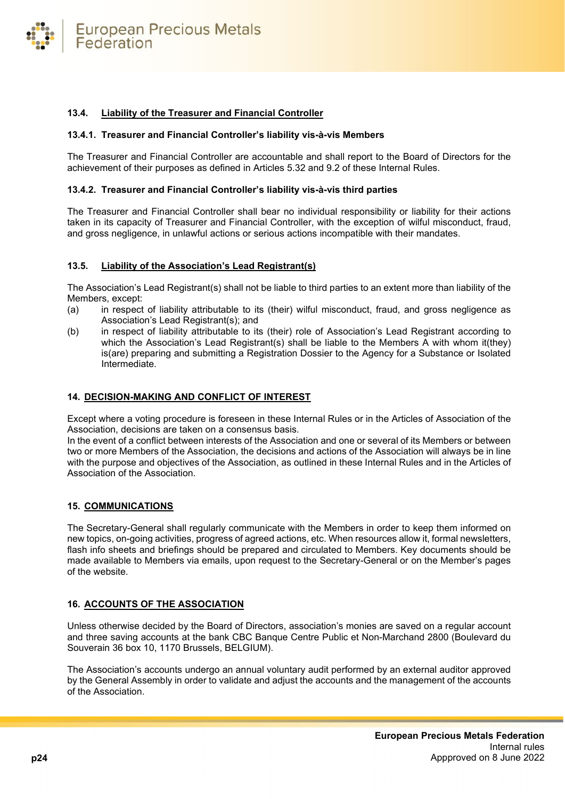

#### <span id="page-23-0"></span>**13.4. Liability of the Treasurer and Financial Controller**

#### <span id="page-23-1"></span>**13.4.1. Treasurer and Financial Controller's liability vis-à-vis Members**

The Treasurer and Financial Controller are accountable and shall report to the Board of Directors for the achievement of their purposes as defined in Articles 5.32 and 9.2 of these Internal Rules.

#### <span id="page-23-2"></span>**13.4.2. Treasurer and Financial Controller's liability vis-à-vis third parties**

The Treasurer and Financial Controller shall bear no individual responsibility or liability for their actions taken in its capacity of Treasurer and Financial Controller, with the exception of wilful misconduct, fraud, and gross negligence, in unlawful actions or serious actions incompatible with their mandates.

#### <span id="page-23-3"></span>**13.5. Liability of the Association's Lead Registrant(s)**

The Association's Lead Registrant(s) shall not be liable to third parties to an extent more than liability of the Members, except:

- (a) in respect of liability attributable to its (their) wilful misconduct, fraud, and gross negligence as Association's Lead Registrant(s); and
- (b) in respect of liability attributable to its (their) role of Association's Lead Registrant according to which the Association's Lead Registrant(s) shall be liable to the Members A with whom it(they) is(are) preparing and submitting a Registration Dossier to the Agency for a Substance or Isolated Intermediate.

#### <span id="page-23-4"></span>**14. DECISION-MAKING AND CONFLICT OF INTEREST**

Except where a voting procedure is foreseen in these Internal Rules or in the Articles of Association of the Association, decisions are taken on a consensus basis.

In the event of a conflict between interests of the Association and one or several of its Members or between two or more Members of the Association, the decisions and actions of the Association will always be in line with the purpose and objectives of the Association, as outlined in these Internal Rules and in the Articles of Association of the Association.

#### <span id="page-23-5"></span>**15. COMMUNICATIONS**

The Secretary-General shall regularly communicate with the Members in order to keep them informed on new topics, on-going activities, progress of agreed actions, etc. When resources allow it, formal newsletters, flash info sheets and briefings should be prepared and circulated to Members. Key documents should be made available to Members via emails, upon request to the Secretary-General or on the Member's pages of the website.

#### <span id="page-23-6"></span>**16. ACCOUNTS OF THE ASSOCIATION**

Unless otherwise decided by the Board of Directors, association's monies are saved on a regular account and three saving accounts at the bank CBC Banque Centre Public et Non-Marchand 2800 (Boulevard du Souverain 36 box 10, 1170 Brussels, BELGIUM).

The Association's accounts undergo an annual voluntary audit performed by an external auditor approved by the General Assembly in order to validate and adjust the accounts and the management of the accounts of the Association.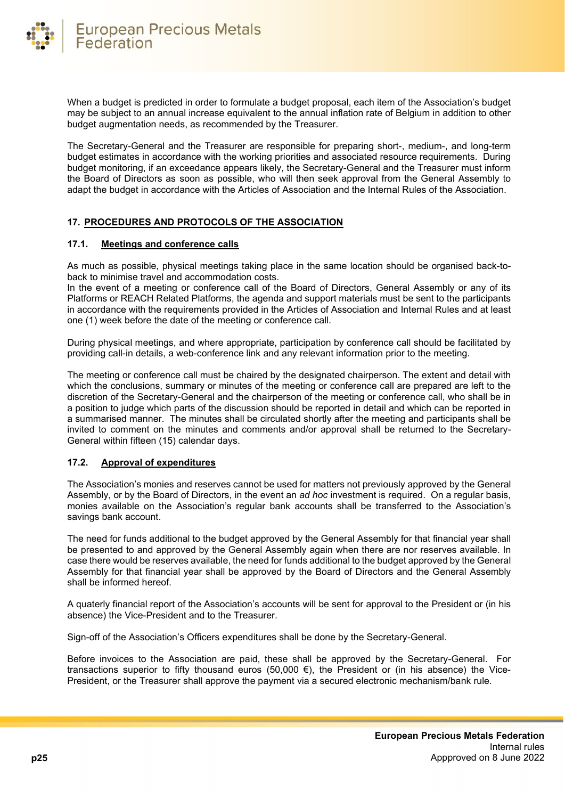

When a budget is predicted in order to formulate a budget proposal, each item of the Association's budget may be subject to an annual increase equivalent to the annual inflation rate of Belgium in addition to other budget augmentation needs, as recommended by the Treasurer.

The Secretary-General and the Treasurer are responsible for preparing short-, medium-, and long-term budget estimates in accordance with the working priorities and associated resource requirements. During budget monitoring, if an exceedance appears likely, the Secretary-General and the Treasurer must inform the Board of Directors as soon as possible, who will then seek approval from the General Assembly to adapt the budget in accordance with the Articles of Association and the Internal Rules of the Association.

# <span id="page-24-0"></span>**17. PROCEDURES AND PROTOCOLS OF THE ASSOCIATION**

# <span id="page-24-1"></span>**17.1. Meetings and conference calls**

As much as possible, physical meetings taking place in the same location should be organised back-toback to minimise travel and accommodation costs.

In the event of a meeting or conference call of the Board of Directors, General Assembly or any of its Platforms or REACH Related Platforms, the agenda and support materials must be sent to the participants in accordance with the requirements provided in the Articles of Association and Internal Rules and at least one (1) week before the date of the meeting or conference call.

During physical meetings, and where appropriate, participation by conference call should be facilitated by providing call-in details, a web-conference link and any relevant information prior to the meeting.

The meeting or conference call must be chaired by the designated chairperson. The extent and detail with which the conclusions, summary or minutes of the meeting or conference call are prepared are left to the discretion of the Secretary-General and the chairperson of the meeting or conference call, who shall be in a position to judge which parts of the discussion should be reported in detail and which can be reported in a summarised manner. The minutes shall be circulated shortly after the meeting and participants shall be invited to comment on the minutes and comments and/or approval shall be returned to the Secretary-General within fifteen (15) calendar days.

# <span id="page-24-2"></span>**17.2. Approval of expenditures**

The Association's monies and reserves cannot be used for matters not previously approved by the General Assembly, or by the Board of Directors, in the event an *ad hoc* investment is required. On a regular basis, monies available on the Association's regular bank accounts shall be transferred to the Association's savings bank account.

The need for funds additional to the budget approved by the General Assembly for that financial year shall be presented to and approved by the General Assembly again when there are nor reserves available. In case there would be reserves available, the need for funds additional to the budget approved by the General Assembly for that financial year shall be approved by the Board of Directors and the General Assembly shall be informed hereof.

A quaterly financial report of the Association's accounts will be sent for approval to the President or (in his absence) the Vice-President and to the Treasurer.

Sign-off of the Association's Officers expenditures shall be done by the Secretary-General.

Before invoices to the Association are paid, these shall be approved by the Secretary-General. For transactions superior to fifty thousand euros (50,000  $\epsilon$ ), the President or (in his absence) the Vice-President, or the Treasurer shall approve the payment via a secured electronic mechanism/bank rule.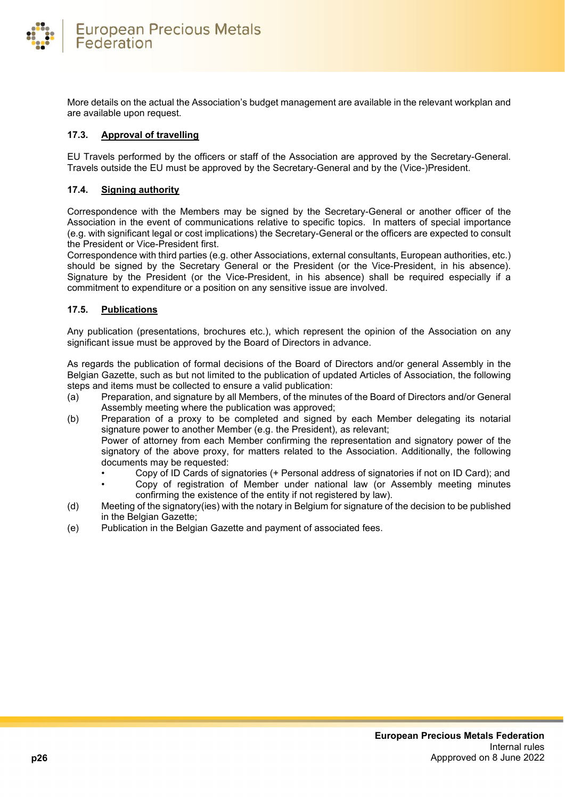

More details on the actual the Association's budget management are available in the relevant workplan and are available upon request.

#### <span id="page-25-0"></span>**17.3. Approval of travelling**

EU Travels performed by the officers or staff of the Association are approved by the Secretary-General. Travels outside the EU must be approved by the Secretary-General and by the (Vice-)President.

#### <span id="page-25-1"></span>**17.4. Signing authority**

Correspondence with the Members may be signed by the Secretary-General or another officer of the Association in the event of communications relative to specific topics. In matters of special importance (e.g. with significant legal or cost implications) the Secretary-General or the officers are expected to consult the President or Vice-President first.

Correspondence with third parties (e.g. other Associations, external consultants, European authorities, etc.) should be signed by the Secretary General or the President (or the Vice-President, in his absence). Signature by the President (or the Vice-President, in his absence) shall be required especially if a commitment to expenditure or a position on any sensitive issue are involved.

#### <span id="page-25-2"></span>**17.5. Publications**

Any publication (presentations, brochures etc.), which represent the opinion of the Association on any significant issue must be approved by the Board of Directors in advance.

As regards the publication of formal decisions of the Board of Directors and/or general Assembly in the Belgian Gazette, such as but not limited to the publication of updated Articles of Association, the following steps and items must be collected to ensure a valid publication:

- (a) Preparation, and signature by all Members, of the minutes of the Board of Directors and/or General Assembly meeting where the publication was approved;
- (b) Preparation of a proxy to be completed and signed by each Member delegating its notarial signature power to another Member (e.g. the President), as relevant; Power of attorney from each Member confirming the representation and signatory power of the signatory of the above proxy, for matters related to the Association. Additionally, the following documents may be requested:
	- Copy of ID Cards of signatories (+ Personal address of signatories if not on ID Card); and
	- Copy of registration of Member under national law (or Assembly meeting minutes confirming the existence of the entity if not registered by law).
- (d) Meeting of the signatory(ies) with the notary in Belgium for signature of the decision to be published in the Belgian Gazette;
- (e) Publication in the Belgian Gazette and payment of associated fees.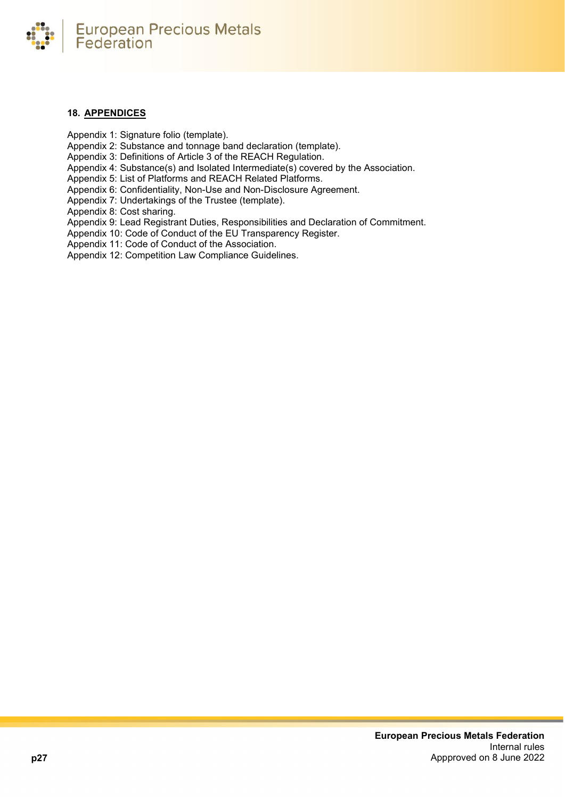

#### <span id="page-26-0"></span>**18. APPENDICES**

Appendix 1: Signature folio (template).

Appendix 2: Substance and tonnage band declaration (template).

Appendix 3: Definitions of Article 3 of the REACH Regulation.

Appendix 4: Substance(s) and Isolated Intermediate(s) covered by the Association.

Appendix 5: List of Platforms and REACH Related Platforms.

Appendix 6: Confidentiality, Non-Use and Non-Disclosure Agreement.

Appendix 7: Undertakings of the Trustee (template).

Appendix 8: Cost sharing.

Appendix 9: Lead Registrant Duties, Responsibilities and Declaration of Commitment.

Appendix 10: Code of Conduct of the EU Transparency Register.

Appendix 11: Code of Conduct of the Association.

Appendix 12: Competition Law Compliance Guidelines.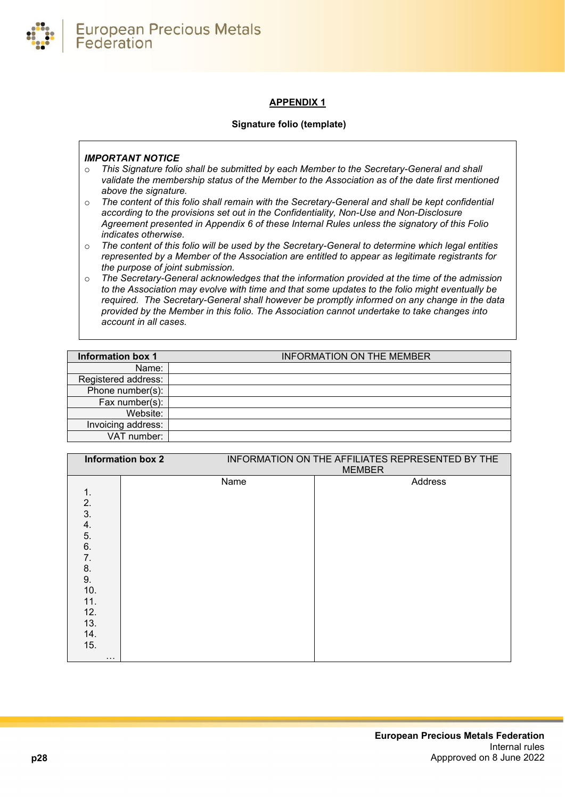

# **APPENDIX 1**

#### **Signature folio (template)**

# <span id="page-27-0"></span>*IMPORTANT NOTICE*

- o *This Signature folio shall be submitted by each Member to the Secretary-General and shall validate the membership status of the Member to the Association as of the date first mentioned above the signature.*
- o *The content of this folio shall remain with the Secretary-General and shall be kept confidential according to the provisions set out in the Confidentiality, Non-Use and Non-Disclosure Agreement presented in Appendix 6 of these Internal Rules unless the signatory of this Folio indicates otherwise.*
- o *The content of this folio will be used by the Secretary-General to determine which legal entities represented by a Member of the Association are entitled to appear as legitimate registrants for the purpose of joint submission.*
- o *The Secretary-General acknowledges that the information provided at the time of the admission to the Association may evolve with time and that some updates to the folio might eventually be required. The Secretary-General shall however be promptly informed on any change in the data provided by the Member in this folio. The Association cannot undertake to take changes into account in all cases.*

| <b>Information box 1</b> | <b>INFORMATION ON THE MEMBER</b> |
|--------------------------|----------------------------------|
| Name:                    |                                  |
| Registered address:      |                                  |
| Phone number(s):         |                                  |
| Fax number(s):           |                                  |
| Website:                 |                                  |
| Invoicing address:       |                                  |
| VAT number:              |                                  |

|                                                           | <b>Information box 2</b> |      | INFORMATION ON THE AFFILIATES REPRESENTED BY THE<br><b>MEMBER</b> |
|-----------------------------------------------------------|--------------------------|------|-------------------------------------------------------------------|
| 1.<br>2.<br>3.<br>4.<br>5.<br>6.<br>7.<br>8.<br>9.<br>10. |                          | Name | Address                                                           |
| 11.<br>12.<br>13.<br>14.<br>15.<br>$\cdots$               |                          |      |                                                                   |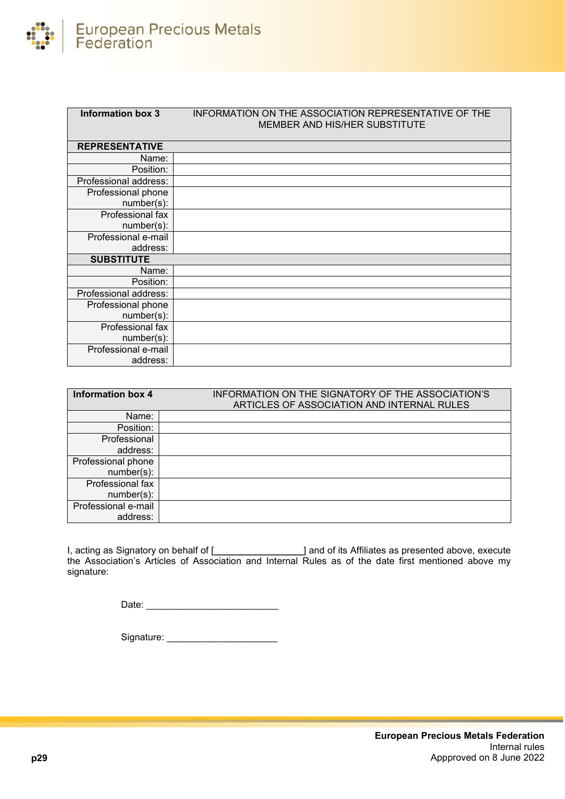

| <b>Information box 3</b> | INFORMATION ON THE ASSOCIATION REPRESENTATIVE OF THE<br>MEMBER AND HIS/HER SUBSTITUTE |
|--------------------------|---------------------------------------------------------------------------------------|
| <b>REPRESENTATIVE</b>    |                                                                                       |
| Name:                    |                                                                                       |
| Position:                |                                                                                       |
| Professional address:    |                                                                                       |
| Professional phone       |                                                                                       |
| $number(s)$ :            |                                                                                       |
| Professional fax         |                                                                                       |
| $number(s)$ :            |                                                                                       |
| Professional e-mail      |                                                                                       |
| address:                 |                                                                                       |
| <b>SUBSTITUTE</b>        |                                                                                       |
| Name:                    |                                                                                       |
| Position:                |                                                                                       |
| Professional address:    |                                                                                       |
| Professional phone       |                                                                                       |
| $number(s)$ :            |                                                                                       |
| Professional fax         |                                                                                       |
| $number(s)$ :            |                                                                                       |
| Professional e-mail      |                                                                                       |
| address:                 |                                                                                       |

| <b>Information box 4</b>            | INFORMATION ON THE SIGNATORY OF THE ASSOCIATION'S<br>ARTICLES OF ASSOCIATION AND INTERNAL RULES |
|-------------------------------------|-------------------------------------------------------------------------------------------------|
| Name:                               |                                                                                                 |
| Position:                           |                                                                                                 |
| Professional                        |                                                                                                 |
| address:                            |                                                                                                 |
| Professional phone<br>$number(s)$ : |                                                                                                 |
| Professional fax<br>$number(s)$ :   |                                                                                                 |
| Professional e-mail<br>address:     |                                                                                                 |

I, acting as Signatory on behalf of [\_\_\_\_\_\_\_\_\_\_\_\_\_\_\_\_\_\_\_\_\_\_] and of its Affiliates as presented above, execute the Association's Articles of Association and Internal Rules as of the date first mentioned above my signature:

Date: \_\_\_\_\_\_\_\_\_\_\_\_\_\_\_\_\_\_\_\_\_\_\_\_\_

Signature: \_\_\_\_\_\_\_\_\_\_\_\_\_\_\_\_\_\_\_\_\_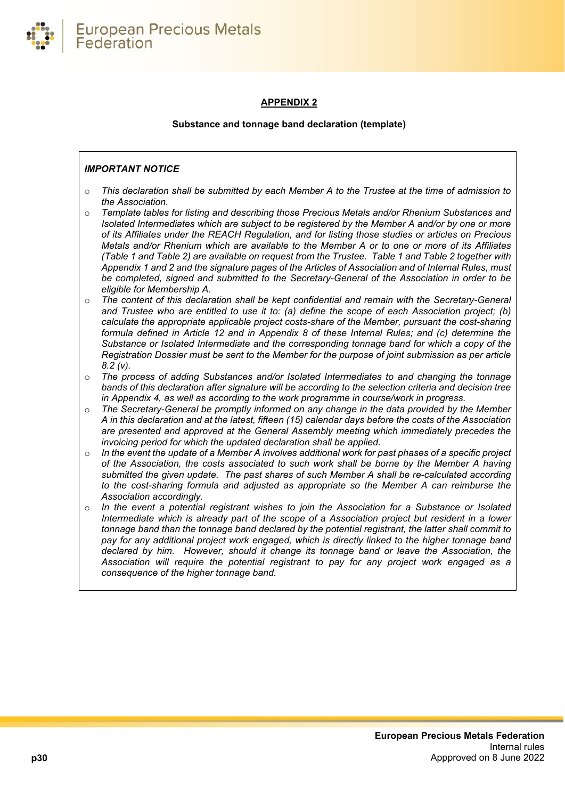

# **APPENDIX 2**

# **Substance and tonnage band declaration (template)**

# <span id="page-29-0"></span>*IMPORTANT NOTICE*

- o *This declaration shall be submitted by each Member A to the Trustee at the time of admission to the Association.*
- o *Template tables for listing and describing those Precious Metals and/or Rhenium Substances and Isolated Intermediates which are subject to be registered by the Member A and/or by one or more of its Affiliates under the REACH Regulation, and for listing those studies or articles on Precious Metals and/or Rhenium which are available to the Member A or to one or more of its Affiliates (Table 1 and Table 2) are available on request from the Trustee. Table 1 and Table 2 together with Appendix 1 and 2 and the signature pages of the Articles of Association and of Internal Rules, must be completed, signed and submitted to the Secretary-General of the Association in order to be eligible for Membership A.*
- o *The content of this declaration shall be kept confidential and remain with the Secretary-General and Trustee who are entitled to use it to: (a) define the scope of each Association project; (b) calculate the appropriate applicable project costs-share of the Member, pursuant the cost-sharing formula defined in Article 12 and in Appendix 8 of these Internal Rules; and (c) determine the Substance or Isolated Intermediate and the corresponding tonnage band for which a copy of the Registration Dossier must be sent to the Member for the purpose of joint submission as per article 8.2 (v).*
- o *The process of adding Substances and/or Isolated Intermediates to and changing the tonnage bands of this declaration after signature will be according to the selection criteria and decision tree in Appendix 4, as well as according to the work programme in course/work in progress.*
- o *The Secretary-General be promptly informed on any change in the data provided by the Member A in this declaration and at the latest, fifteen (15) calendar days before the costs of the Association are presented and approved at the General Assembly meeting which immediately precedes the invoicing period for which the updated declaration shall be applied.*
- o *In the event the update of a Member A involves additional work for past phases of a specific project of the Association, the costs associated to such work shall be borne by the Member A having submitted the given update. The past shares of such Member A shall be re-calculated according to the cost-sharing formula and adjusted as appropriate so the Member A can reimburse the Association accordingly.*
- o *In the event a potential registrant wishes to join the Association for a Substance or Isolated Intermediate which is already part of the scope of a Association project but resident in a lower tonnage band than the tonnage band declared by the potential registrant, the latter shall commit to pay for any additional project work engaged, which is directly linked to the higher tonnage band declared by him. However, should it change its tonnage band or leave the Association, the Association will require the potential registrant to pay for any project work engaged as a consequence of the higher tonnage band.*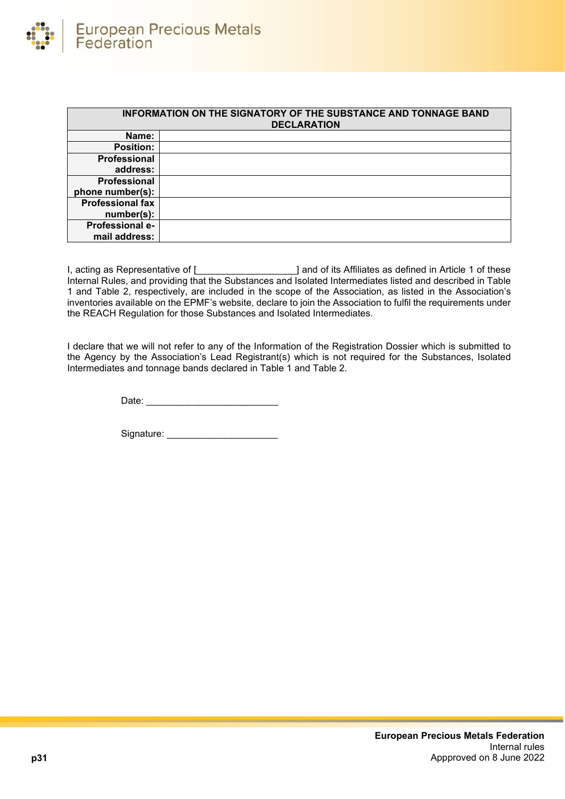

| <b>INFORMATION ON THE SIGNATORY OF THE SUBSTANCE AND TONNAGE BAND</b><br><b>DECLARATION</b> |  |  |
|---------------------------------------------------------------------------------------------|--|--|
| Name:                                                                                       |  |  |
| <b>Position:</b>                                                                            |  |  |
| Professional                                                                                |  |  |
| address:                                                                                    |  |  |
| Professional                                                                                |  |  |
| phone number(s):                                                                            |  |  |
| <b>Professional fax</b>                                                                     |  |  |
| number(s):                                                                                  |  |  |
| <b>Professional e-</b>                                                                      |  |  |
| mail address:                                                                               |  |  |

I, acting as Representative of [ \_\_\_\_\_\_\_\_\_\_\_\_\_\_\_\_\_\_\_\_] and of its Affiliates as defined in Article 1 of these Internal Rules, and providing that the Substances and Isolated Intermediates listed and described in Table 1 and Table 2, respectively, are included in the scope of the Association, as listed in the Association's inventories available on the EPMF's website, declare to join the Association to fulfil the requirements under the REACH Regulation for those Substances and Isolated Intermediates.

I declare that we will not refer to any of the Information of the Registration Dossier which is submitted to the Agency by the Association's Lead Registrant(s) which is not required for the Substances, Isolated Intermediates and tonnage bands declared in Table 1 and Table 2.

Date: \_\_\_\_\_\_\_\_\_\_\_\_\_\_\_\_\_\_\_\_\_\_\_\_\_

Signature: \_\_\_\_\_\_\_\_\_\_\_\_\_\_\_\_\_\_\_\_\_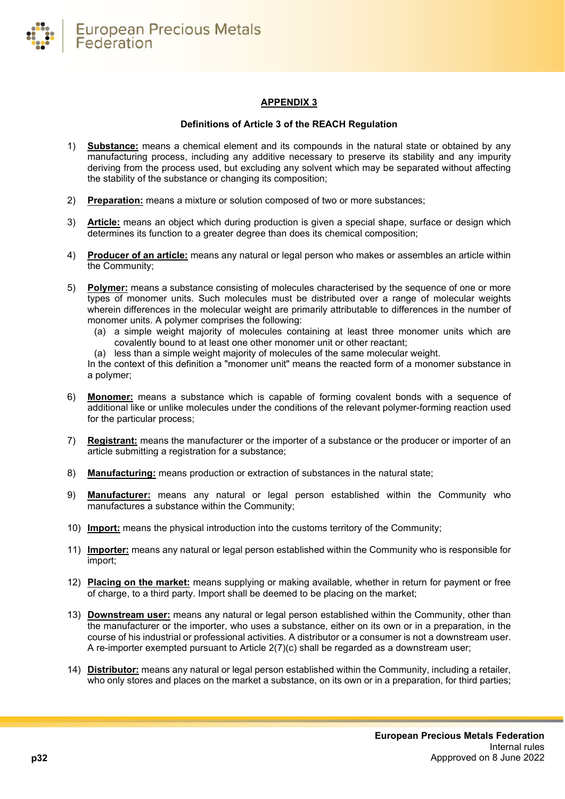

# **APPENDIX 3**

#### **Definitions of Article 3 of the REACH Regulation**

- <span id="page-31-0"></span>1) **Substance:** means a chemical element and its compounds in the natural state or obtained by any manufacturing process, including any additive necessary to preserve its stability and any impurity deriving from the process used, but excluding any solvent which may be separated without affecting the stability of the substance or changing its composition;
- 2) **Preparation:** means a mixture or solution composed of two or more substances;
- 3) **Article:** means an object which during production is given a special shape, surface or design which determines its function to a greater degree than does its chemical composition;
- 4) **Producer of an article:** means any natural or legal person who makes or assembles an article within the Community;
- 5) **Polymer:** means a substance consisting of molecules characterised by the sequence of one or more types of monomer units. Such molecules must be distributed over a range of molecular weights wherein differences in the molecular weight are primarily attributable to differences in the number of monomer units. A polymer comprises the following:
	- (a) a simple weight majority of molecules containing at least three monomer units which are covalently bound to at least one other monomer unit or other reactant;
	- (a) less than a simple weight majority of molecules of the same molecular weight.

In the context of this definition a "monomer unit" means the reacted form of a monomer substance in a polymer;

- 6) **Monomer:** means a substance which is capable of forming covalent bonds with a sequence of additional like or unlike molecules under the conditions of the relevant polymer-forming reaction used for the particular process;
- 7) **Registrant:** means the manufacturer or the importer of a substance or the producer or importer of an article submitting a registration for a substance;
- 8) **Manufacturing:** means production or extraction of substances in the natural state;
- 9) **Manufacturer:** means any natural or legal person established within the Community who manufactures a substance within the Community;
- 10) **Import:** means the physical introduction into the customs territory of the Community;
- 11) **Importer:** means any natural or legal person established within the Community who is responsible for import;
- 12) **Placing on the market:** means supplying or making available, whether in return for payment or free of charge, to a third party. Import shall be deemed to be placing on the market;
- 13) **Downstream user:** means any natural or legal person established within the Community, other than the manufacturer or the importer, who uses a substance, either on its own or in a preparation, in the course of his industrial or professional activities. A distributor or a consumer is not a downstream user. A re-importer exempted pursuant to Article 2(7)(c) shall be regarded as a downstream user;
- 14) **Distributor:** means any natural or legal person established within the Community, including a retailer, who only stores and places on the market a substance, on its own or in a preparation, for third parties;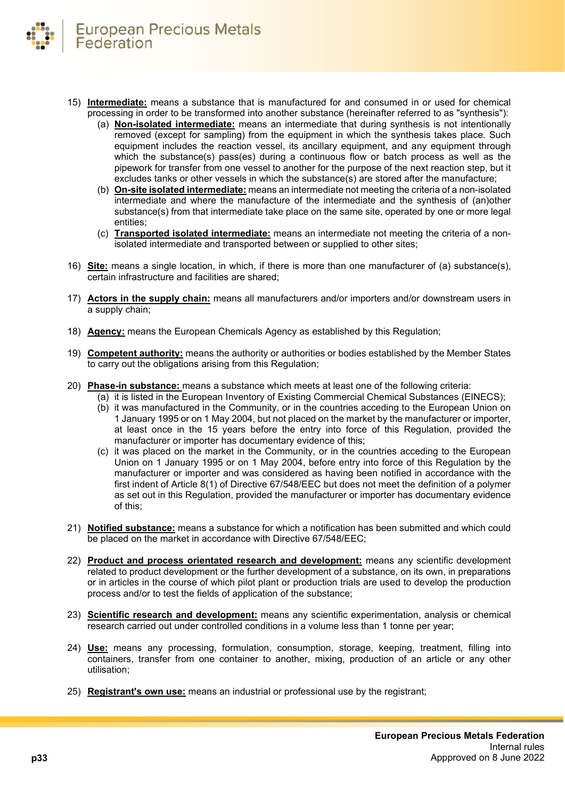

- 15) **Intermediate:** means a substance that is manufactured for and consumed in or used for chemical processing in order to be transformed into another substance (hereinafter referred to as "synthesis"):
	- (a) **Non-isolated intermediate:** means an intermediate that during synthesis is not intentionally removed (except for sampling) from the equipment in which the synthesis takes place. Such equipment includes the reaction vessel, its ancillary equipment, and any equipment through which the substance(s) pass(es) during a continuous flow or batch process as well as the pipework for transfer from one vessel to another for the purpose of the next reaction step, but it excludes tanks or other vessels in which the substance(s) are stored after the manufacture;
	- (b) **On-site isolated intermediate:** means an intermediate not meeting the criteria of a non-isolated intermediate and where the manufacture of the intermediate and the synthesis of (an)other substance(s) from that intermediate take place on the same site, operated by one or more legal entities;
	- (c) **Transported isolated intermediate:** means an intermediate not meeting the criteria of a nonisolated intermediate and transported between or supplied to other sites;
- 16) **Site:** means a single location, in which, if there is more than one manufacturer of (a) substance(s), certain infrastructure and facilities are shared;
- 17) **Actors in the supply chain:** means all manufacturers and/or importers and/or downstream users in a supply chain;
- 18) **Agency:** means the European Chemicals Agency as established by this Regulation;
- 19) **Competent authority:** means the authority or authorities or bodies established by the Member States to carry out the obligations arising from this Regulation;
- 20) **Phase-in substance:** means a substance which meets at least one of the following criteria:
	- (a) it is listed in the European Inventory of Existing Commercial Chemical Substances (EINECS);
	- (b) it was manufactured in the Community, or in the countries acceding to the European Union on 1 January 1995 or on 1 May 2004, but not placed on the market by the manufacturer or importer, at least once in the 15 years before the entry into force of this Regulation, provided the manufacturer or importer has documentary evidence of this;
	- (c) it was placed on the market in the Community, or in the countries acceding to the European Union on 1 January 1995 or on 1 May 2004, before entry into force of this Regulation by the manufacturer or importer and was considered as having been notified in accordance with the first indent of Article 8(1) of Directive 67/548/EEC but does not meet the definition of a polymer as set out in this Regulation, provided the manufacturer or importer has documentary evidence of this;
- 21) **Notified substance:** means a substance for which a notification has been submitted and which could be placed on the market in accordance with Directive 67/548/EEC;
- 22) **Product and process orientated research and development:** means any scientific development related to product development or the further development of a substance, on its own, in preparations or in articles in the course of which pilot plant or production trials are used to develop the production process and/or to test the fields of application of the substance;
- 23) **Scientific research and development:** means any scientific experimentation, analysis or chemical research carried out under controlled conditions in a volume less than 1 tonne per year;
- 24) **Use:** means any processing, formulation, consumption, storage, keeping, treatment, filling into containers, transfer from one container to another, mixing, production of an article or any other utilisation;
- 25) **Registrant's own use:** means an industrial or professional use by the registrant;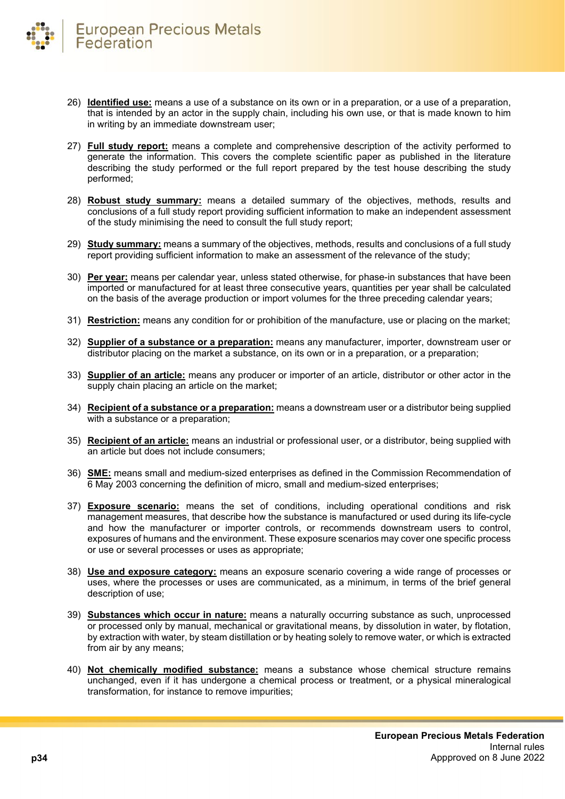- 26) **Identified use:** means a use of a substance on its own or in a preparation, or a use of a preparation, that is intended by an actor in the supply chain, including his own use, or that is made known to him in writing by an immediate downstream user;
- 27) **Full study report:** means a complete and comprehensive description of the activity performed to generate the information. This covers the complete scientific paper as published in the literature describing the study performed or the full report prepared by the test house describing the study performed;
- 28) **Robust study summary:** means a detailed summary of the objectives, methods, results and conclusions of a full study report providing sufficient information to make an independent assessment of the study minimising the need to consult the full study report;
- 29) **Study summary:** means a summary of the objectives, methods, results and conclusions of a full study report providing sufficient information to make an assessment of the relevance of the study;
- 30) **Per year:** means per calendar year, unless stated otherwise, for phase-in substances that have been imported or manufactured for at least three consecutive years, quantities per year shall be calculated on the basis of the average production or import volumes for the three preceding calendar years;
- 31) **Restriction:** means any condition for or prohibition of the manufacture, use or placing on the market;
- 32) **Supplier of a substance or a preparation:** means any manufacturer, importer, downstream user or distributor placing on the market a substance, on its own or in a preparation, or a preparation;
- 33) **Supplier of an article:** means any producer or importer of an article, distributor or other actor in the supply chain placing an article on the market;
- 34) **Recipient of a substance or a preparation:** means a downstream user or a distributor being supplied with a substance or a preparation;
- 35) **Recipient of an article:** means an industrial or professional user, or a distributor, being supplied with an article but does not include consumers;
- 36) **SME:** means small and medium-sized enterprises as defined in the Commission Recommendation of 6 May 2003 concerning the definition of micro, small and medium-sized enterprises;
- 37) **Exposure scenario:** means the set of conditions, including operational conditions and risk management measures, that describe how the substance is manufactured or used during its life-cycle and how the manufacturer or importer controls, or recommends downstream users to control, exposures of humans and the environment. These exposure scenarios may cover one specific process or use or several processes or uses as appropriate;
- 38) **Use and exposure category:** means an exposure scenario covering a wide range of processes or uses, where the processes or uses are communicated, as a minimum, in terms of the brief general description of use;
- 39) **Substances which occur in nature:** means a naturally occurring substance as such, unprocessed or processed only by manual, mechanical or gravitational means, by dissolution in water, by flotation, by extraction with water, by steam distillation or by heating solely to remove water, or which is extracted from air by any means;
- 40) **Not chemically modified substance:** means a substance whose chemical structure remains unchanged, even if it has undergone a chemical process or treatment, or a physical mineralogical transformation, for instance to remove impurities;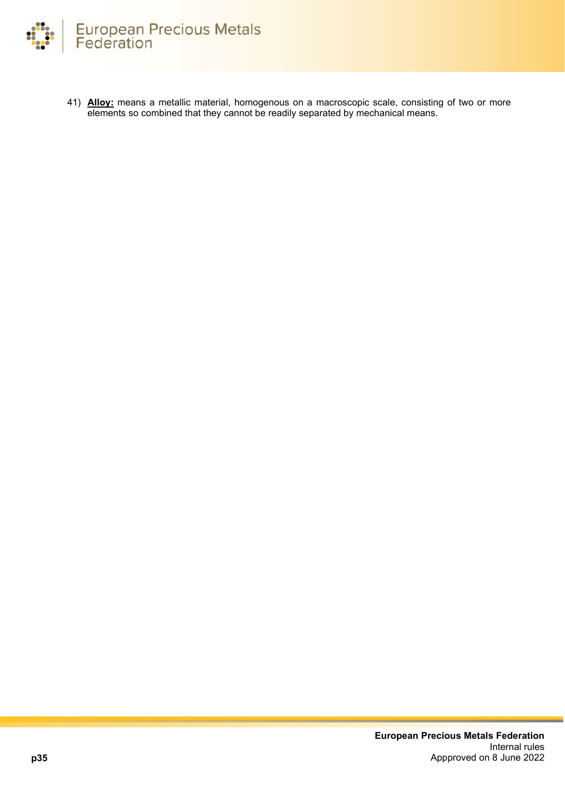

41) **Alloy:** means a metallic material, homogenous on a macroscopic scale, consisting of two or more elements so combined that they cannot be readily separated by mechanical means.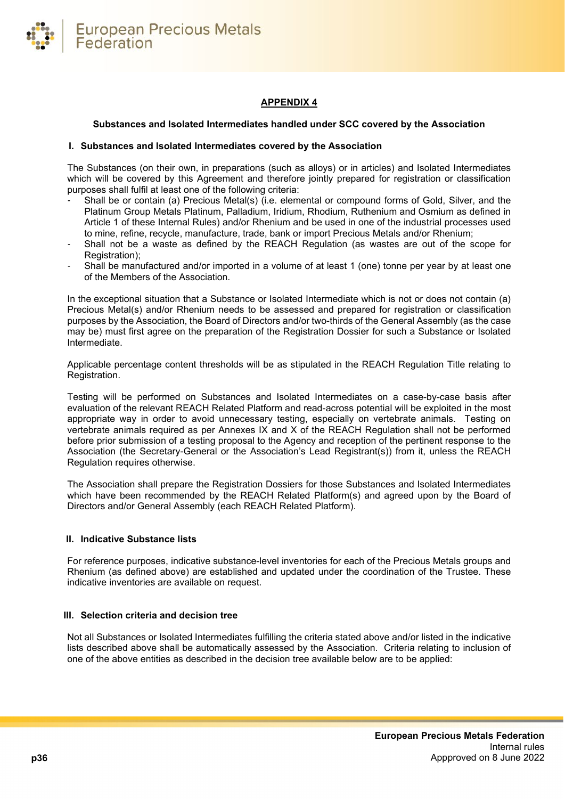

# **APPENDIX 4**

#### <span id="page-35-0"></span>**Substances and Isolated Intermediates handled under SCC covered by the Association**

#### **I. Substances and Isolated Intermediates covered by the Association**

The Substances (on their own, in preparations (such as alloys) or in articles) and Isolated Intermediates which will be covered by this Agreement and therefore jointly prepared for registration or classification purposes shall fulfil at least one of the following criteria:

- Shall be or contain (a) Precious Metal(s) (i.e. elemental or compound forms of Gold, Silver, and the Platinum Group Metals Platinum, Palladium, Iridium, Rhodium, Ruthenium and Osmium as defined in Article 1 of these Internal Rules) and/or Rhenium and be used in one of the industrial processes used to mine, refine, recycle, manufacture, trade, bank or import Precious Metals and/or Rhenium;
- Shall not be a waste as defined by the REACH Regulation (as wastes are out of the scope for Registration);
- Shall be manufactured and/or imported in a volume of at least 1 (one) tonne per year by at least one of the Members of the Association.

In the exceptional situation that a Substance or Isolated Intermediate which is not or does not contain (a) Precious Metal(s) and/or Rhenium needs to be assessed and prepared for registration or classification purposes by the Association, the Board of Directors and/or two-thirds of the General Assembly (as the case may be) must first agree on the preparation of the Registration Dossier for such a Substance or Isolated Intermediate.

Applicable percentage content thresholds will be as stipulated in the REACH Regulation Title relating to Registration.

Testing will be performed on Substances and Isolated Intermediates on a case-by-case basis after evaluation of the relevant REACH Related Platform and read-across potential will be exploited in the most appropriate way in order to avoid unnecessary testing, especially on vertebrate animals. Testing on vertebrate animals required as per Annexes IX and X of the REACH Regulation shall not be performed before prior submission of a testing proposal to the Agency and reception of the pertinent response to the Association (the Secretary-General or the Association's Lead Registrant(s)) from it, unless the REACH Regulation requires otherwise.

The Association shall prepare the Registration Dossiers for those Substances and Isolated Intermediates which have been recommended by the REACH Related Platform(s) and agreed upon by the Board of Directors and/or General Assembly (each REACH Related Platform).

#### **II. Indicative Substance lists**

For reference purposes, indicative substance-level inventories for each of the Precious Metals groups and Rhenium (as defined above) are established and updated under the coordination of the Trustee. These indicative inventories are available on request.

#### **III. Selection criteria and decision tree**

Not all Substances or Isolated Intermediates fulfilling the criteria stated above and/or listed in the indicative lists described above shall be automatically assessed by the Association. Criteria relating to inclusion of one of the above entities as described in the decision tree available below are to be applied: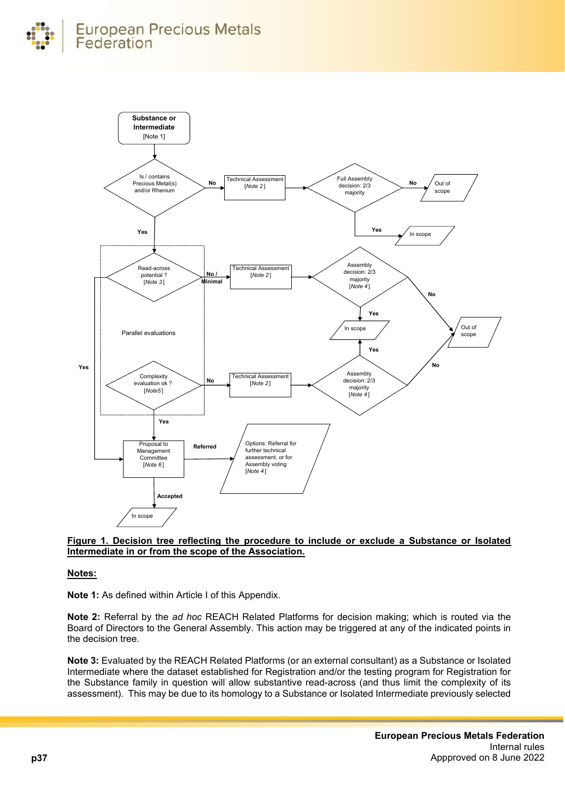



#### **Figure 1. Decision tree reflecting the procedure to include or exclude a Substance or Isolated Intermediate in or from the scope of the Association.**

# **Notes:**

**Note 1:** As defined within Article I of this Appendix.

**Note 2:** Referral by the *ad hoc* REACH Related Platforms for decision making; which is routed via the Board of Directors to the General Assembly. This action may be triggered at any of the indicated points in the decision tree.

**Note 3:** Evaluated by the REACH Related Platforms (or an external consultant) as a Substance or Isolated Intermediate where the dataset established for Registration and/or the testing program for Registration for the Substance family in question will allow substantive read-across (and thus limit the complexity of its assessment). This may be due to its homology to a Substance or Isolated Intermediate previously selected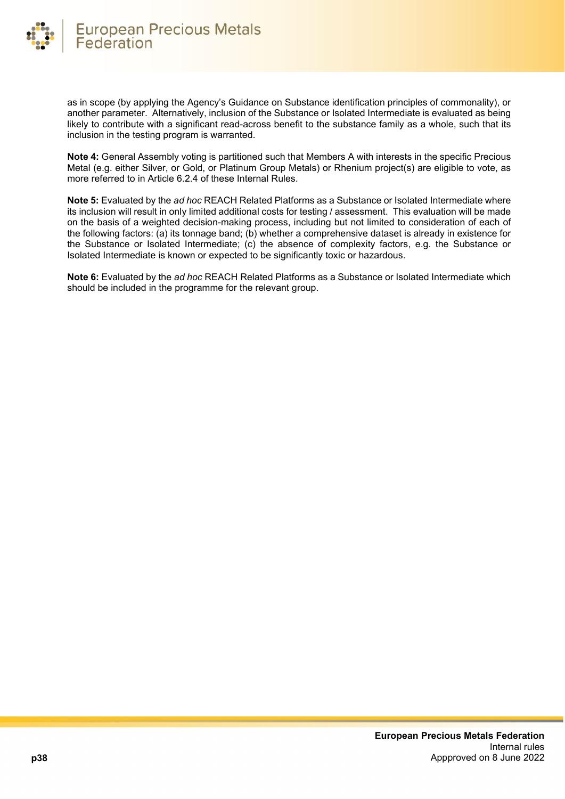

as in scope (by applying the Agency's Guidance on Substance identification principles of commonality), or another parameter. Alternatively, inclusion of the Substance or Isolated Intermediate is evaluated as being likely to contribute with a significant read-across benefit to the substance family as a whole, such that its inclusion in the testing program is warranted.

**Note 4:** General Assembly voting is partitioned such that Members A with interests in the specific Precious Metal (e.g. either Silver, or Gold, or Platinum Group Metals) or Rhenium project(s) are eligible to vote, as more referred to in Article 6.2.4 of these Internal Rules.

**Note 5:** Evaluated by the *ad hoc* REACH Related Platforms as a Substance or Isolated Intermediate where its inclusion will result in only limited additional costs for testing / assessment. This evaluation will be made on the basis of a weighted decision-making process, including but not limited to consideration of each of the following factors: (a) its tonnage band; (b) whether a comprehensive dataset is already in existence for the Substance or Isolated Intermediate; (c) the absence of complexity factors, e.g. the Substance or Isolated Intermediate is known or expected to be significantly toxic or hazardous.

**Note 6:** Evaluated by the *ad hoc* REACH Related Platforms as a Substance or Isolated Intermediate which should be included in the programme for the relevant group.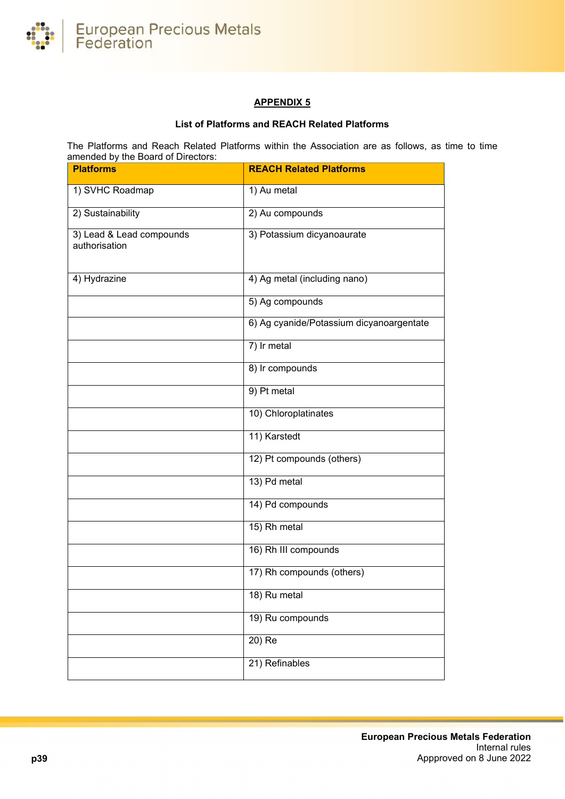

# **APPENDIX 5**

# **List of Platforms and REACH Related Platforms**

<span id="page-38-0"></span>The Platforms and Reach Related Platforms within the Association are as follows, as time to time amended by the Board of Directors:

| <b>Platforms</b>                          | <b>REACH Related Platforms</b>           |
|-------------------------------------------|------------------------------------------|
| 1) SVHC Roadmap                           | 1) Au metal                              |
| 2) Sustainability                         | 2) Au compounds                          |
| 3) Lead & Lead compounds<br>authorisation | 3) Potassium dicyanoaurate               |
| 4) Hydrazine                              | 4) Ag metal (including nano)             |
|                                           | 5) Ag compounds                          |
|                                           | 6) Ag cyanide/Potassium dicyanoargentate |
|                                           | 7) Ir metal                              |
|                                           | 8) Ir compounds                          |
|                                           | 9) Pt metal                              |
|                                           | 10) Chloroplatinates                     |
|                                           | 11) Karstedt                             |
|                                           | 12) Pt compounds (others)                |
|                                           | 13) Pd metal                             |
|                                           | 14) Pd compounds                         |
|                                           | 15) Rh metal                             |
|                                           | 16) Rh III compounds                     |
|                                           | 17) Rh compounds (others)                |
|                                           | 18) Ru metal                             |
|                                           | 19) Ru compounds                         |
|                                           | $20)$ Re                                 |
|                                           | 21) Refinables                           |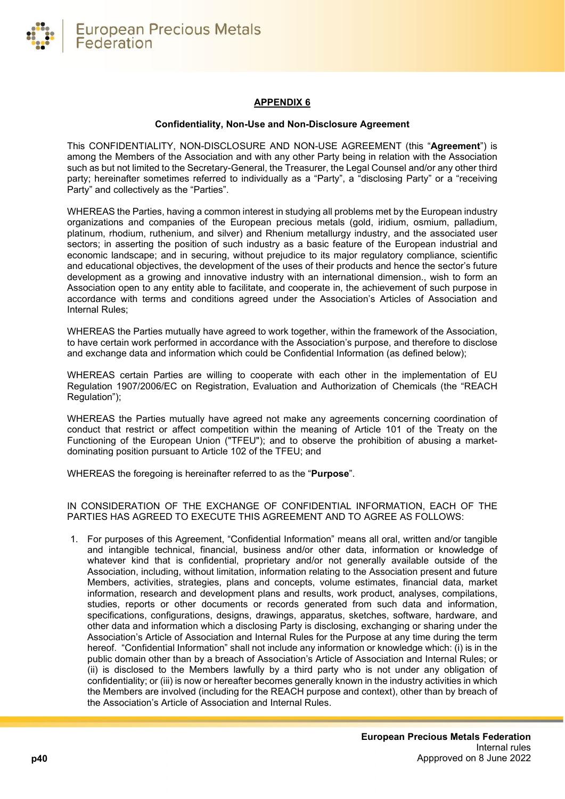

# **APPENDIX 6**

#### **Confidentiality, Non-Use and Non-Disclosure Agreement**

<span id="page-39-0"></span>This CONFIDENTIALITY, NON-DISCLOSURE AND NON-USE AGREEMENT (this "**Agreement**") is among the Members of the Association and with any other Party being in relation with the Association such as but not limited to the Secretary-General, the Treasurer, the Legal Counsel and/or any other third party; hereinafter sometimes referred to individually as a "Party", a "disclosing Party" or a "receiving Party" and collectively as the "Parties".

WHEREAS the Parties, having a common interest in studying all problems met by the European industry organizations and companies of the European precious metals (gold, iridium, osmium, palladium, platinum, rhodium, ruthenium, and silver) and Rhenium metallurgy industry, and the associated user sectors; in asserting the position of such industry as a basic feature of the European industrial and economic landscape; and in securing, without prejudice to its major regulatory compliance, scientific and educational objectives, the development of the uses of their products and hence the sector's future development as a growing and innovative industry with an international dimension., wish to form an Association open to any entity able to facilitate, and cooperate in, the achievement of such purpose in accordance with terms and conditions agreed under the Association's Articles of Association and Internal Rules;

WHEREAS the Parties mutually have agreed to work together, within the framework of the Association, to have certain work performed in accordance with the Association's purpose, and therefore to disclose and exchange data and information which could be Confidential Information (as defined below);

WHEREAS certain Parties are willing to cooperate with each other in the implementation of EU Regulation 1907/2006/EC on Registration, Evaluation and Authorization of Chemicals (the "REACH Regulation");

WHEREAS the Parties mutually have agreed not make any agreements concerning coordination of conduct that restrict or affect competition within the meaning of Article 101 of the Treaty on the Functioning of the European Union ("TFEU"); and to observe the prohibition of abusing a marketdominating position pursuant to Article 102 of the TFEU; and

WHEREAS the foregoing is hereinafter referred to as the "**Purpose**".

IN CONSIDERATION OF THE EXCHANGE OF CONFIDENTIAL INFORMATION, EACH OF THE PARTIES HAS AGREED TO EXECUTE THIS AGREEMENT AND TO AGREE AS FOLLOWS:

1. For purposes of this Agreement, "Confidential Information" means all oral, written and/or tangible and intangible technical, financial, business and/or other data, information or knowledge of whatever kind that is confidential, proprietary and/or not generally available outside of the Association, including, without limitation, information relating to the Association present and future Members, activities, strategies, plans and concepts, volume estimates, financial data, market information, research and development plans and results, work product, analyses, compilations, studies, reports or other documents or records generated from such data and information, specifications, configurations, designs, drawings, apparatus, sketches, software, hardware, and other data and information which a disclosing Party is disclosing, exchanging or sharing under the Association's Article of Association and Internal Rules for the Purpose at any time during the term hereof. "Confidential Information" shall not include any information or knowledge which: (i) is in the public domain other than by a breach of Association's Article of Association and Internal Rules; or (ii) is disclosed to the Members lawfully by a third party who is not under any obligation of confidentiality; or (iii) is now or hereafter becomes generally known in the industry activities in which the Members are involved (including for the REACH purpose and context), other than by breach of the Association's Article of Association and Internal Rules.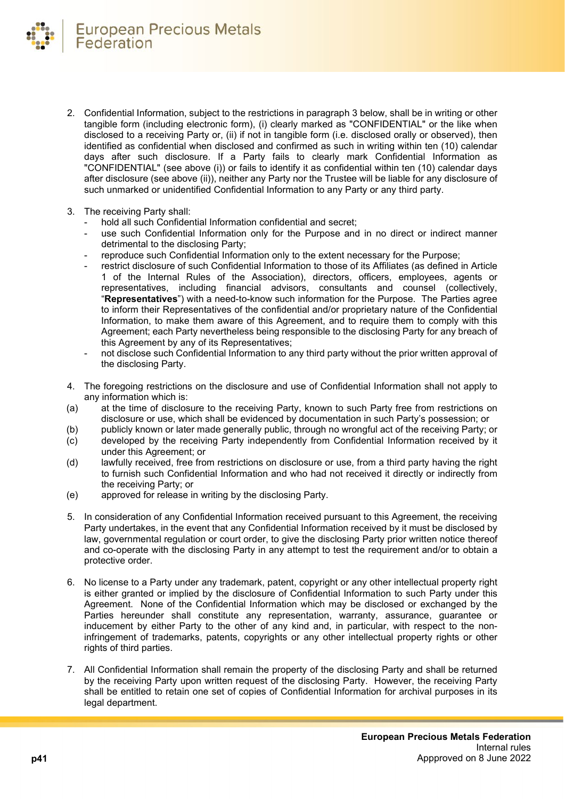

- 2. Confidential Information, subject to the restrictions in paragraph 3 below, shall be in writing or other tangible form (including electronic form), (i) clearly marked as "CONFIDENTIAL" or the like when disclosed to a receiving Party or, (ii) if not in tangible form (i.e. disclosed orally or observed), then identified as confidential when disclosed and confirmed as such in writing within ten (10) calendar days after such disclosure. If a Party fails to clearly mark Confidential Information as "CONFIDENTIAL" (see above (i)) or fails to identify it as confidential within ten (10) calendar days after disclosure (see above (ii)), neither any Party nor the Trustee will be liable for any disclosure of such unmarked or unidentified Confidential Information to any Party or any third party.
- 3. The receiving Party shall:
	- hold all such Confidential Information confidential and secret;
	- use such Confidential Information only for the Purpose and in no direct or indirect manner detrimental to the disclosing Party;
	- reproduce such Confidential Information only to the extent necessary for the Purpose;
	- restrict disclosure of such Confidential Information to those of its Affiliates (as defined in Article 1 of the Internal Rules of the Association), directors, officers, employees, agents or representatives, including financial advisors, consultants and counsel (collectively, "**Representatives**") with a need-to-know such information for the Purpose. The Parties agree to inform their Representatives of the confidential and/or proprietary nature of the Confidential Information, to make them aware of this Agreement, and to require them to comply with this Agreement; each Party nevertheless being responsible to the disclosing Party for any breach of this Agreement by any of its Representatives;
	- not disclose such Confidential Information to any third party without the prior written approval of the disclosing Party.
- 4. The foregoing restrictions on the disclosure and use of Confidential Information shall not apply to any information which is:
- (a) at the time of disclosure to the receiving Party, known to such Party free from restrictions on disclosure or use, which shall be evidenced by documentation in such Party's possession; or
- (b) publicly known or later made generally public, through no wrongful act of the receiving Party; or
- (c) developed by the receiving Party independently from Confidential Information received by it under this Agreement; or
- (d) lawfully received, free from restrictions on disclosure or use, from a third party having the right to furnish such Confidential Information and who had not received it directly or indirectly from the receiving Party; or
- (e) approved for release in writing by the disclosing Party.
- 5. In consideration of any Confidential Information received pursuant to this Agreement, the receiving Party undertakes, in the event that any Confidential Information received by it must be disclosed by law, governmental regulation or court order, to give the disclosing Party prior written notice thereof and co-operate with the disclosing Party in any attempt to test the requirement and/or to obtain a protective order.
- 6. No license to a Party under any trademark, patent, copyright or any other intellectual property right is either granted or implied by the disclosure of Confidential Information to such Party under this Agreement. None of the Confidential Information which may be disclosed or exchanged by the Parties hereunder shall constitute any representation, warranty, assurance, guarantee or inducement by either Party to the other of any kind and, in particular, with respect to the noninfringement of trademarks, patents, copyrights or any other intellectual property rights or other rights of third parties.
- 7. All Confidential Information shall remain the property of the disclosing Party and shall be returned by the receiving Party upon written request of the disclosing Party. However, the receiving Party shall be entitled to retain one set of copies of Confidential Information for archival purposes in its legal department.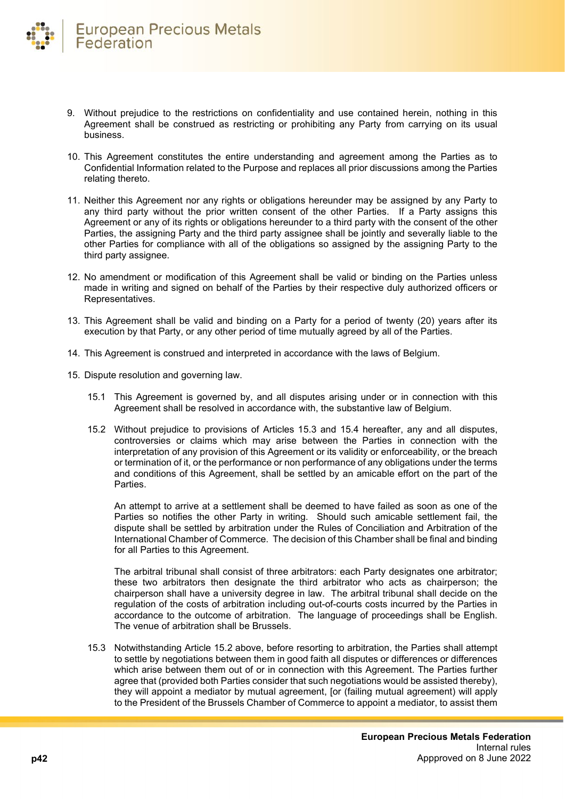- 9. Without prejudice to the restrictions on confidentiality and use contained herein, nothing in this Agreement shall be construed as restricting or prohibiting any Party from carrying on its usual business.
- 10. This Agreement constitutes the entire understanding and agreement among the Parties as to Confidential Information related to the Purpose and replaces all prior discussions among the Parties relating thereto.
- 11. Neither this Agreement nor any rights or obligations hereunder may be assigned by any Party to any third party without the prior written consent of the other Parties. If a Party assigns this Agreement or any of its rights or obligations hereunder to a third party with the consent of the other Parties, the assigning Party and the third party assignee shall be jointly and severally liable to the other Parties for compliance with all of the obligations so assigned by the assigning Party to the third party assignee.
- 12. No amendment or modification of this Agreement shall be valid or binding on the Parties unless made in writing and signed on behalf of the Parties by their respective duly authorized officers or Representatives.
- 13. This Agreement shall be valid and binding on a Party for a period of twenty (20) years after its execution by that Party, or any other period of time mutually agreed by all of the Parties.
- 14. This Agreement is construed and interpreted in accordance with the laws of Belgium.
- 15. Dispute resolution and governing law.
	- 15.1 This Agreement is governed by, and all disputes arising under or in connection with this Agreement shall be resolved in accordance with, the substantive law of Belgium.
	- 15.2 Without prejudice to provisions of Articles 15.3 and 15.4 hereafter, any and all disputes, controversies or claims which may arise between the Parties in connection with the interpretation of any provision of this Agreement or its validity or enforceability, or the breach or termination of it, or the performance or non performance of any obligations under the terms and conditions of this Agreement, shall be settled by an amicable effort on the part of the Parties.

An attempt to arrive at a settlement shall be deemed to have failed as soon as one of the Parties so notifies the other Party in writing. Should such amicable settlement fail, the dispute shall be settled by arbitration under the Rules of Conciliation and Arbitration of the International Chamber of Commerce. The decision of this Chamber shall be final and binding for all Parties to this Agreement.

The arbitral tribunal shall consist of three arbitrators: each Party designates one arbitrator; these two arbitrators then designate the third arbitrator who acts as chairperson; the chairperson shall have a university degree in law. The arbitral tribunal shall decide on the regulation of the costs of arbitration including out-of-courts costs incurred by the Parties in accordance to the outcome of arbitration. The language of proceedings shall be English. The venue of arbitration shall be Brussels.

15.3 Notwithstanding Article 15.2 above, before resorting to arbitration, the Parties shall attempt to settle by negotiations between them in good faith all disputes or differences or differences which arise between them out of or in connection with this Agreement. The Parties further agree that (provided both Parties consider that such negotiations would be assisted thereby), they will appoint a mediator by mutual agreement, [or (failing mutual agreement) will apply to the President of the Brussels Chamber of Commerce to appoint a mediator, to assist them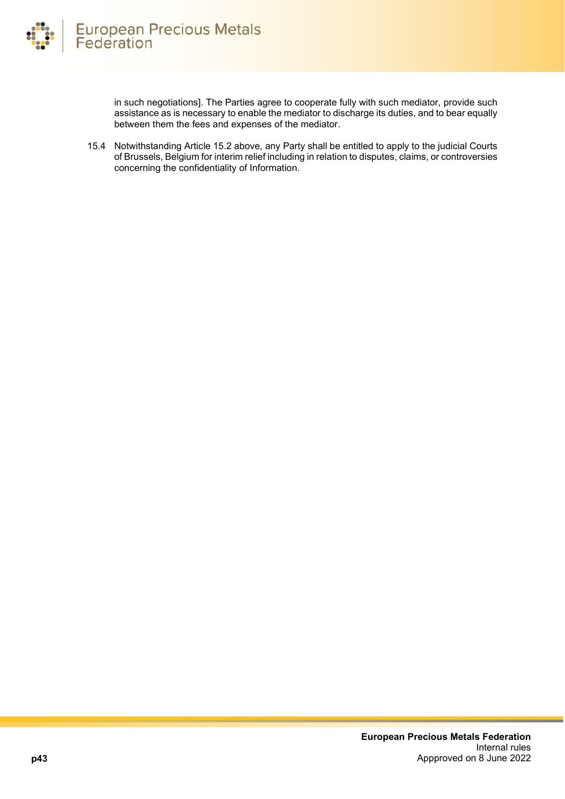in such negotiations]. The Parties agree to cooperate fully with such mediator, provide such assistance as is necessary to enable the mediator to discharge its duties, and to bear equally between them the fees and expenses of the mediator.

15.4 Notwithstanding Article 15.2 above, any Party shall be entitled to apply to the judicial Courts of Brussels, Belgium for interim relief including in relation to disputes, claims, or controversies concerning the confidentiality of Information.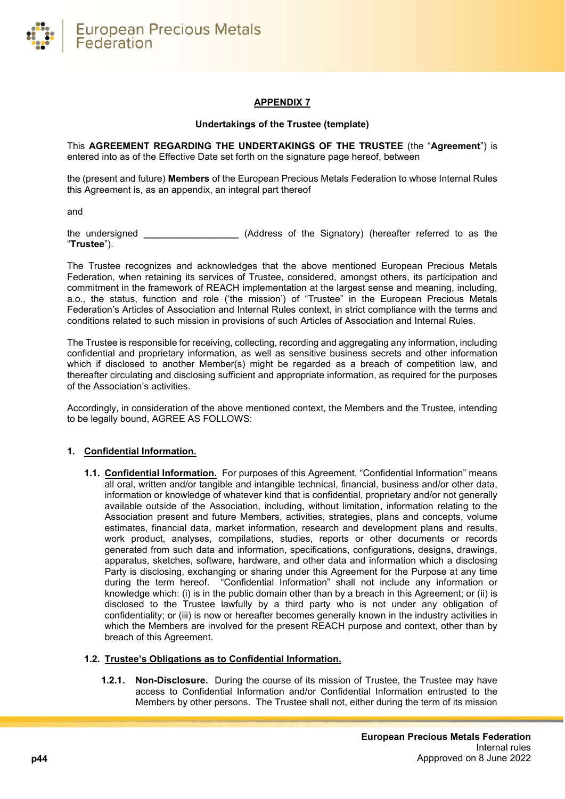

# **APPENDIX 7**

#### **Undertakings of the Trustee (template)**

<span id="page-43-0"></span>This **AGREEMENT REGARDING THE UNDERTAKINGS OF THE TRUSTEE** (the "**Agreement**") is entered into as of the Effective Date set forth on the signature page hereof, between

the (present and future) **Members** of the European Precious Metals Federation to whose Internal Rules this Agreement is, as an appendix, an integral part thereof

and

the undersigned **\_\_\_\_\_\_\_\_\_\_\_\_\_\_\_\_\_\_** (Address of the Signatory) (hereafter referred to as the "**Trustee**").

The Trustee recognizes and acknowledges that the above mentioned European Precious Metals Federation, when retaining its services of Trustee, considered, amongst others, its participation and commitment in the framework of REACH implementation at the largest sense and meaning, including, a.o., the status, function and role ('the mission') of "Trustee" in the European Precious Metals Federation's Articles of Association and Internal Rules context, in strict compliance with the terms and conditions related to such mission in provisions of such Articles of Association and Internal Rules.

The Trustee is responsible for receiving, collecting, recording and aggregating any information, including confidential and proprietary information, as well as sensitive business secrets and other information which if disclosed to another Member(s) might be regarded as a breach of competition law, and thereafter circulating and disclosing sufficient and appropriate information, as required for the purposes of the Association's activities.

Accordingly, in consideration of the above mentioned context, the Members and the Trustee, intending to be legally bound, AGREE AS FOLLOWS:

# **1. Confidential Information.**

**1.1. Confidential Information.** For purposes of this Agreement, "Confidential Information" means all oral, written and/or tangible and intangible technical, financial, business and/or other data, information or knowledge of whatever kind that is confidential, proprietary and/or not generally available outside of the Association, including, without limitation, information relating to the Association present and future Members, activities, strategies, plans and concepts, volume estimates, financial data, market information, research and development plans and results, work product, analyses, compilations, studies, reports or other documents or records generated from such data and information, specifications, configurations, designs, drawings, apparatus, sketches, software, hardware, and other data and information which a disclosing Party is disclosing, exchanging or sharing under this Agreement for the Purpose at any time during the term hereof. "Confidential Information" shall not include any information or knowledge which: (i) is in the public domain other than by a breach in this Agreement; or (ii) is disclosed to the Trustee lawfully by a third party who is not under any obligation of confidentiality; or (iii) is now or hereafter becomes generally known in the industry activities in which the Members are involved for the present REACH purpose and context, other than by breach of this Agreement.

# **1.2. Trustee's Obligations as to Confidential Information.**

**1.2.1. Non-Disclosure.** During the course of its mission of Trustee, the Trustee may have access to Confidential Information and/or Confidential Information entrusted to the Members by other persons. The Trustee shall not, either during the term of its mission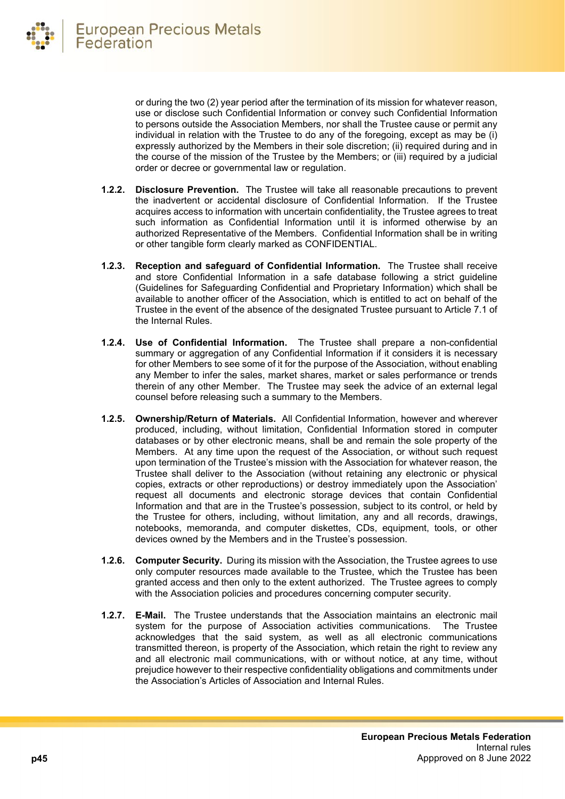or during the two (2) year period after the termination of its mission for whatever reason, use or disclose such Confidential Information or convey such Confidential Information to persons outside the Association Members, nor shall the Trustee cause or permit any individual in relation with the Trustee to do any of the foregoing, except as may be (i) expressly authorized by the Members in their sole discretion; (ii) required during and in the course of the mission of the Trustee by the Members; or (iii) required by a judicial order or decree or governmental law or regulation.

- **1.2.2. Disclosure Prevention.** The Trustee will take all reasonable precautions to prevent the inadvertent or accidental disclosure of Confidential Information. If the Trustee acquires access to information with uncertain confidentiality, the Trustee agrees to treat such information as Confidential Information until it is informed otherwise by an authorized Representative of the Members. Confidential Information shall be in writing or other tangible form clearly marked as CONFIDENTIAL.
- **1.2.3. Reception and safeguard of Confidential Information.** The Trustee shall receive and store Confidential Information in a safe database following a strict guideline (Guidelines for Safeguarding Confidential and Proprietary Information) which shall be available to another officer of the Association, which is entitled to act on behalf of the Trustee in the event of the absence of the designated Trustee pursuant to Article 7.1 of the Internal Rules.
- **1.2.4. Use of Confidential Information.** The Trustee shall prepare a non-confidential summary or aggregation of any Confidential Information if it considers it is necessary for other Members to see some of it for the purpose of the Association, without enabling any Member to infer the sales, market shares, market or sales performance or trends therein of any other Member. The Trustee may seek the advice of an external legal counsel before releasing such a summary to the Members.
- **1.2.5. Ownership/Return of Materials.** All Confidential Information, however and wherever produced, including, without limitation, Confidential Information stored in computer databases or by other electronic means, shall be and remain the sole property of the Members. At any time upon the request of the Association, or without such request upon termination of the Trustee's mission with the Association for whatever reason, the Trustee shall deliver to the Association (without retaining any electronic or physical copies, extracts or other reproductions) or destroy immediately upon the Association' request all documents and electronic storage devices that contain Confidential Information and that are in the Trustee's possession, subject to its control, or held by the Trustee for others, including, without limitation, any and all records, drawings, notebooks, memoranda, and computer diskettes, CDs, equipment, tools, or other devices owned by the Members and in the Trustee's possession.
- **1.2.6. Computer Security.** During its mission with the Association, the Trustee agrees to use only computer resources made available to the Trustee, which the Trustee has been granted access and then only to the extent authorized. The Trustee agrees to comply with the Association policies and procedures concerning computer security.
- **1.2.7. E-Mail.** The Trustee understands that the Association maintains an electronic mail system for the purpose of Association activities communications. The Trustee acknowledges that the said system, as well as all electronic communications transmitted thereon, is property of the Association, which retain the right to review any and all electronic mail communications, with or without notice, at any time, without prejudice however to their respective confidentiality obligations and commitments under the Association's Articles of Association and Internal Rules.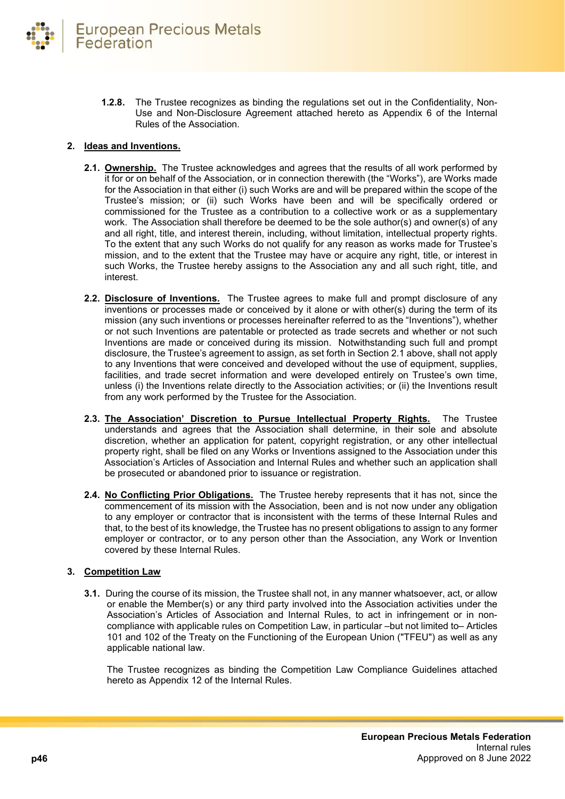

**1.2.8.** The Trustee recognizes as binding the regulations set out in the Confidentiality, Non-Use and Non-Disclosure Agreement attached hereto as Appendix 6 of the Internal Rules of the Association.

#### **2. Ideas and Inventions.**

- **2.1. Ownership.** The Trustee acknowledges and agrees that the results of all work performed by it for or on behalf of the Association, or in connection therewith (the "Works"), are Works made for the Association in that either (i) such Works are and will be prepared within the scope of the Trustee's mission; or (ii) such Works have been and will be specifically ordered or commissioned for the Trustee as a contribution to a collective work or as a supplementary work. The Association shall therefore be deemed to be the sole author(s) and owner(s) of any and all right, title, and interest therein, including, without limitation, intellectual property rights. To the extent that any such Works do not qualify for any reason as works made for Trustee's mission, and to the extent that the Trustee may have or acquire any right, title, or interest in such Works, the Trustee hereby assigns to the Association any and all such right, title, and interest.
- **2.2. Disclosure of Inventions.** The Trustee agrees to make full and prompt disclosure of any inventions or processes made or conceived by it alone or with other(s) during the term of its mission (any such inventions or processes hereinafter referred to as the "Inventions"), whether or not such Inventions are patentable or protected as trade secrets and whether or not such Inventions are made or conceived during its mission. Notwithstanding such full and prompt disclosure, the Trustee's agreement to assign, as set forth in Section 2.1 above, shall not apply to any Inventions that were conceived and developed without the use of equipment, supplies, facilities, and trade secret information and were developed entirely on Trustee's own time, unless (i) the Inventions relate directly to the Association activities; or (ii) the Inventions result from any work performed by the Trustee for the Association.
- **2.3. The Association' Discretion to Pursue Intellectual Property Rights.** The Trustee understands and agrees that the Association shall determine, in their sole and absolute discretion, whether an application for patent, copyright registration, or any other intellectual property right, shall be filed on any Works or Inventions assigned to the Association under this Association's Articles of Association and Internal Rules and whether such an application shall be prosecuted or abandoned prior to issuance or registration.
- **2.4. No Conflicting Prior Obligations.** The Trustee hereby represents that it has not, since the commencement of its mission with the Association, been and is not now under any obligation to any employer or contractor that is inconsistent with the terms of these Internal Rules and that, to the best of its knowledge, the Trustee has no present obligations to assign to any former employer or contractor, or to any person other than the Association, any Work or Invention covered by these Internal Rules.

# **3. Competition Law**

**3.1.** During the course of its mission, the Trustee shall not, in any manner whatsoever, act, or allow or enable the Member(s) or any third party involved into the Association activities under the Association's Articles of Association and Internal Rules, to act in infringement or in noncompliance with applicable rules on Competition Law, in particular –but not limited to– Articles 101 and 102 of the Treaty on the Functioning of the European Union ("TFEU") as well as any applicable national law.

The Trustee recognizes as binding the Competition Law Compliance Guidelines attached hereto as Appendix 12 of the Internal Rules.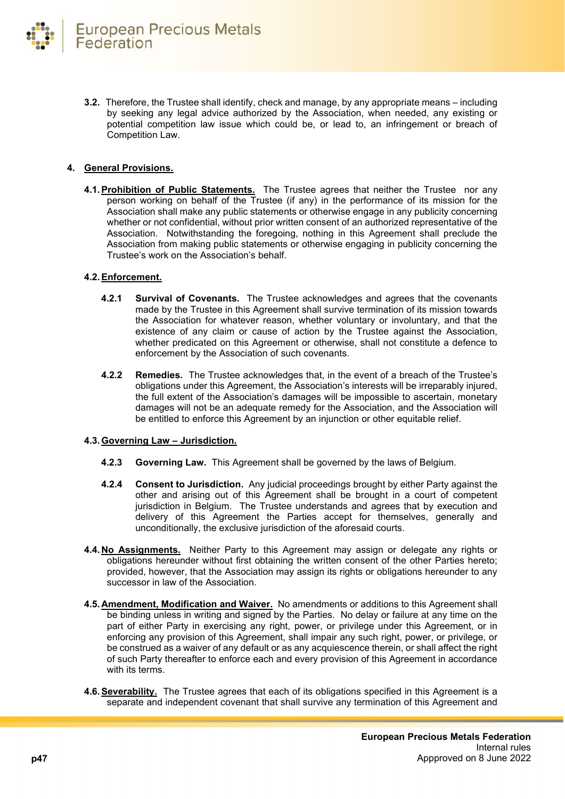**3.2.** Therefore, the Trustee shall identify, check and manage, by any appropriate means – including by seeking any legal advice authorized by the Association, when needed, any existing or potential competition law issue which could be, or lead to, an infringement or breach of Competition Law.

# **4. General Provisions.**

**4.1. Prohibition of Public Statements.** The Trustee agrees that neither the Trustee nor any person working on behalf of the Trustee (if any) in the performance of its mission for the Association shall make any public statements or otherwise engage in any publicity concerning whether or not confidential, without prior written consent of an authorized representative of the Association. Notwithstanding the foregoing, nothing in this Agreement shall preclude the Association from making public statements or otherwise engaging in publicity concerning the Trustee's work on the Association's behalf.

# **4.2.Enforcement.**

- **4.2.1 Survival of Covenants.** The Trustee acknowledges and agrees that the covenants made by the Trustee in this Agreement shall survive termination of its mission towards the Association for whatever reason, whether voluntary or involuntary, and that the existence of any claim or cause of action by the Trustee against the Association, whether predicated on this Agreement or otherwise, shall not constitute a defence to enforcement by the Association of such covenants.
- **4.2.2 Remedies.** The Trustee acknowledges that, in the event of a breach of the Trustee's obligations under this Agreement, the Association's interests will be irreparably injured, the full extent of the Association's damages will be impossible to ascertain, monetary damages will not be an adequate remedy for the Association, and the Association will be entitled to enforce this Agreement by an injunction or other equitable relief.

# **4.3.Governing Law – Jurisdiction.**

- **4.2.3 Governing Law.** This Agreement shall be governed by the laws of Belgium.
- **4.2.4 Consent to Jurisdiction.** Any judicial proceedings brought by either Party against the other and arising out of this Agreement shall be brought in a court of competent jurisdiction in Belgium. The Trustee understands and agrees that by execution and delivery of this Agreement the Parties accept for themselves, generally and unconditionally, the exclusive jurisdiction of the aforesaid courts.
- **4.4. No Assignments.** Neither Party to this Agreement may assign or delegate any rights or obligations hereunder without first obtaining the written consent of the other Parties hereto; provided, however, that the Association may assign its rights or obligations hereunder to any successor in law of the Association.
- **4.5. Amendment, Modification and Waiver.** No amendments or additions to this Agreement shall be binding unless in writing and signed by the Parties. No delay or failure at any time on the part of either Party in exercising any right, power, or privilege under this Agreement, or in enforcing any provision of this Agreement, shall impair any such right, power, or privilege, or be construed as a waiver of any default or as any acquiescence therein, or shall affect the right of such Party thereafter to enforce each and every provision of this Agreement in accordance with its terms.
- **4.6.Severability.** The Trustee agrees that each of its obligations specified in this Agreement is a separate and independent covenant that shall survive any termination of this Agreement and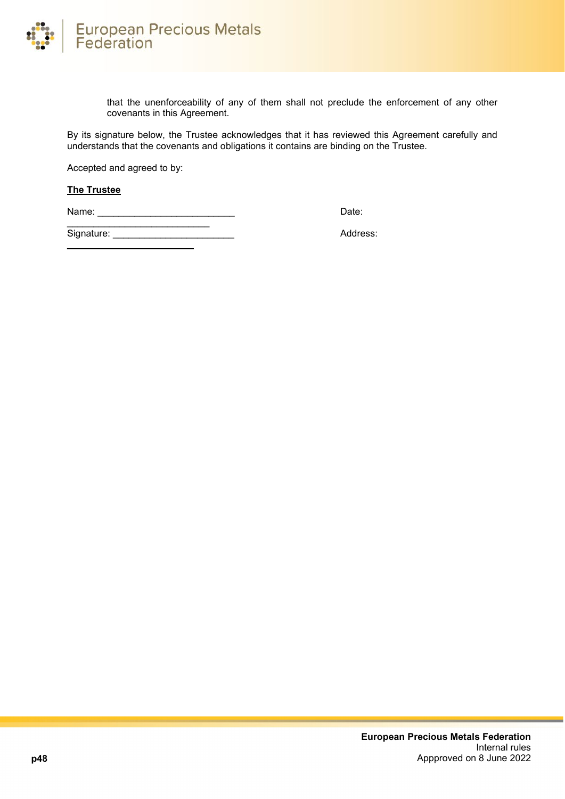

that the unenforceability of any of them shall not preclude the enforcement of any other covenants in this Agreement.

By its signature below, the Trustee acknowledges that it has reviewed this Agreement carefully and understands that the covenants and obligations it contains are binding on the Trustee.

Accepted and agreed to by:

#### **The Trustee**

Name: \_\_\_\_\_\_\_\_\_\_\_\_\_\_\_\_\_\_\_\_\_\_\_\_\_\_ Date:

\_\_\_\_\_\_\_\_\_\_\_\_\_\_\_\_\_\_\_\_\_\_\_\_

\_\_\_\_\_\_\_\_\_\_\_\_\_\_\_\_\_\_\_\_\_\_\_\_\_\_\_ Signature: \_\_\_\_\_\_\_\_\_\_\_\_\_\_\_\_\_\_\_\_\_\_\_ Address: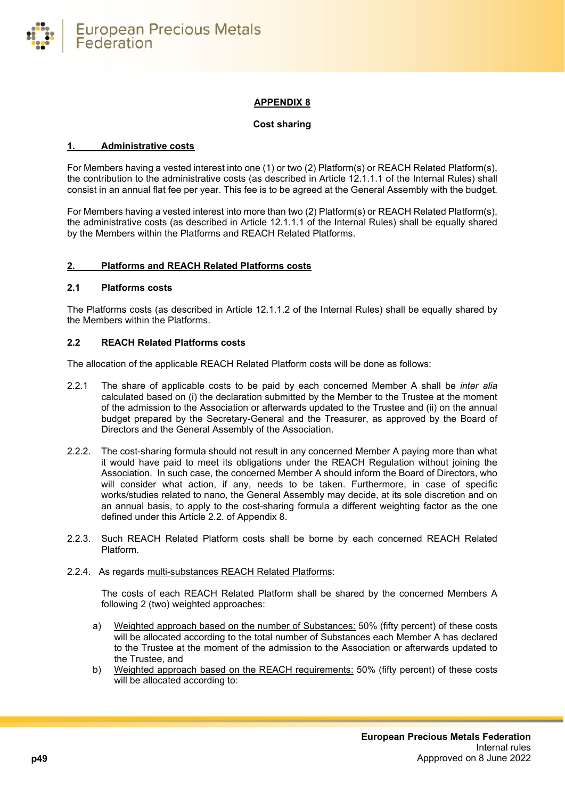

# **APPENDIX 8**

#### **Cost sharing**

#### <span id="page-48-0"></span>**1. Administrative costs**

For Members having a vested interest into one (1) or two (2) Platform(s) or REACH Related Platform(s), the contribution to the administrative costs (as described in Article 12.1.1.1 of the Internal Rules) shall consist in an annual flat fee per year. This fee is to be agreed at the General Assembly with the budget.

For Members having a vested interest into more than two (2) Platform(s) or REACH Related Platform(s), the administrative costs (as described in Article 12.1.1.1 of the Internal Rules) shall be equally shared by the Members within the Platforms and REACH Related Platforms.

#### **2. Platforms and REACH Related Platforms costs**

#### **2.1 Platforms costs**

The Platforms costs (as described in Article 12.1.1.2 of the Internal Rules) shall be equally shared by the Members within the Platforms.

#### **2.2 REACH Related Platforms costs**

The allocation of the applicable REACH Related Platform costs will be done as follows:

- 2.2.1 The share of applicable costs to be paid by each concerned Member A shall be *inter alia* calculated based on (i) the declaration submitted by the Member to the Trustee at the moment of the admission to the Association or afterwards updated to the Trustee and (ii) on the annual budget prepared by the Secretary-General and the Treasurer, as approved by the Board of Directors and the General Assembly of the Association.
- 2.2.2. The cost-sharing formula should not result in any concerned Member A paying more than what it would have paid to meet its obligations under the REACH Regulation without joining the Association. In such case, the concerned Member A should inform the Board of Directors, who will consider what action, if any, needs to be taken. Furthermore, in case of specific works/studies related to nano, the General Assembly may decide, at its sole discretion and on an annual basis, to apply to the cost-sharing formula a different weighting factor as the one defined under this Article 2.2. of Appendix 8.
- 2.2.3. Such REACH Related Platform costs shall be borne by each concerned REACH Related Platform.

#### 2.2.4. As regards multi-substances REACH Related Platforms:

The costs of each REACH Related Platform shall be shared by the concerned Members A following 2 (two) weighted approaches:

- a) Weighted approach based on the number of Substances: 50% (fifty percent) of these costs will be allocated according to the total number of Substances each Member A has declared to the Trustee at the moment of the admission to the Association or afterwards updated to the Trustee, and
- b) Weighted approach based on the REACH requirements: 50% (fifty percent) of these costs will be allocated according to: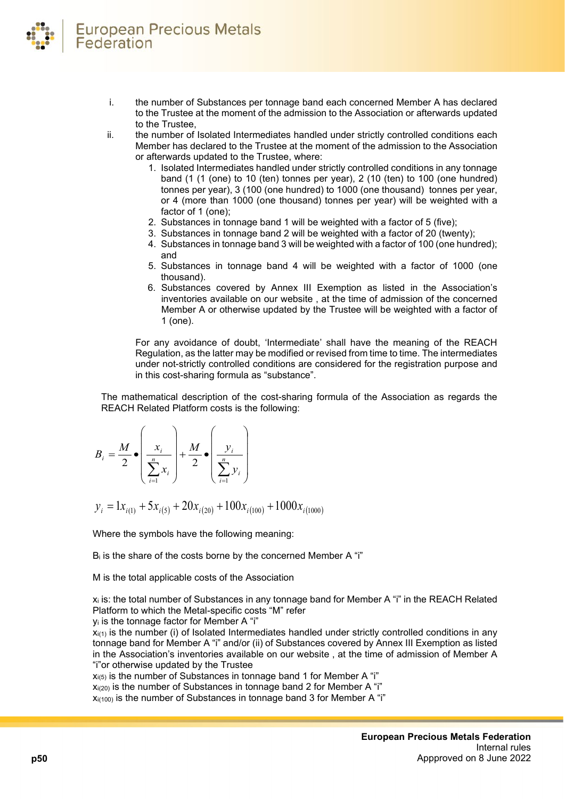- i. the number of Substances per tonnage band each concerned Member A has declared to the Trustee at the moment of the admission to the Association or afterwards updated to the Trustee,
- ii. the number of Isolated Intermediates handled under strictly controlled conditions each Member has declared to the Trustee at the moment of the admission to the Association or afterwards updated to the Trustee, where:
	- 1. Isolated Intermediates handled under strictly controlled conditions in any tonnage band (1 (1 (one) to 10 (ten) tonnes per year), 2 (10 (ten) to 100 (one hundred) tonnes per year), 3 (100 (one hundred) to 1000 (one thousand) tonnes per year, or 4 (more than 1000 (one thousand) tonnes per year) will be weighted with a factor of 1 (one);
	- 2. Substances in tonnage band 1 will be weighted with a factor of 5 (five);
	- 3. Substances in tonnage band 2 will be weighted with a factor of 20 (twenty);
	- 4. Substances in tonnage band 3 will be weighted with a factor of 100 (one hundred); and
	- 5. Substances in tonnage band 4 will be weighted with a factor of 1000 (one thousand).
	- 6. Substances covered by Annex III Exemption as listed in the Association's inventories available on our website , at the time of admission of the concerned Member A or otherwise updated by the Trustee will be weighted with a factor of 1 (one).

For any avoidance of doubt, 'Intermediate' shall have the meaning of the REACH Regulation, as the latter may be modified or revised from time to time. The intermediates under not-strictly controlled conditions are considered for the registration purpose and in this cost-sharing formula as "substance".

The mathematical description of the cost-sharing formula of the Association as regards the REACH Related Platform costs is the following:

$$
B_i = \frac{M}{2} \cdot \left(\frac{x_i}{\sum_{i=1}^n x_i}\right) + \frac{M}{2} \cdot \left(\frac{y_i}{\sum_{i=1}^n y_i}\right)
$$

 $y_i = 1x_{i(1)} + 5x_{i(5)} + 20x_{i(20)} + 100x_{i(100)} + 1000x_{i(1000)}$ 

Where the symbols have the following meaning:

B<sub>i</sub> is the share of the costs borne by the concerned Member A "i"

M is the total applicable costs of the Association

xi is: the total number of Substances in any tonnage band for Member A "i" in the REACH Related Platform to which the Metal-specific costs "M" refer

yi is the tonnage factor for Member A "i"

 $x_{i(1)}$  is the number (i) of Isolated Intermediates handled under strictly controlled conditions in any tonnage band for Member A "i" and/or (ii) of Substances covered by Annex III Exemption as listed in the Association's inventories available on our website , at the time of admission of Member A "i"or otherwise updated by the Trustee

 $x_{i(5)}$  is the number of Substances in tonnage band 1 for Member A "i"

 $x_{i(20)}$  is the number of Substances in tonnage band 2 for Member A "i"

 $x_{i(100)}$  is the number of Substances in tonnage band 3 for Member A "i"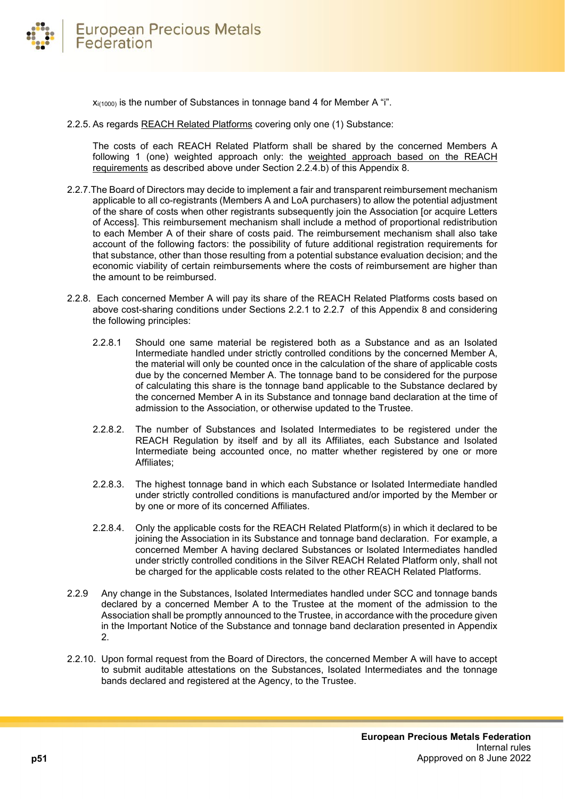

 $x_{i(1000)}$  is the number of Substances in tonnage band 4 for Member A "i".

2.2.5. As regards REACH Related Platforms covering only one (1) Substance:

The costs of each REACH Related Platform shall be shared by the concerned Members A following 1 (one) weighted approach only: the weighted approach based on the REACH requirements as described above under Section 2.2.4.b) of this Appendix 8.

- 2.2.7.The Board of Directors may decide to implement a fair and transparent reimbursement mechanism applicable to all co-registrants (Members A and LoA purchasers) to allow the potential adjustment of the share of costs when other registrants subsequently join the Association [or acquire Letters of Access]. This reimbursement mechanism shall include a method of proportional redistribution to each Member A of their share of costs paid. The reimbursement mechanism shall also take account of the following factors: the possibility of future additional registration requirements for that substance, other than those resulting from a potential substance evaluation decision; and the economic viability of certain reimbursements where the costs of reimbursement are higher than the amount to be reimbursed.
- 2.2.8. Each concerned Member A will pay its share of the REACH Related Platforms costs based on above cost-sharing conditions under Sections 2.2.1 to 2.2.7 of this Appendix 8 and considering the following principles:
	- 2.2.8.1 Should one same material be registered both as a Substance and as an Isolated Intermediate handled under strictly controlled conditions by the concerned Member A, the material will only be counted once in the calculation of the share of applicable costs due by the concerned Member A. The tonnage band to be considered for the purpose of calculating this share is the tonnage band applicable to the Substance declared by the concerned Member A in its Substance and tonnage band declaration at the time of admission to the Association, or otherwise updated to the Trustee.
	- 2.2.8.2. The number of Substances and Isolated Intermediates to be registered under the REACH Regulation by itself and by all its Affiliates, each Substance and Isolated Intermediate being accounted once, no matter whether registered by one or more Affiliates;
	- 2.2.8.3. The highest tonnage band in which each Substance or Isolated Intermediate handled under strictly controlled conditions is manufactured and/or imported by the Member or by one or more of its concerned Affiliates.
	- 2.2.8.4. Only the applicable costs for the REACH Related Platform(s) in which it declared to be joining the Association in its Substance and tonnage band declaration. For example, a concerned Member A having declared Substances or Isolated Intermediates handled under strictly controlled conditions in the Silver REACH Related Platform only, shall not be charged for the applicable costs related to the other REACH Related Platforms.
- 2.2.9 Any change in the Substances, Isolated Intermediates handled under SCC and tonnage bands declared by a concerned Member A to the Trustee at the moment of the admission to the Association shall be promptly announced to the Trustee, in accordance with the procedure given in the Important Notice of the Substance and tonnage band declaration presented in Appendix 2.
- 2.2.10. Upon formal request from the Board of Directors, the concerned Member A will have to accept to submit auditable attestations on the Substances, Isolated Intermediates and the tonnage bands declared and registered at the Agency, to the Trustee.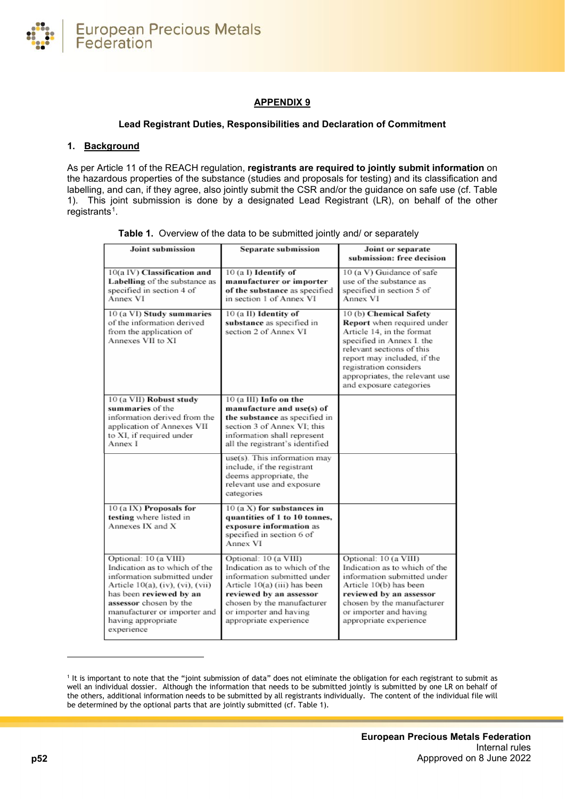

# **APPENDIX 9**

#### **Lead Registrant Duties, Responsibilities and Declaration of Commitment**

#### <span id="page-51-0"></span>**1. Background**

As per Article 11 of the REACH regulation, **registrants are required to jointly submit information** on the hazardous properties of the substance (studies and proposals for testing) and its classification and labelling, and can, if they agree, also jointly submit the CSR and/or the guidance on safe use (cf. Table 1). This joint submission is done by a designated Lead Registrant (LR), on behalf of the other registrants<sup>1</sup>.

| <b>Joint submission</b>                                                                                                                                                                                                                            | Separate submission                                                                                                                                                                                                                | Joint or separate<br>submission: free decision                                                                                                                                                                                                                    |
|----------------------------------------------------------------------------------------------------------------------------------------------------------------------------------------------------------------------------------------------------|------------------------------------------------------------------------------------------------------------------------------------------------------------------------------------------------------------------------------------|-------------------------------------------------------------------------------------------------------------------------------------------------------------------------------------------------------------------------------------------------------------------|
| 10(a IV) Classification and<br>Labelling of the substance as<br>specified in section 4 of<br>Annex VI                                                                                                                                              | 10 (a I) Identify of<br>manufacturer or importer<br>of the substance as specified<br>in section 1 of Annex VI                                                                                                                      | 10 (a V) Guidance of safe<br>use of the substance as<br>specified in section 5 of<br>Annex VI                                                                                                                                                                     |
| 10 (a VI) Study summaries<br>of the information derived<br>from the application of<br>Annexes VII to XI                                                                                                                                            | 10 (a II) Identity of<br>substance as specified in<br>section 2 of Annex VI                                                                                                                                                        | 10 (b) Chemical Safety<br>Report when required under<br>Article 14, in the format<br>specified in Annex I. the<br>relevant sections of this<br>report may included, if the<br>registration considers<br>appropriates, the relevant use<br>and exposure categories |
| 10 (a VII) Robust study<br>summaries of the<br>information derived from the<br>application of Annexes VII<br>to XI, if required under<br>Annex I                                                                                                   | 10 (a III) Info on the<br>manufacture and use(s) of<br>the substance as specified in<br>section 3 of Annex VI: this<br>information shall represent<br>all the registrant's identified                                              |                                                                                                                                                                                                                                                                   |
|                                                                                                                                                                                                                                                    | use(s). This information may<br>include, if the registrant<br>deems appropriate, the<br>relevant use and exposure<br>categories                                                                                                    |                                                                                                                                                                                                                                                                   |
| 10 (a IX) Proposals for<br>testing where listed in<br>Annexes IX and X                                                                                                                                                                             | 10 (a X) for substances in<br>quantities of 1 to 10 tonnes,<br>exposure information as<br>specified in section 6 of<br>Annex VI                                                                                                    |                                                                                                                                                                                                                                                                   |
| Optional: 10 (a VIII)<br>Indication as to which of the<br>information submitted under<br>Article 10(a), (iv), (vi), (vii)<br>has been reviewed by an<br>assessor chosen by the<br>manufacturer or importer and<br>having appropriate<br>experience | Optional: 10 (a VIII)<br>Indication as to which of the<br>information submitted under<br>Article 10(a) (iii) has been<br>reviewed by an assessor<br>chosen by the manufacturer<br>or importer and having<br>appropriate experience | Optional: 10 (a VIII)<br>Indication as to which of the<br>information submitted under<br>Article 10(b) has been<br>reviewed by an assessor<br>chosen by the manufacturer<br>or importer and having<br>appropriate experience                                      |

|  |  |  |  |  |  |  |  | Table 1. Overview of the data to be submitted jointly and/ or separately |  |
|--|--|--|--|--|--|--|--|--------------------------------------------------------------------------|--|
|--|--|--|--|--|--|--|--|--------------------------------------------------------------------------|--|

<span id="page-51-1"></span><sup>1</sup> It is important to note that the "joint submission of data" does not eliminate the obligation for each registrant to submit as well an individual dossier. Although the information that needs to be submitted jointly is submitted by one LR on behalf of the others, additional information needs to be submitted by all registrants individually. The content of the individual file will be determined by the optional parts that are jointly submitted (cf. Table 1).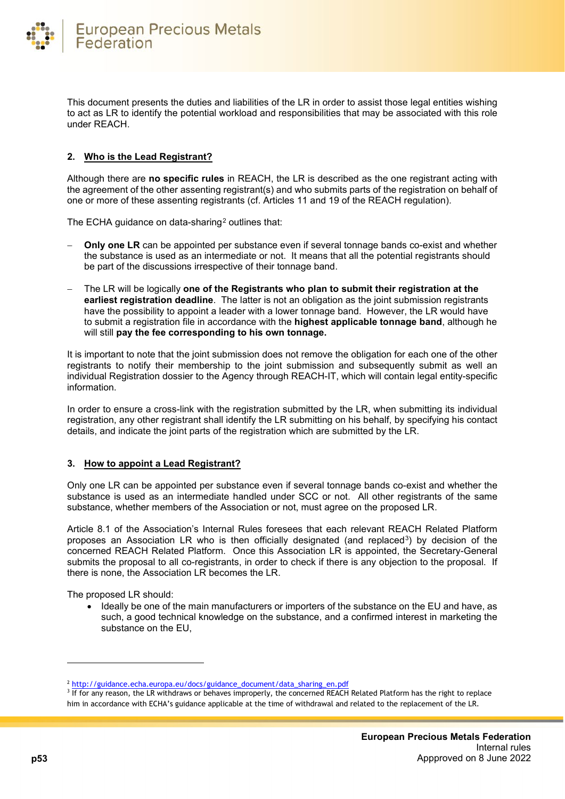

This document presents the duties and liabilities of the LR in order to assist those legal entities wishing to act as LR to identify the potential workload and responsibilities that may be associated with this role under REACH.

# **2. Who is the Lead Registrant?**

Although there are **no specific rules** in REACH, the LR is described as the one registrant acting with the agreement of the other assenting registrant(s) and who submits parts of the registration on behalf of one or more of these assenting registrants (cf. Articles 11 and 19 of the REACH regulation).

The ECHA guidance on data-sharing<sup>[2](#page-52-0)</sup> outlines that:

- **Only one LR** can be appointed per substance even if several tonnage bands co-exist and whether the substance is used as an intermediate or not. It means that all the potential registrants should be part of the discussions irrespective of their tonnage band.
- − The LR will be logically **one of the Registrants who plan to submit their registration at the earliest registration deadline**. The latter is not an obligation as the joint submission registrants have the possibility to appoint a leader with a lower tonnage band. However, the LR would have to submit a registration file in accordance with the **highest applicable tonnage band**, although he will still **pay the fee corresponding to his own tonnage.**

It is important to note that the joint submission does not remove the obligation for each one of the other registrants to notify their membership to the joint submission and subsequently submit as well an individual Registration dossier to the Agency through REACH-IT, which will contain legal entity-specific information.

In order to ensure a cross-link with the registration submitted by the LR, when submitting its individual registration, any other registrant shall identify the LR submitting on his behalf, by specifying his contact details, and indicate the joint parts of the registration which are submitted by the LR.

# **3. How to appoint a Lead Registrant?**

Only one LR can be appointed per substance even if several tonnage bands co-exist and whether the substance is used as an intermediate handled under SCC or not. All other registrants of the same substance, whether members of the Association or not, must agree on the proposed LR.

Article 8.1 of the Association's Internal Rules foresees that each relevant REACH Related Platform proposes an Association LR who is then officially designated (and replaced[3\)](#page-52-1) by decision of the concerned REACH Related Platform. Once this Association LR is appointed, the Secretary-General submits the proposal to all co-registrants, in order to check if there is any objection to the proposal. If there is none, the Association LR becomes the LR.

The proposed LR should:

• Ideally be one of the main manufacturers or importers of the substance on the EU and have, as such, a good technical knowledge on the substance, and a confirmed interest in marketing the substance on the EU,

<span id="page-52-0"></span><sup>2</sup> [http://guidance.echa.europa.eu/docs/guidance\\_document/data\\_sharing\\_en.pdf](http://guidance.echa.europa.eu/docs/guidance_document/data_sharing_en.pdf)

<span id="page-52-1"></span><sup>&</sup>lt;sup>3</sup> If for any reason, the LR withdraws or behaves improperly, the concerned REACH Related Platform has the right to replace him in accordance with ECHA's guidance applicable at the time of withdrawal and related to the replacement of the LR.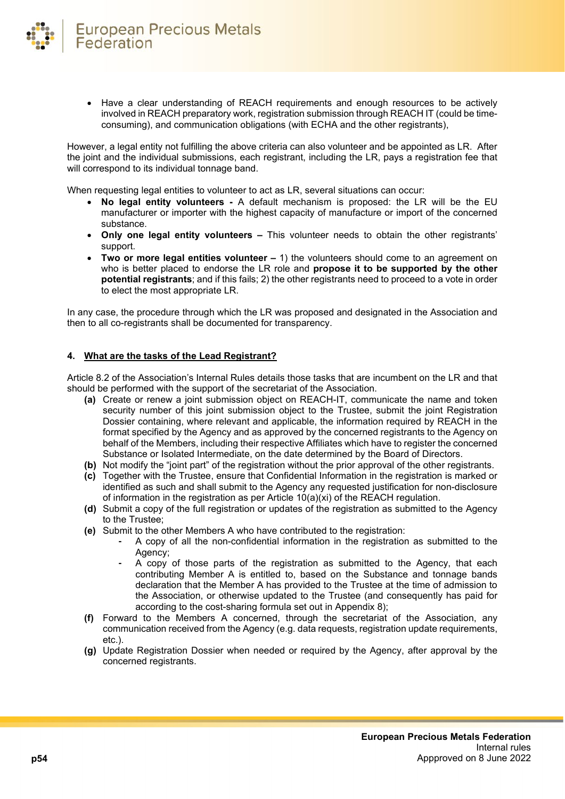

• Have a clear understanding of REACH requirements and enough resources to be actively involved in REACH preparatory work, registration submission through REACH IT (could be timeconsuming), and communication obligations (with ECHA and the other registrants),

However, a legal entity not fulfilling the above criteria can also volunteer and be appointed as LR. After the joint and the individual submissions, each registrant, including the LR, pays a registration fee that will correspond to its individual tonnage band.

When requesting legal entities to volunteer to act as LR, several situations can occur:

- **No legal entity volunteers -** A default mechanism is proposed: the LR will be the EU manufacturer or importer with the highest capacity of manufacture or import of the concerned substance.
- **Only one legal entity volunteers –** This volunteer needs to obtain the other registrants' support.
- **Two or more legal entities volunteer –** 1) the volunteers should come to an agreement on who is better placed to endorse the LR role and **propose it to be supported by the other potential registrants**; and if this fails; 2) the other registrants need to proceed to a vote in order to elect the most appropriate LR.

In any case, the procedure through which the LR was proposed and designated in the Association and then to all co-registrants shall be documented for transparency.

#### **4. What are the tasks of the Lead Registrant?**

Article 8.2 of the Association's Internal Rules details those tasks that are incumbent on the LR and that should be performed with the support of the secretariat of the Association.

- **(a)** Create or renew a joint submission object on REACH-IT, communicate the name and token security number of this joint submission object to the Trustee, submit the joint Registration Dossier containing, where relevant and applicable, the information required by REACH in the format specified by the Agency and as approved by the concerned registrants to the Agency on behalf of the Members, including their respective Affiliates which have to register the concerned Substance or Isolated Intermediate, on the date determined by the Board of Directors.
- **(b)** Not modify the "joint part" of the registration without the prior approval of the other registrants.
- **(c)** Together with the Trustee, ensure that Confidential Information in the registration is marked or identified as such and shall submit to the Agency any requested justification for non-disclosure of information in the registration as per Article  $10(a)(x)$  of the REACH regulation.
- **(d)** Submit a copy of the full registration or updates of the registration as submitted to the Agency to the Trustee;
- **(e)** Submit to the other Members A who have contributed to the registration:
	- **-** A copy of all the non-confidential information in the registration as submitted to the Agency;
	- **-** A copy of those parts of the registration as submitted to the Agency, that each contributing Member A is entitled to, based on the Substance and tonnage bands declaration that the Member A has provided to the Trustee at the time of admission to the Association, or otherwise updated to the Trustee (and consequently has paid for according to the cost-sharing formula set out in Appendix 8);
- **(f)** Forward to the Members A concerned, through the secretariat of the Association, any communication received from the Agency (e.g. data requests, registration update requirements, etc.).
- **(g)** Update Registration Dossier when needed or required by the Agency, after approval by the concerned registrants.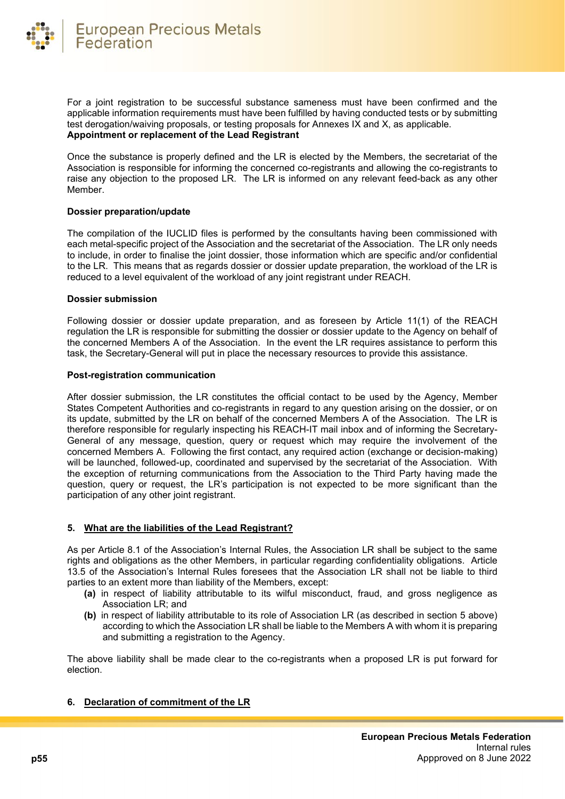

For a joint registration to be successful substance sameness must have been confirmed and the applicable information requirements must have been fulfilled by having conducted tests or by submitting test derogation/waiving proposals, or testing proposals for Annexes IX and X, as applicable. **Appointment or replacement of the Lead Registrant**

Once the substance is properly defined and the LR is elected by the Members, the secretariat of the Association is responsible for informing the concerned co-registrants and allowing the co-registrants to raise any objection to the proposed LR. The LR is informed on any relevant feed-back as any other Member.

#### **Dossier preparation/update**

The compilation of the IUCLID files is performed by the consultants having been commissioned with each metal-specific project of the Association and the secretariat of the Association. The LR only needs to include, in order to finalise the joint dossier, those information which are specific and/or confidential to the LR. This means that as regards dossier or dossier update preparation, the workload of the LR is reduced to a level equivalent of the workload of any joint registrant under REACH.

#### **Dossier submission**

Following dossier or dossier update preparation, and as foreseen by Article 11(1) of the REACH regulation the LR is responsible for submitting the dossier or dossier update to the Agency on behalf of the concerned Members A of the Association. In the event the LR requires assistance to perform this task, the Secretary-General will put in place the necessary resources to provide this assistance.

#### **Post-registration communication**

After dossier submission, the LR constitutes the official contact to be used by the Agency, Member States Competent Authorities and co-registrants in regard to any question arising on the dossier, or on its update, submitted by the LR on behalf of the concerned Members A of the Association. The LR is therefore responsible for regularly inspecting his REACH-IT mail inbox and of informing the Secretary-General of any message, question, query or request which may require the involvement of the concerned Members A. Following the first contact, any required action (exchange or decision-making) will be launched, followed-up, coordinated and supervised by the secretariat of the Association. With the exception of returning communications from the Association to the Third Party having made the question, query or request, the LR's participation is not expected to be more significant than the participation of any other joint registrant.

# **5. What are the liabilities of the Lead Registrant?**

As per Article 8.1 of the Association's Internal Rules, the Association LR shall be subject to the same rights and obligations as the other Members, in particular regarding confidentiality obligations. Article 13.5 of the Association's Internal Rules foresees that the Association LR shall not be liable to third parties to an extent more than liability of the Members, except:

- **(a)** in respect of liability attributable to its wilful misconduct, fraud, and gross negligence as Association LR; and
- **(b)** in respect of liability attributable to its role of Association LR (as described in section 5 above) according to which the Association LR shall be liable to the Members A with whom it is preparing and submitting a registration to the Agency.

The above liability shall be made clear to the co-registrants when a proposed LR is put forward for election.

# **6. Declaration of commitment of the LR**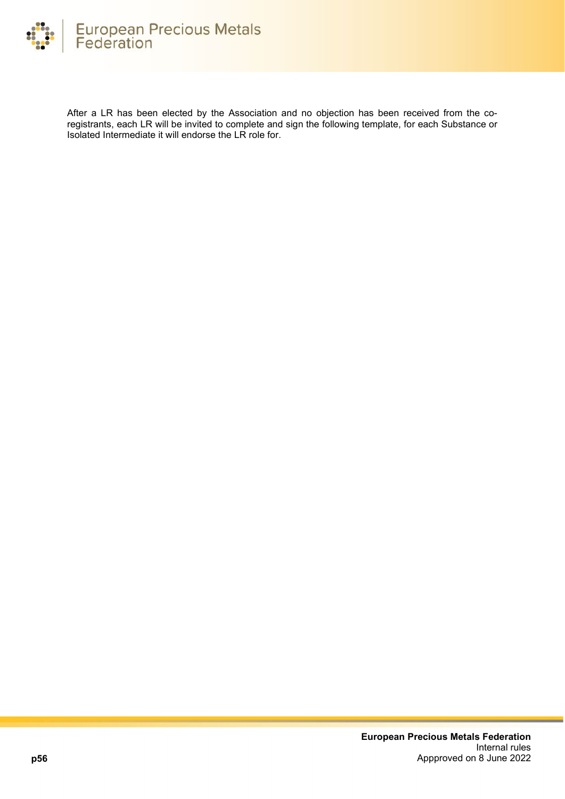

After a LR has been elected by the Association and no objection has been received from the coregistrants, each LR will be invited to complete and sign the following template, for each Substance or Isolated Intermediate it will endorse the LR role for.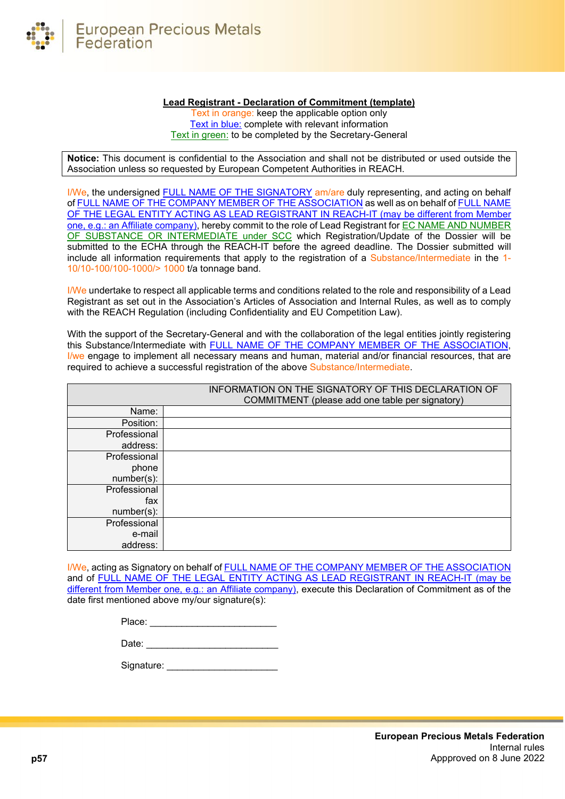

#### **Lead Registrant - Declaration of Commitment (template)**

Text in orange: keep the applicable option only Text in blue: complete with relevant information Text in green: to be completed by the Secretary-General

**Notice:** This document is confidential to the Association and shall not be distributed or used outside the Association unless so requested by European Competent Authorities in REACH.

I/We, the undersigned FULL NAME OF THE SIGNATORY am/are duly representing, and acting on behalf of FULL NAME OF THE COMPANY MEMBER OF THE ASSOCIATION as well as on behalf of FULL NAME OF THE LEGAL ENTITY ACTING AS LEAD REGISTRANT IN REACH-IT (may be different from Member one, e.g.: an Affiliate company), hereby commit to the role of Lead Registrant for EC NAME AND NUMBER OF SUBSTANCE OR INTERMEDIATE under SCC which Registration/Update of the Dossier will be submitted to the ECHA through the REACH-IT before the agreed deadline. The Dossier submitted will include all information requirements that apply to the registration of a Substance/Intermediate in the 1- 10/10-100/100-1000/> 1000 t/a tonnage band.

I/We undertake to respect all applicable terms and conditions related to the role and responsibility of a Lead Registrant as set out in the Association's Articles of Association and Internal Rules, as well as to comply with the REACH Regulation (including Confidentiality and EU Competition Law).

With the support of the Secretary-General and with the collaboration of the legal entities jointly registering this Substance/Intermediate with FULL NAME OF THE COMPANY MEMBER OF THE ASSOCIATION, I/we engage to implement all necessary means and human, material and/or financial resources, that are required to achieve a successful registration of the above Substance/Intermediate.

|               | INFORMATION ON THE SIGNATORY OF THIS DECLARATION OF<br>COMMITMENT (please add one table per signatory) |
|---------------|--------------------------------------------------------------------------------------------------------|
| Name:         |                                                                                                        |
| Position:     |                                                                                                        |
| Professional  |                                                                                                        |
| address:      |                                                                                                        |
| Professional  |                                                                                                        |
| phone         |                                                                                                        |
| $number(s)$ : |                                                                                                        |
| Professional  |                                                                                                        |
| fax           |                                                                                                        |
| $number(s)$ : |                                                                                                        |
| Professional  |                                                                                                        |
| e-mail        |                                                                                                        |
| address:      |                                                                                                        |

I/We, acting as Signatory on behalf of FULL NAME OF THE COMPANY MEMBER OF THE ASSOCIATION and of FULL NAME OF THE LEGAL ENTITY ACTING AS LEAD REGISTRANT IN REACH-IT (may be different from Member one, e.g.: an Affiliate company), execute this Declaration of Commitment as of the date first mentioned above my/our signature(s):

| 'lace: |  |  |  |
|--------|--|--|--|
|        |  |  |  |

Date: \_\_\_\_\_\_\_\_\_\_\_\_\_\_\_\_\_\_\_\_\_\_\_\_\_

Signature: \_\_\_\_\_\_\_\_\_\_\_\_\_\_\_\_\_\_\_\_\_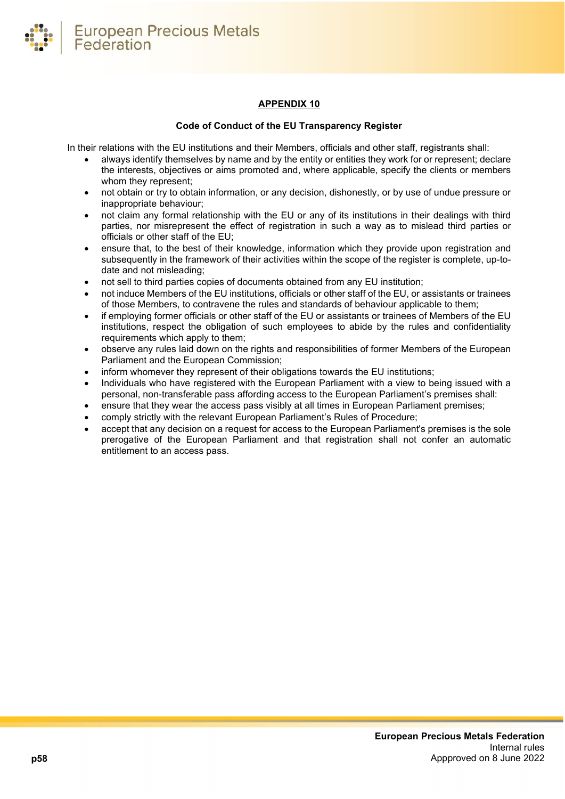

# **APPENDIX 10**

#### **Code of Conduct of the EU Transparency Register**

<span id="page-57-0"></span>In their relations with the EU institutions and their Members, officials and other staff, registrants shall:

- always identify themselves by name and by the entity or entities they work for or represent; declare the interests, objectives or aims promoted and, where applicable, specify the clients or members whom they represent;
- not obtain or try to obtain information, or any decision, dishonestly, or by use of undue pressure or inappropriate behaviour;
- not claim any formal relationship with the EU or any of its institutions in their dealings with third parties, nor misrepresent the effect of registration in such a way as to mislead third parties or officials or other staff of the EU;
- ensure that, to the best of their knowledge, information which they provide upon registration and subsequently in the framework of their activities within the scope of the register is complete, up-todate and not misleading;
- not sell to third parties copies of documents obtained from any EU institution;
- not induce Members of the EU institutions, officials or other staff of the EU, or assistants or trainees of those Members, to contravene the rules and standards of behaviour applicable to them;
- if employing former officials or other staff of the EU or assistants or trainees of Members of the EU institutions, respect the obligation of such employees to abide by the rules and confidentiality requirements which apply to them;
- observe any rules laid down on the rights and responsibilities of former Members of the European Parliament and the European Commission;
- inform whomever they represent of their obligations towards the EU institutions;
- Individuals who have registered with the European Parliament with a view to being issued with a personal, non-transferable pass affording access to the European Parliament's premises shall:
- ensure that they wear the access pass visibly at all times in European Parliament premises;
- comply strictly with the relevant European Parliament's Rules of Procedure;
- accept that any decision on a request for access to the European Parliament's premises is the sole prerogative of the European Parliament and that registration shall not confer an automatic entitlement to an access pass.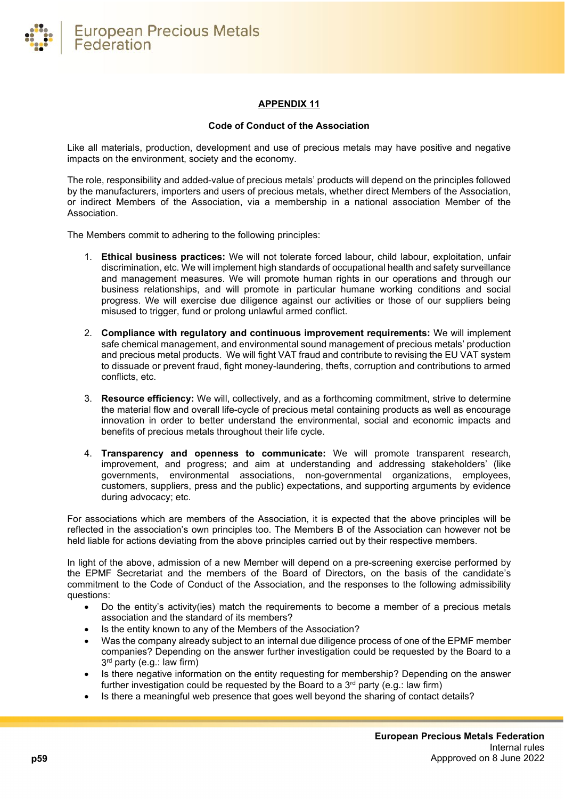

# **APPENDIX 11**

#### **Code of Conduct of the Association**

<span id="page-58-0"></span>Like all materials, production, development and use of precious metals may have positive and negative impacts on the environment, society and the economy.

The role, responsibility and added-value of precious metals' products will depend on the principles followed by the manufacturers, importers and users of precious metals, whether direct Members of the Association, or indirect Members of the Association, via a membership in a national association Member of the Association.

The Members commit to adhering to the following principles:

- 1. **Ethical business practices:** We will not tolerate forced labour, child labour, exploitation, unfair discrimination, etc. We will implement high standards of occupational health and safety surveillance and management measures. We will promote human rights in our operations and through our business relationships, and will promote in particular humane working conditions and social progress. We will exercise due diligence against our activities or those of our suppliers being misused to trigger, fund or prolong unlawful armed conflict.
- 2. **Compliance with regulatory and continuous improvement requirements:** We will implement safe chemical management, and environmental sound management of precious metals' production and precious metal products. We will fight VAT fraud and contribute to revising the EU VAT system to dissuade or prevent fraud, fight money-laundering, thefts, corruption and contributions to armed conflicts, etc.
- 3. **Resource efficiency:** We will, collectively, and as a forthcoming commitment, strive to determine the material flow and overall life-cycle of precious metal containing products as well as encourage innovation in order to better understand the environmental, social and economic impacts and benefits of precious metals throughout their life cycle.
- 4. **Transparency and openness to communicate:** We will promote transparent research, improvement, and progress; and aim at understanding and addressing stakeholders' (like governments, environmental associations, non-governmental organizations, employees, customers, suppliers, press and the public) expectations, and supporting arguments by evidence during advocacy; etc.

For associations which are members of the Association, it is expected that the above principles will be reflected in the association's own principles too. The Members B of the Association can however not be held liable for actions deviating from the above principles carried out by their respective members.

In light of the above, admission of a new Member will depend on a pre-screening exercise performed by the EPMF Secretariat and the members of the Board of Directors, on the basis of the candidate's commitment to the Code of Conduct of the Association, and the responses to the following admissibility questions:

- Do the entity's activity(ies) match the requirements to become a member of a precious metals association and the standard of its members?
- Is the entity known to any of the Members of the Association?
- Was the company already subject to an internal due diligence process of one of the EPMF member companies? Depending on the answer further investigation could be requested by the Board to a 3rd party (e.g.: law firm)
- Is there negative information on the entity requesting for membership? Depending on the answer further investigation could be requested by the Board to a  $3<sup>rd</sup>$  party (e.g.: law firm)
- Is there a meaningful web presence that goes well beyond the sharing of contact details?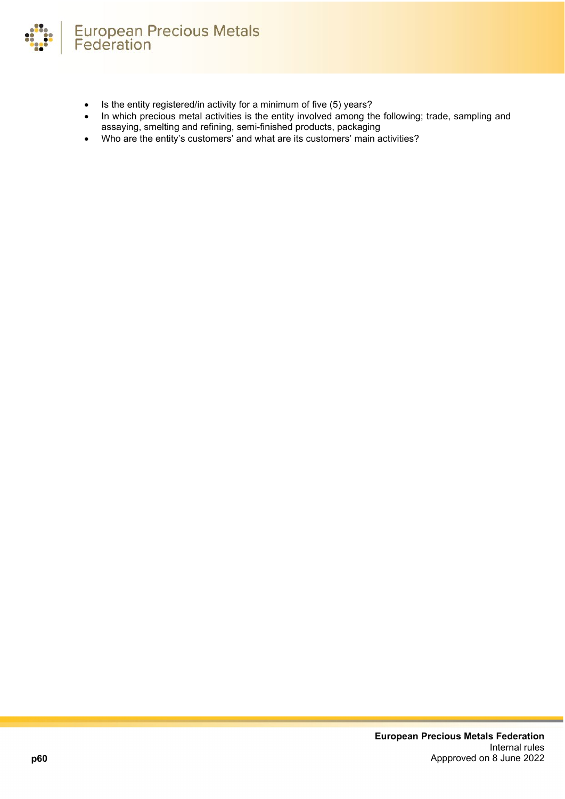

- Is the entity registered/in activity for a minimum of five (5) years?
- In which precious metal activities is the entity involved among the following; trade, sampling and assaying, smelting and refining, semi-finished products, packaging
- Who are the entity's customers' and what are its customers' main activities?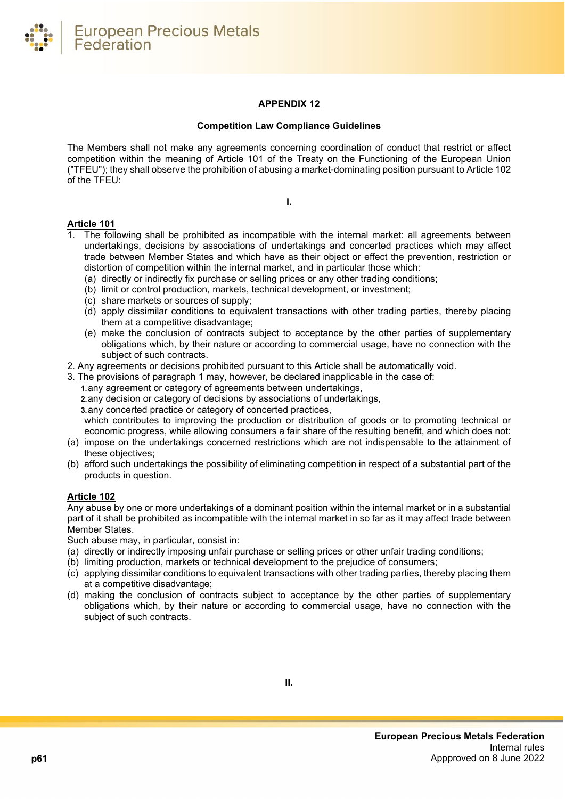**European Precious Metals** Federation

# **APPENDIX 12**

#### **Competition Law Compliance Guidelines**

<span id="page-60-0"></span>The Members shall not make any agreements concerning coordination of conduct that restrict or affect competition within the meaning of Article 101 of the Treaty on the Functioning of the European Union ("TFEU"); they shall observe the prohibition of abusing a market-dominating position pursuant to Article 102 of the TFEU:

**I.**

# **Article 101**

- 1. The following shall be prohibited as incompatible with the internal market: all agreements between undertakings, decisions by associations of undertakings and concerted practices which may affect trade between Member States and which have as their object or effect the prevention, restriction or distortion of competition within the internal market, and in particular those which:
	- (a) directly or indirectly fix purchase or selling prices or any other trading conditions;
	- (b) limit or control production, markets, technical development, or investment;
	- (c) share markets or sources of supply;
	- (d) apply dissimilar conditions to equivalent transactions with other trading parties, thereby placing them at a competitive disadvantage;
	- (e) make the conclusion of contracts subject to acceptance by the other parties of supplementary obligations which, by their nature or according to commercial usage, have no connection with the subject of such contracts.
- 2. Any agreements or decisions prohibited pursuant to this Article shall be automatically void.
- 3. The provisions of paragraph 1 may, however, be declared inapplicable in the case of:
	- **1.**any agreement or category of agreements between undertakings,
	- **2.**any decision or category of decisions by associations of undertakings,
	- **3.**any concerted practice or category of concerted practices,

which contributes to improving the production or distribution of goods or to promoting technical or economic progress, while allowing consumers a fair share of the resulting benefit, and which does not:

- (a) impose on the undertakings concerned restrictions which are not indispensable to the attainment of these objectives;
- (b) afford such undertakings the possibility of eliminating competition in respect of a substantial part of the products in question.

# **Article 102**

Any abuse by one or more undertakings of a dominant position within the internal market or in a substantial part of it shall be prohibited as incompatible with the internal market in so far as it may affect trade between Member States.

Such abuse may, in particular, consist in:

- (a) directly or indirectly imposing unfair purchase or selling prices or other unfair trading conditions;
- (b) limiting production, markets or technical development to the prejudice of consumers;
- (c) applying dissimilar conditions to equivalent transactions with other trading parties, thereby placing them at a competitive disadvantage;
- (d) making the conclusion of contracts subject to acceptance by the other parties of supplementary obligations which, by their nature or according to commercial usage, have no connection with the subject of such contracts.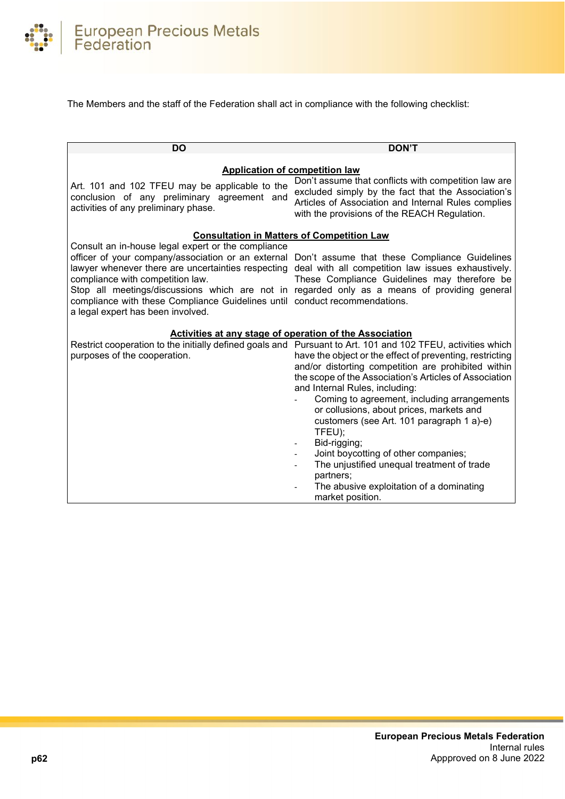

The Members and the staff of the Federation shall act in compliance with the following checklist:

| <b>DO</b>                                                                                                                                                                                                                                                                                                             | <b>DON'T</b>                                                                                                                                                                                                                                                                                                                                                                                                                                                                                                                                                                                                                                                    |
|-----------------------------------------------------------------------------------------------------------------------------------------------------------------------------------------------------------------------------------------------------------------------------------------------------------------------|-----------------------------------------------------------------------------------------------------------------------------------------------------------------------------------------------------------------------------------------------------------------------------------------------------------------------------------------------------------------------------------------------------------------------------------------------------------------------------------------------------------------------------------------------------------------------------------------------------------------------------------------------------------------|
|                                                                                                                                                                                                                                                                                                                       |                                                                                                                                                                                                                                                                                                                                                                                                                                                                                                                                                                                                                                                                 |
|                                                                                                                                                                                                                                                                                                                       | <b>Application of competition law</b><br>Don't assume that conflicts with competition law are                                                                                                                                                                                                                                                                                                                                                                                                                                                                                                                                                                   |
| Art. 101 and 102 TFEU may be applicable to the<br>conclusion of any preliminary agreement and<br>activities of any preliminary phase.                                                                                                                                                                                 | excluded simply by the fact that the Association's<br>Articles of Association and Internal Rules complies<br>with the provisions of the REACH Regulation.                                                                                                                                                                                                                                                                                                                                                                                                                                                                                                       |
|                                                                                                                                                                                                                                                                                                                       | <b>Consultation in Matters of Competition Law</b>                                                                                                                                                                                                                                                                                                                                                                                                                                                                                                                                                                                                               |
| Consult an in-house legal expert or the compliance<br>officer of your company/association or an external<br>lawyer whenever there are uncertainties respecting<br>compliance with competition law.<br>compliance with these Compliance Guidelines until conduct recommendations.<br>a legal expert has been involved. | Don't assume that these Compliance Guidelines<br>deal with all competition law issues exhaustively.<br>These Compliance Guidelines may therefore be<br>Stop all meetings/discussions which are not in regarded only as a means of providing general                                                                                                                                                                                                                                                                                                                                                                                                             |
| Activities at any stage of operation of the Association                                                                                                                                                                                                                                                               |                                                                                                                                                                                                                                                                                                                                                                                                                                                                                                                                                                                                                                                                 |
| purposes of the cooperation.                                                                                                                                                                                                                                                                                          | Restrict cooperation to the initially defined goals and Pursuant to Art. 101 and 102 TFEU, activities which<br>have the object or the effect of preventing, restricting<br>and/or distorting competition are prohibited within<br>the scope of the Association's Articles of Association<br>and Internal Rules, including:<br>Coming to agreement, including arrangements<br>or collusions, about prices, markets and<br>customers (see Art. 101 paragraph 1 a)-e)<br>TFEU);<br>Bid-rigging;<br>Joint boycotting of other companies;<br>The unjustified unequal treatment of trade<br>partners;<br>The abusive exploitation of a dominating<br>market position. |